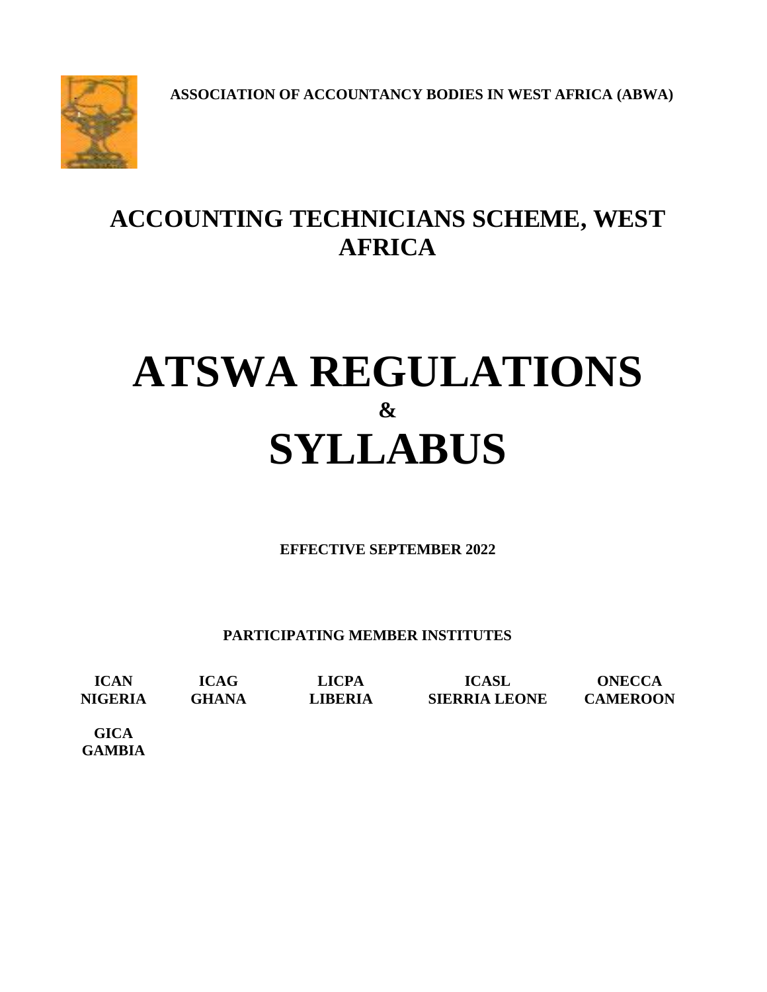**ASSOCIATION OF ACCOUNTANCY BODIES IN WEST AFRICA (ABWA)**



# **ACCOUNTING TECHNICIANS SCHEME, WEST AFRICA**

# **ATSWA REGULATIONS & SYLLABUS**

**EFFECTIVE SEPTEMBER 2022**

**PARTICIPATING MEMBER INSTITUTES**

**ICAN ICAG LICPA ICASL ONECCA NIGERIA GHANA LIBERIA SIERRIA LEONE CAMEROON**

**GICA GAMBIA**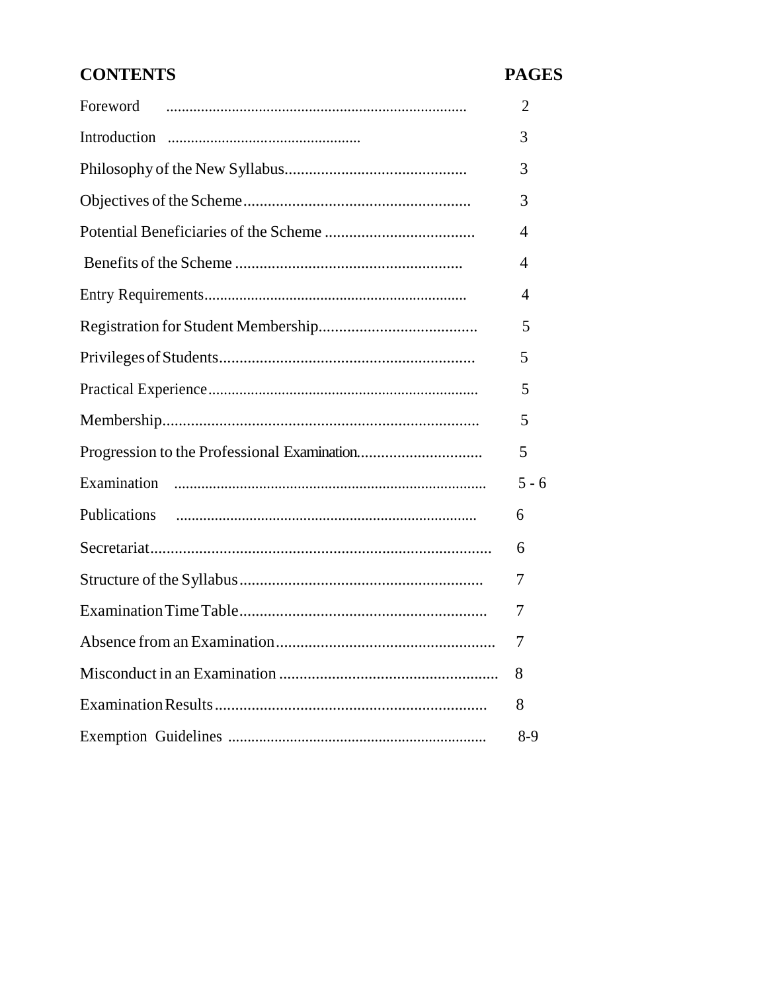# **CONTENTS**

| Foreword     | 2       |
|--------------|---------|
|              | 3       |
|              | 3       |
|              | 3       |
|              | 4       |
|              | 4       |
|              | 4       |
|              | 5       |
|              | 5       |
|              | 5       |
|              | 5       |
|              | 5       |
|              | $5 - 6$ |
| Publications | 6       |
|              | 6       |
|              | 7       |
|              | 7       |
|              | 7       |
|              | 8       |
|              | 8       |
|              | $8-9$   |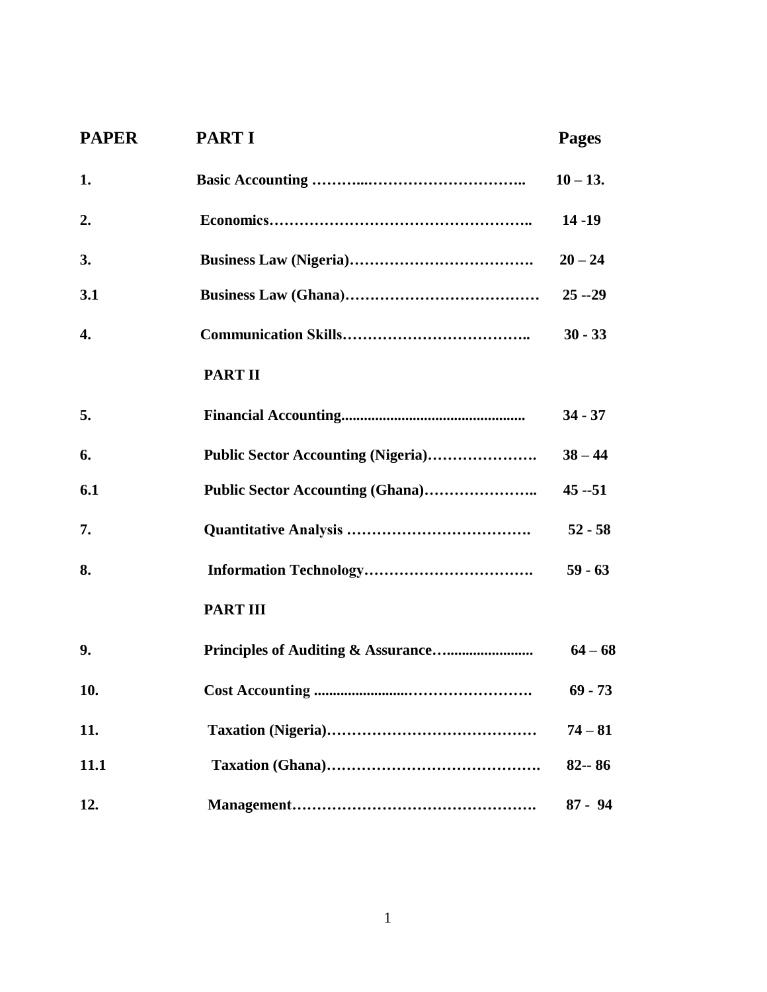| <b>PAPER</b>     | <b>PART I</b>                      | <b>Pages</b> |
|------------------|------------------------------------|--------------|
| 1.               |                                    | $10 - 13.$   |
| 2.               |                                    | $14 - 19$    |
| 3.               |                                    | $20 - 24$    |
| 3.1              |                                    | $25 - 29$    |
| $\overline{4}$ . |                                    | $30 - 33$    |
|                  | <b>PART II</b>                     |              |
| 5.               |                                    | $34 - 37$    |
| 6.               | Public Sector Accounting (Nigeria) | $38 - 44$    |
| 6.1              |                                    | $45 - 51$    |
| 7.               |                                    | $52 - 58$    |
| 8.               |                                    | $59 - 63$    |
|                  | <b>PART III</b>                    |              |
| 9.               |                                    | $64 - 68$    |
| 10.              |                                    | $69 - 73$    |
| 11.              |                                    | $74 - 81$    |
| <b>11.1</b>      |                                    | $82 - 86$    |
| 12.              |                                    | $87 - 94$    |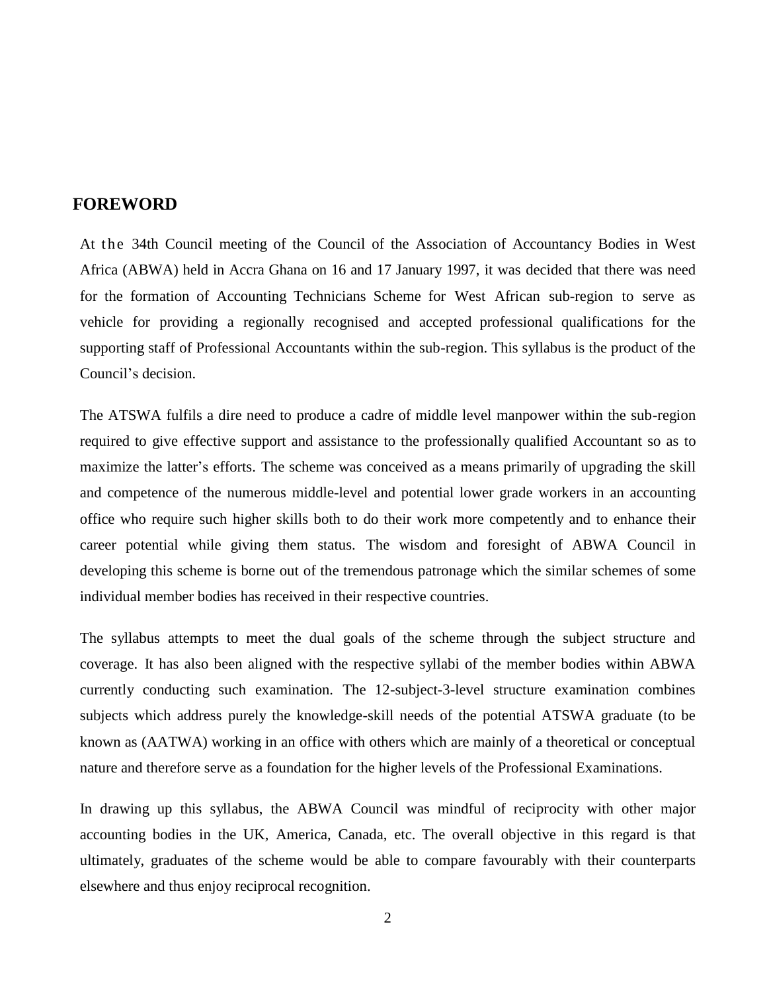#### **FOREWORD**

At the 34th Council meeting of the Council of the Association of Accountancy Bodies in West Africa (ABWA) held in Accra Ghana on 16 and 17 January 1997, it was decided that there was need for the formation of Accounting Technicians Scheme for West African sub-region to serve as vehicle for providing a regionally recognised and accepted professional qualifications for the supporting staff of Professional Accountants within the sub-region. This syllabus is the product of the Council"s decision.

The ATSWA fulfils a dire need to produce a cadre of middle level manpower within the sub-region required to give effective support and assistance to the professionally qualified Accountant so as to maximize the latter's efforts. The scheme was conceived as a means primarily of upgrading the skill and competence of the numerous middle-level and potential lower grade workers in an accounting office who require such higher skills both to do their work more competently and to enhance their career potential while giving them status. The wisdom and foresight of ABWA Council in developing this scheme is borne out of the tremendous patronage which the similar schemes of some individual member bodies has received in their respective countries.

The syllabus attempts to meet the dual goals of the scheme through the subject structure and coverage. It has also been aligned with the respective syllabi of the member bodies within ABWA currently conducting such examination. The 12-subject-3-level structure examination combines subjects which address purely the knowledge-skill needs of the potential ATSWA graduate (to be known as (AATWA) working in an office with others which are mainly of a theoretical or conceptual nature and therefore serve as a foundation for the higher levels of the Professional Examinations.

In drawing up this syllabus, the ABWA Council was mindful of reciprocity with other major accounting bodies in the UK, America, Canada, etc. The overall objective in this regard is that ultimately, graduates of the scheme would be able to compare favourably with their counterparts elsewhere and thus enjoy reciprocal recognition.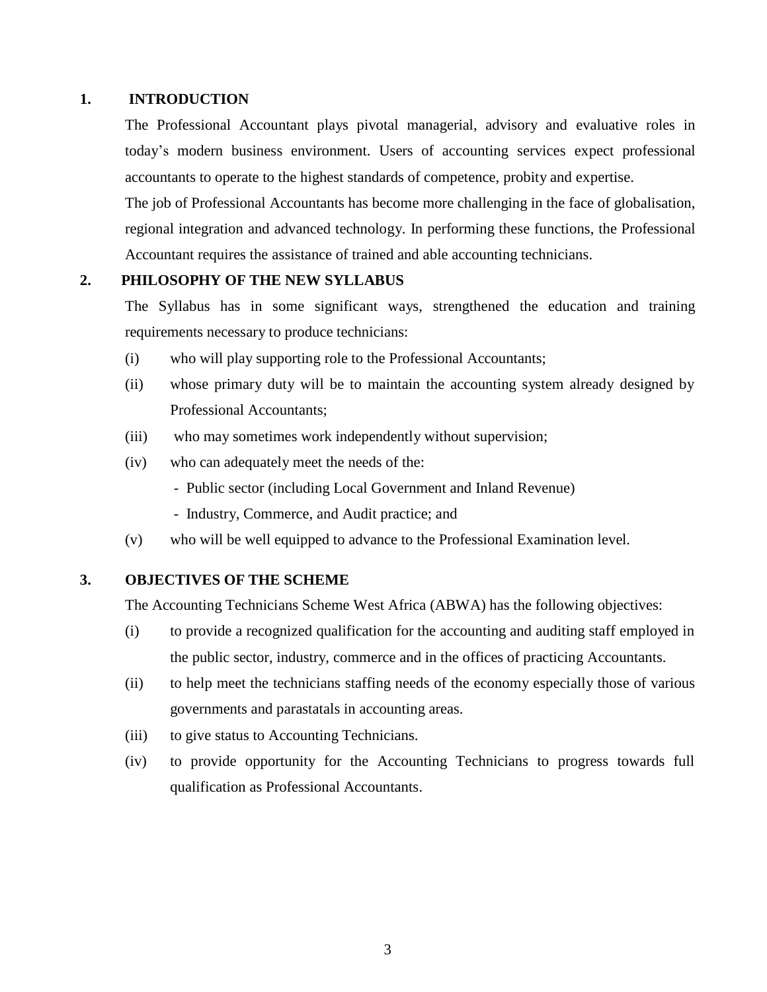#### **1. INTRODUCTION**

The Professional Accountant plays pivotal managerial, advisory and evaluative roles in today"s modern business environment. Users of accounting services expect professional accountants to operate to the highest standards of competence, probity and expertise.

The job of Professional Accountants has become more challenging in the face of globalisation, regional integration and advanced technology. In performing these functions, the Professional Accountant requires the assistance of trained and able accounting technicians.

#### **2. PHILOSOPHY OF THE NEW SYLLABUS**

The Syllabus has in some significant ways, strengthened the education and training requirements necessary to produce technicians:

- (i) who will play supporting role to the Professional Accountants;
- (ii) whose primary duty will be to maintain the accounting system already designed by Professional Accountants;
- (iii) who may sometimes work independently without supervision;
- (iv) who can adequately meet the needs of the:
	- Public sector (including Local Government and Inland Revenue)
	- Industry, Commerce, and Audit practice; and
- (v) who will be well equipped to advance to the Professional Examination level.

#### **3. OBJECTIVES OF THE SCHEME**

The Accounting Technicians Scheme West Africa (ABWA) has the following objectives:

- (i) to provide a recognized qualification for the accounting and auditing staff employed in the public sector, industry, commerce and in the offices of practicing Accountants.
- (ii) to help meet the technicians staffing needs of the economy especially those of various governments and parastatals in accounting areas.
- (iii) to give status to Accounting Technicians.
- (iv) to provide opportunity for the Accounting Technicians to progress towards full qualification as Professional Accountants.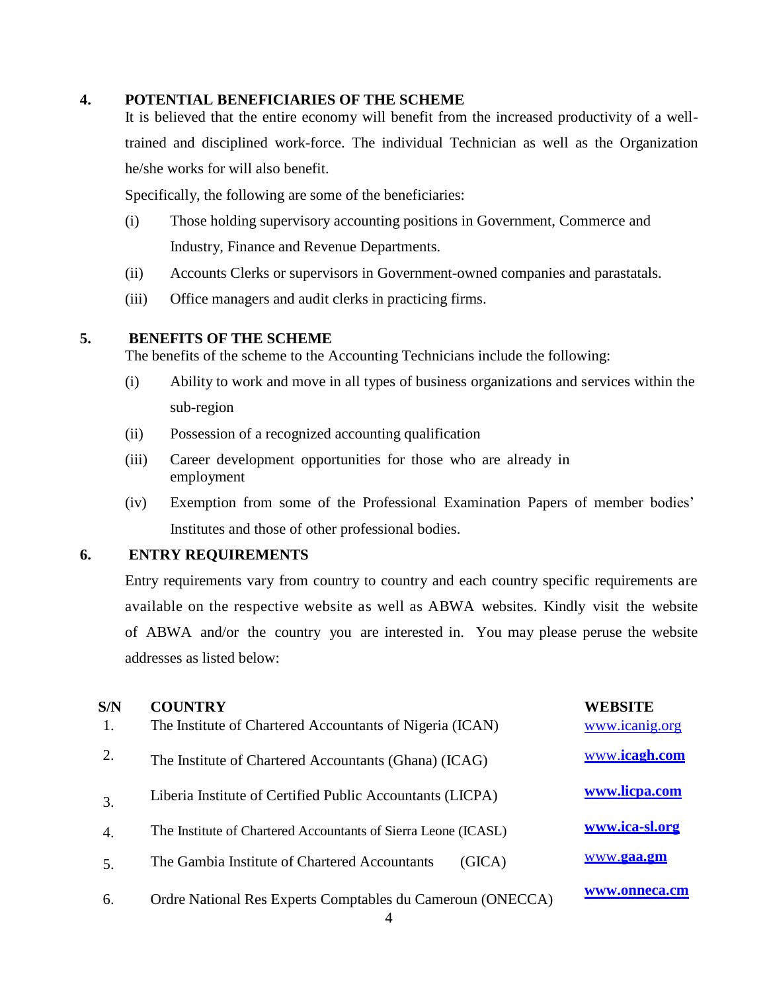#### **4. POTENTIAL BENEFICIARIES OF THE SCHEME**

It is believed that the entire economy will benefit from the increased productivity of a welltrained and disciplined work-force. The individual Technician as well as the Organization he/she works for will also benefit.

Specifically, the following are some of the beneficiaries:

- (i) Those holding supervisory accounting positions in Government, Commerce and Industry, Finance and Revenue Departments.
- (ii) Accounts Clerks or supervisors in Government-owned companies and parastatals.
- (iii) Office managers and audit clerks in practicing firms.

#### **5. BENEFITS OF THE SCHEME**

The benefits of the scheme to the Accounting Technicians include the following:

- (i) Ability to work and move in all types of business organizations and services within the sub-region
- (ii) Possession of a recognized accounting qualification
- (iii) Career development opportunities for those who are already in employment
- (iv) Exemption from some of the Professional Examination Papers of member bodies" Institutes and those of other professional bodies.

#### **6. ENTRY REQUIREMENTS**

Entry requirements vary from country to country and each country specific requirements are available on the respective website as well as ABWA websites. Kindly visit the website of ABWA and/or the country you are interested in. You may please peruse the website addresses as listed below:

| S/N<br>1.      | <b>COUNTRY</b><br>The Institute of Chartered Accountants of Nigeria (ICAN) | <b>WEBSITE</b><br>www.icanig.org |
|----------------|----------------------------------------------------------------------------|----------------------------------|
| 2.             | The Institute of Chartered Accountants (Ghana) (ICAG)                      | www.icagh.com                    |
| 3.             | Liberia Institute of Certified Public Accountants (LICPA)                  | www.licpa.com                    |
| $\overline{4}$ | The Institute of Chartered Accountants of Sierra Leone (ICASL)             | www.ica-sl.org                   |
|                | The Gambia Institute of Chartered Accountants<br>(GICA)                    | www.gaa.gm                       |
| 6.             | Ordre National Res Experts Comptables du Cameroun (ONECCA)                 | www.onneca.cm                    |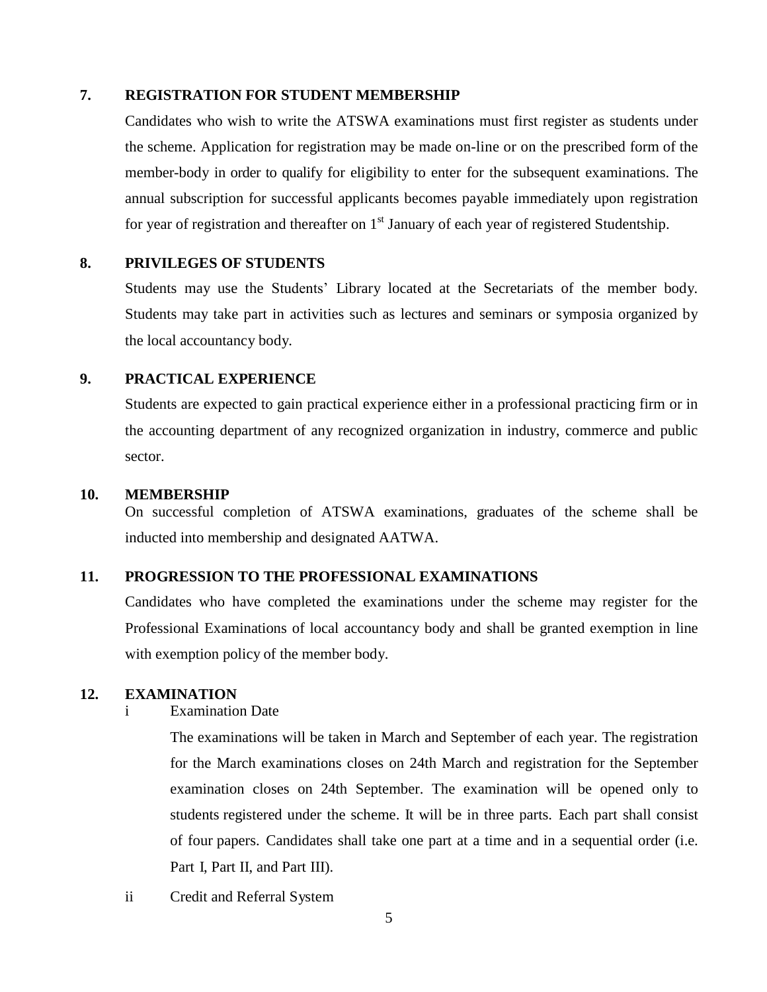#### **7. REGISTRATION FOR STUDENT MEMBERSHIP**

Candidates who wish to write the ATSWA examinations must first register as students under the scheme. Application for registration may be made on-line or on the prescribed form of the member-body in order to qualify for eligibility to enter for the subsequent examinations. The annual subscription for successful applicants becomes payable immediately upon registration for year of registration and thereafter on  $1<sup>st</sup>$  January of each year of registered Studentship.

#### **8. PRIVILEGES OF STUDENTS**

Students may use the Students' Library located at the Secretariats of the member body. Students may take part in activities such as lectures and seminars or symposia organized by the local accountancy body.

#### **9. PRACTICAL EXPERIENCE**

Students are expected to gain practical experience either in a professional practicing firm or in the accounting department of any recognized organization in industry, commerce and public sector.

#### **10. MEMBERSHIP**

On successful completion of ATSWA examinations, graduates of the scheme shall be inducted into membership and designated AATWA.

#### **11. PROGRESSION TO THE PROFESSIONAL EXAMINATIONS**

Candidates who have completed the examinations under the scheme may register for the Professional Examinations of local accountancy body and shall be granted exemption in line with exemption policy of the member body.

#### **12. EXAMINATION**

#### i Examination Date

The examinations will be taken in March and September of each year. The registration for the March examinations closes on 24th March and registration for the September examination closes on 24th September. The examination will be opened only to students registered under the scheme. It will be in three parts. Each part shall consist of four papers. Candidates shall take one part at a time and in a sequential order (i.e. Part I, Part II, and Part III).

ii Credit and Referral System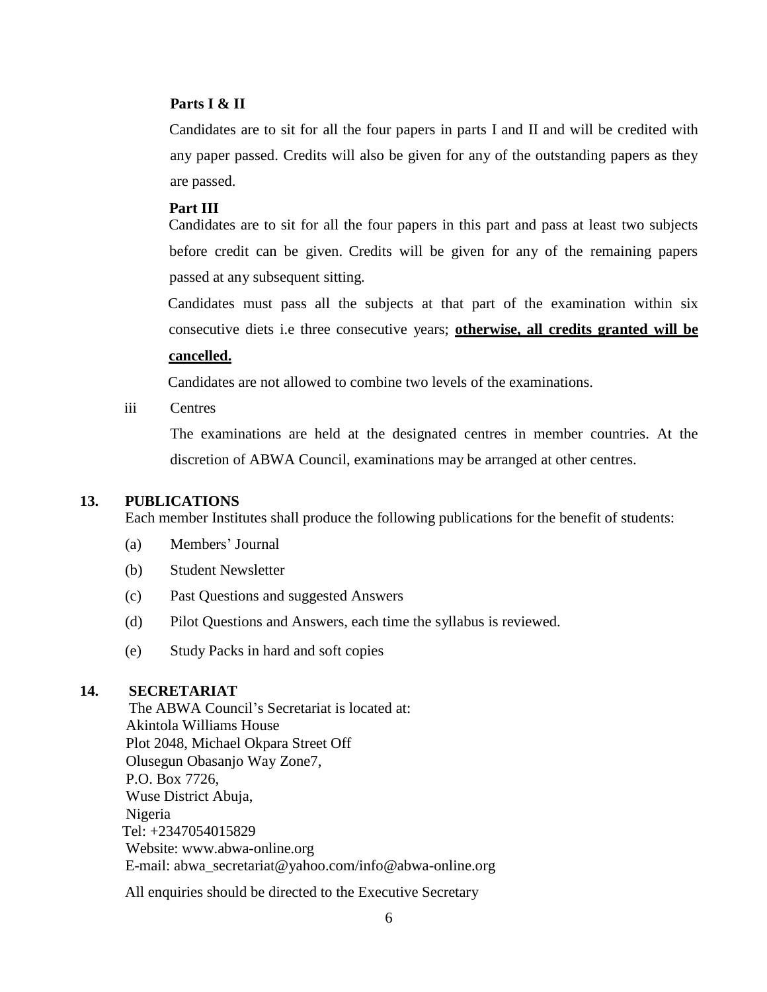#### **Parts I & II**

Candidates are to sit for all the four papers in parts I and II and will be credited with any paper passed. Credits will also be given for any of the outstanding papers as they are passed.

#### **Part III**

Candidates are to sit for all the four papers in this part and pass at least two subjects before credit can be given. Credits will be given for any of the remaining papers passed at any subsequent sitting.

Candidates must pass all the subjects at that part of the examination within six consecutive diets i.e three consecutive years; **otherwise, all credits granted will be cancelled.**

Candidates are not allowed to combine two levels of the examinations.

iii Centres

The examinations are held at the designated centres in member countries. At the discretion of ABWA Council, examinations may be arranged at other centres.

#### **13. PUBLICATIONS**

Each member Institutes shall produce the following publications for the benefit of students:

- (a) Members" Journal
- (b) Student Newsletter
- (c) Past Questions and suggested Answers
- (d) Pilot Questions and Answers, each time the syllabus is reviewed.
- (e) Study Packs in hard and soft copies

#### **14. SECRETARIAT**

The ABWA Council's Secretariat is located at: Akintola Williams House Plot 2048, Michael Okpara Street Off Olusegun Obasanjo Way Zone7, P.O. Box 7726, Wuse District Abuja, Nigeria Tel: [+2347](tel:234-)054015829 Website: www.abwa-online.org E-mail: abwa\_secretariat@yahoo.com/info@abwa-online.org

All enquiries should be directed to the Executive Secretary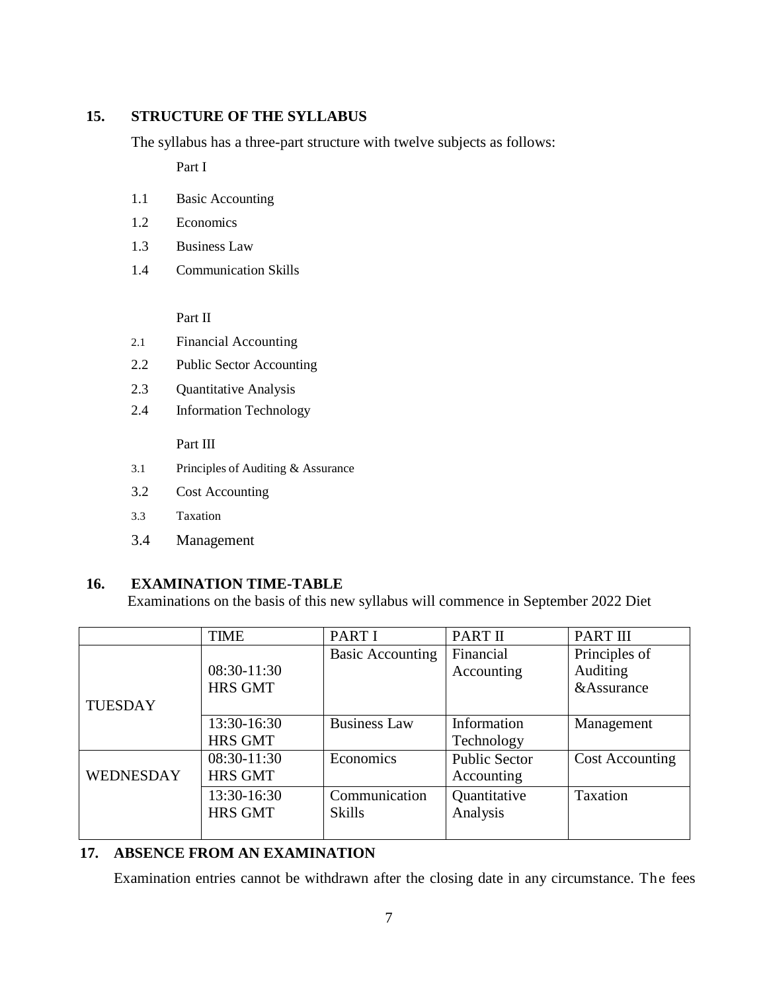#### **15. STRUCTURE OF THE SYLLABUS**

The syllabus has a three-part structure with twelve subjects as follows:

Part I

- 1.1 Basic Accounting
- 1.2 Economics
- 1.3 Business Law
- 1.4 Communication Skills

#### Part II

- 2.1 Financial Accounting
- 2.2 Public Sector Accounting
- 2.3 Quantitative Analysis
- 2.4 Information Technology

#### Part III

- 3.1 Principles of Auditing & Assurance
- 3.2 Cost Accounting
- 3.3 Taxation
- 3.4 Management

#### **16. EXAMINATION TIME-TABLE**

Examinations on the basis of this new syllabus will commence in September 2022 Diet

|                  | <b>TIME</b>    | PART I                  | PART II              | <b>PART III</b>        |
|------------------|----------------|-------------------------|----------------------|------------------------|
|                  |                | <b>Basic Accounting</b> | Financial            | Principles of          |
|                  | 08:30-11:30    |                         | Accounting           | Auditing               |
|                  | <b>HRS GMT</b> |                         |                      | &Assurance             |
| <b>TUESDAY</b>   |                |                         |                      |                        |
|                  | 13:30-16:30    | <b>Business Law</b>     | Information          | Management             |
|                  | <b>HRS GMT</b> |                         | Technology           |                        |
|                  | $08:30-11:30$  | Economics               | <b>Public Sector</b> | <b>Cost Accounting</b> |
| <b>WEDNESDAY</b> | <b>HRS GMT</b> |                         | Accounting           |                        |
|                  | 13:30-16:30    | Communication           | Quantitative         | Taxation               |
|                  | <b>HRS GMT</b> | <b>Skills</b>           | Analysis             |                        |
|                  |                |                         |                      |                        |

#### **17. ABSENCE FROM AN EXAMINATION**

Examination entries cannot be withdrawn after the closing date in any circumstance. The fees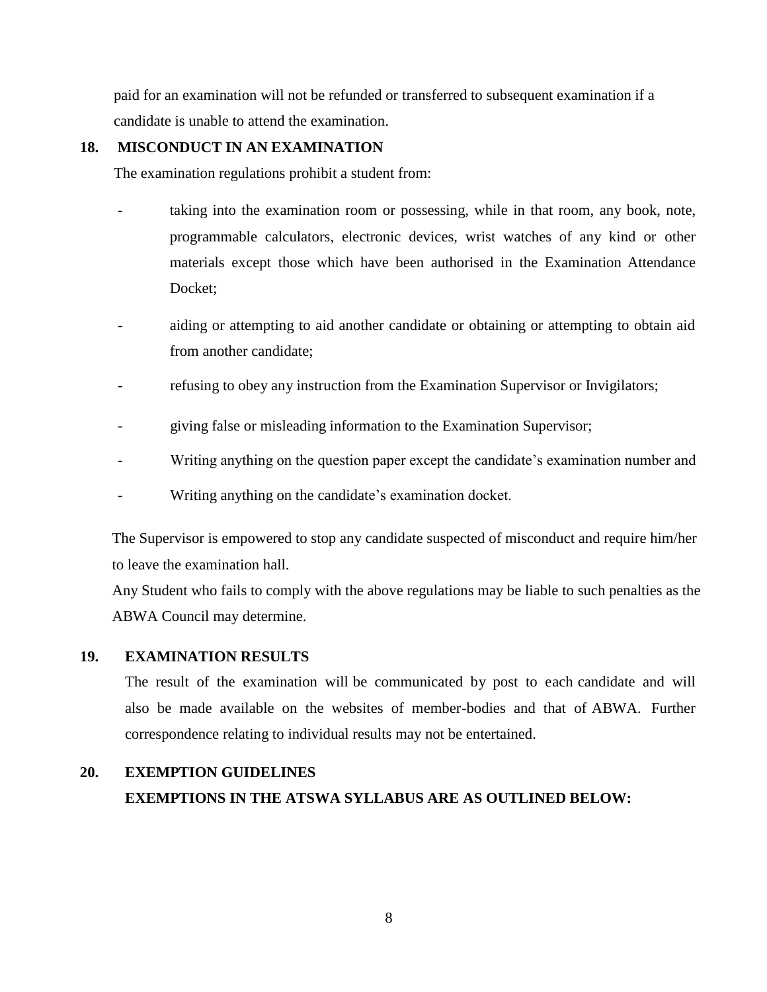paid for an examination will not be refunded or transferred to subsequent examination if a candidate is unable to attend the examination.

#### **18. MISCONDUCT IN AN EXAMINATION**

The examination regulations prohibit a student from:

- taking into the examination room or possessing, while in that room, any book, note, programmable calculators, electronic devices, wrist watches of any kind or other materials except those which have been authorised in the Examination Attendance Docket;
- aiding or attempting to aid another candidate or obtaining or attempting to obtain aid from another candidate;
- refusing to obey any instruction from the Examination Supervisor or Invigilators;
- giving false or misleading information to the Examination Supervisor;
- Writing anything on the question paper except the candidate's examination number and
- Writing anything on the candidate's examination docket.

The Supervisor is empowered to stop any candidate suspected of misconduct and require him/her to leave the examination hall.

Any Student who fails to comply with the above regulations may be liable to such penalties as the ABWA Council may determine.

#### **19. EXAMINATION RESULTS**

The result of the examination will be communicated by post to each candidate and will also be made available on the websites of member-bodies and that of ABWA. Further correspondence relating to individual results may not be entertained.

# **20. EXEMPTION GUIDELINES EXEMPTIONS IN THE ATSWA SYLLABUS ARE AS OUTLINED BELOW:**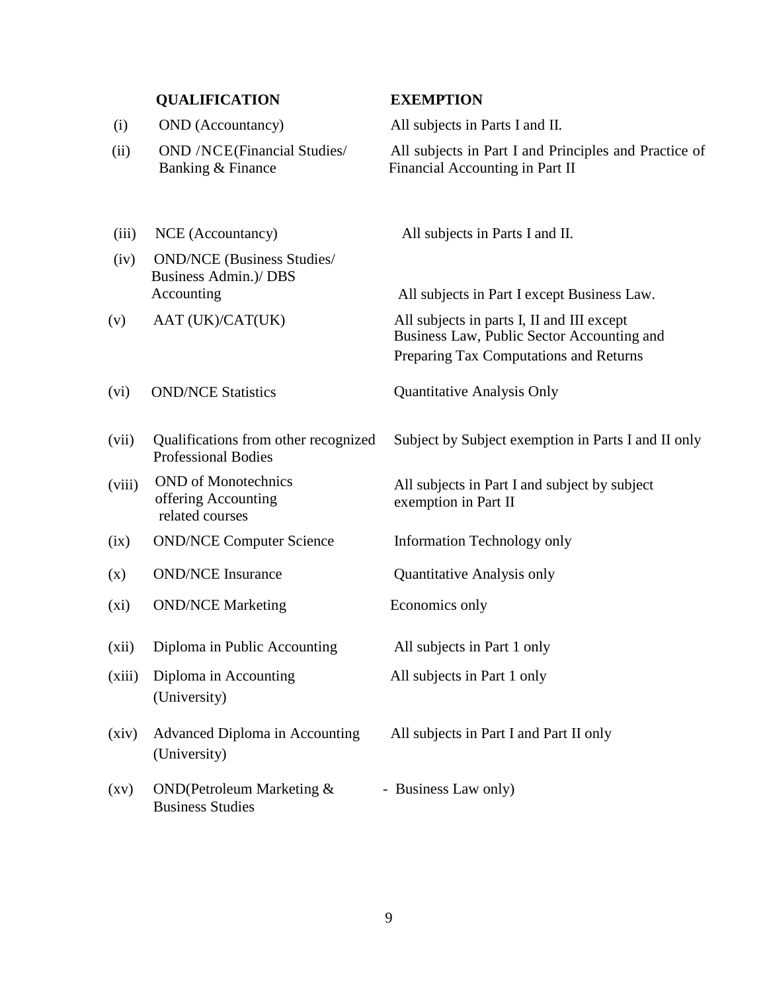|                    | <b>QUALIFICATION</b>                                                     | <b>EXEMPTION</b>                                                                                                                   |
|--------------------|--------------------------------------------------------------------------|------------------------------------------------------------------------------------------------------------------------------------|
| (i)                | <b>OND</b> (Accountancy)                                                 | All subjects in Parts I and II.                                                                                                    |
| (ii)               | <b>OND /NCE(Financial Studies/</b><br>Banking & Finance                  | All subjects in Part I and Principles and Practice of<br>Financial Accounting in Part II                                           |
| (iii)              | NCE (Accountancy)                                                        | All subjects in Parts I and II.                                                                                                    |
| (iv)               | <b>OND/NCE</b> (Business Studies/<br>Business Admin.)/ DBS<br>Accounting | All subjects in Part I except Business Law.                                                                                        |
| (v)                | AAT (UK)/CAT(UK)                                                         | All subjects in parts I, II and III except<br>Business Law, Public Sector Accounting and<br>Preparing Tax Computations and Returns |
| (vi)               | <b>OND/NCE Statistics</b>                                                | <b>Quantitative Analysis Only</b>                                                                                                  |
| (vii)              | Qualifications from other recognized<br><b>Professional Bodies</b>       | Subject by Subject exemption in Parts I and II only                                                                                |
| (viii)             | <b>OND</b> of Monotechnics<br>offering Accounting<br>related courses     | All subjects in Part I and subject by subject<br>exemption in Part II                                                              |
| (ix)               | <b>OND/NCE Computer Science</b>                                          | Information Technology only                                                                                                        |
| (x)                | <b>OND/NCE Insurance</b>                                                 | <b>Quantitative Analysis only</b>                                                                                                  |
| $(x_i)$            | <b>OND/NCE Marketing</b>                                                 | Economics only                                                                                                                     |
| (xii)              | Diploma in Public Accounting                                             | All subjects in Part 1 only                                                                                                        |
| (xiii)             | Diploma in Accounting<br>(University)                                    | All subjects in Part 1 only                                                                                                        |
| (xiv)              | Advanced Diploma in Accounting<br>(University)                           | All subjects in Part I and Part II only                                                                                            |
| $\left( xy\right)$ | <b>OND</b> (Petroleum Marketing &<br><b>Business Studies</b>             | - Business Law only)                                                                                                               |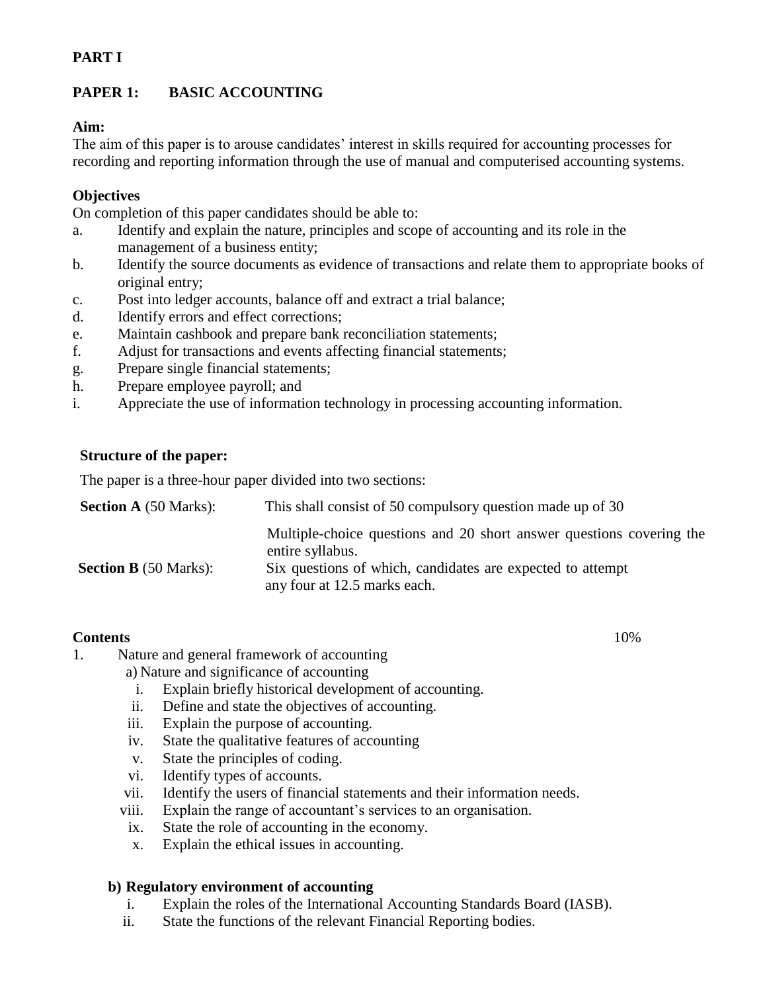#### **PART I**

### **PAPER 1: BASIC ACCOUNTING**

#### **Aim:**

The aim of this paper is to arouse candidates' interest in skills required for accounting processes for recording and reporting information through the use of manual and computerised accounting systems.

### **Objectives**

On completion of this paper candidates should be able to:

- a. Identify and explain the nature, principles and scope of accounting and its role in the management of a business entity;
- b. Identify the source documents as evidence of transactions and relate them to appropriate books of original entry;
- c. Post into ledger accounts, balance off and extract a trial balance;
- d. Identify errors and effect corrections;
- e. Maintain cashbook and prepare bank reconciliation statements;
- f. Adjust for transactions and events affecting financial statements;
- g. Prepare single financial statements;
- h. Prepare employee payroll; and
- i. Appreciate the use of information technology in processing accounting information.

#### **Structure of the paper:**

The paper is a three-hour paper divided into two sections:

| <b>Section A</b> (50 Marks): | This shall consist of 50 compulsory question made up of 30                                 |
|------------------------------|--------------------------------------------------------------------------------------------|
|                              | Multiple-choice questions and 20 short answer questions covering the<br>entire syllabus.   |
| <b>Section B</b> (50 Marks): | Six questions of which, candidates are expected to attempt<br>any four at 12.5 marks each. |

### **Contents** 10%

- 1. Nature and general framework of accounting
	- a) Nature and significance of accounting
		- i. Explain briefly historical development of accounting.
		- ii. Define and state the objectives of accounting.
		- iii. Explain the purpose of accounting.
		- iv. State the qualitative features of accounting
		- v. State the principles of coding.
		- vi. Identify types of accounts.
		- vii. Identify the users of financial statements and their information needs.
		- viii. Explain the range of accountant's services to an organisation.
		- ix. State the role of accounting in the economy.
		- x. Explain the ethical issues in accounting.

### **b) Regulatory environment of accounting**

- i. Explain the roles of the International Accounting Standards Board (IASB).
- ii. State the functions of the relevant Financial Reporting bodies.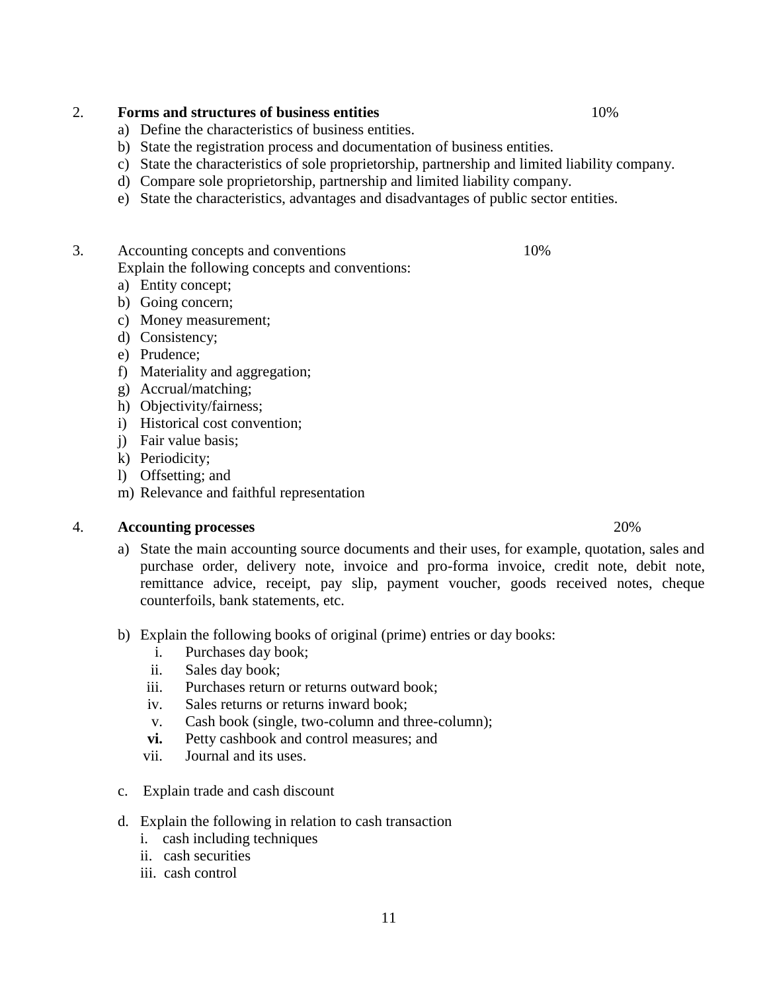#### 2. **Forms and structures of business entities** 10%

- a) Define the characteristics of business entities.
- b) State the registration process and documentation of business entities.
- c) State the characteristics of sole proprietorship, partnership and limited liability company.
- d) Compare sole proprietorship, partnership and limited liability company.
- e) State the characteristics, advantages and disadvantages of public sector entities.

## 3. Accounting concepts and conventions 10%

Explain the following concepts and conventions:

- a) Entity concept;
- b) Going concern;
- c) Money measurement;
- d) Consistency;
- e) Prudence;
- f) Materiality and aggregation;
- g) Accrual/matching;
- h) Objectivity/fairness;
- i) Historical cost convention;
- j) Fair value basis;
- k) Periodicity;
- l) Offsetting; and
- m) Relevance and faithful representation

#### 4. **Accounting processes** 20%

- a) State the main accounting source documents and their uses, for example, quotation, sales and purchase order, delivery note, invoice and pro-forma invoice, credit note, debit note, remittance advice, receipt, pay slip, payment voucher, goods received notes, cheque counterfoils, bank statements, etc.
- b) Explain the following books of original (prime) entries or day books:
	- i. Purchases day book;
	- ii. Sales day book;
	- iii. Purchases return or returns outward book;
	- iv. Sales returns or returns inward book;
	- v. Cash book (single, two-column and three-column);
	- **vi.** Petty cashbook and control measures; and
	- vii. Journal and its uses.
- c. Explain trade and cash discount
- d. Explain the following in relation to cash transaction
	- i. cash including techniques
	- ii. cash securities
	- iii. cash control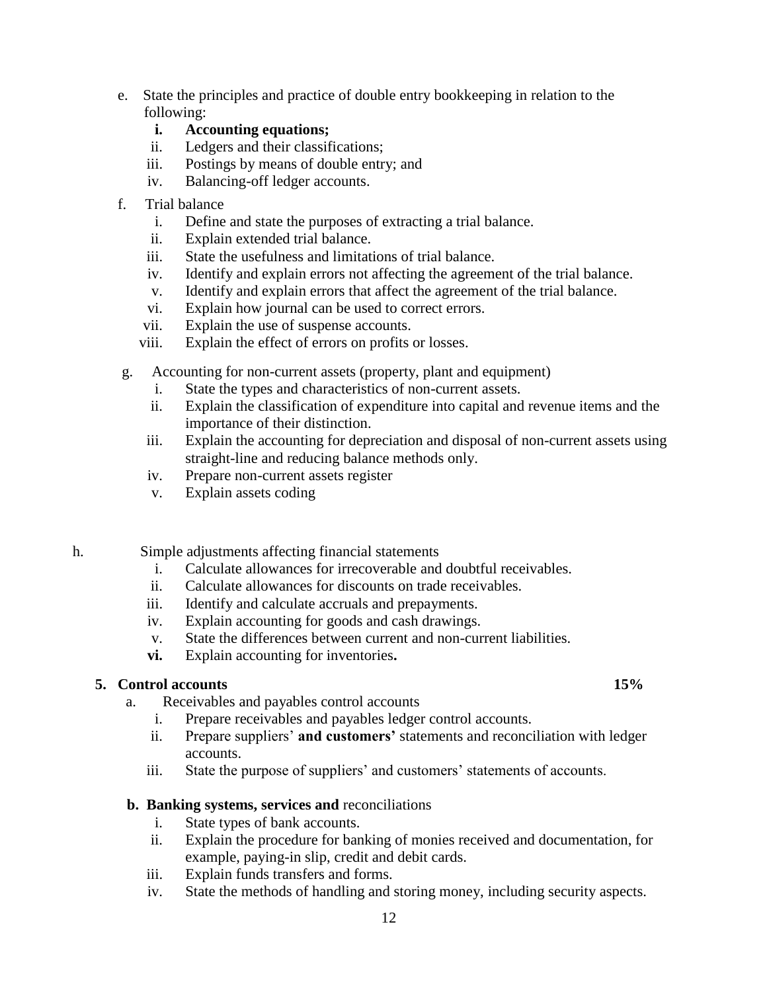e. State the principles and practice of double entry bookkeeping in relation to the following:

#### **i. Accounting equations;**

- ii. Ledgers and their classifications;
- iii. Postings by means of double entry; and
- iv. Balancing-off ledger accounts.
- f. Trial balance
	- i. Define and state the purposes of extracting a trial balance.
	- ii. Explain extended trial balance.
	- iii. State the usefulness and limitations of trial balance.
	- iv. Identify and explain errors not affecting the agreement of the trial balance.
	- v. Identify and explain errors that affect the agreement of the trial balance.
	- vi. Explain how journal can be used to correct errors.
	- vii. Explain the use of suspense accounts.
	- viii. Explain the effect of errors on profits or losses.
- g. Accounting for non-current assets (property, plant and equipment)
	- i. State the types and characteristics of non-current assets.
	- ii. Explain the classification of expenditure into capital and revenue items and the importance of their distinction.
	- iii. Explain the accounting for depreciation and disposal of non-current assets using straight-line and reducing balance methods only.
	- iv. Prepare non-current assets register
	- v. Explain assets coding
- h. Simple adjustments affecting financial statements
	- i. Calculate allowances for irrecoverable and doubtful receivables.
	- ii. Calculate allowances for discounts on trade receivables.
	- iii. Identify and calculate accruals and prepayments.
	- iv. Explain accounting for goods and cash drawings.
	- v. State the differences between current and non-current liabilities.
	- **vi.** Explain accounting for inventories**.**

#### **5. Control accounts 15%**

- a. Receivables and payables control accounts
	- i. Prepare receivables and payables ledger control accounts.
	- ii. Prepare suppliers" **and customers'** statements and reconciliation with ledger accounts.
	- iii. State the purpose of suppliers' and customers' statements of accounts.

#### **b. Banking systems, services and** reconciliations

- i. State types of bank accounts.
- ii. Explain the procedure for banking of monies received and documentation, for example, paying-in slip, credit and debit cards.
- iii. Explain funds transfers and forms.
- iv. State the methods of handling and storing money, including security aspects.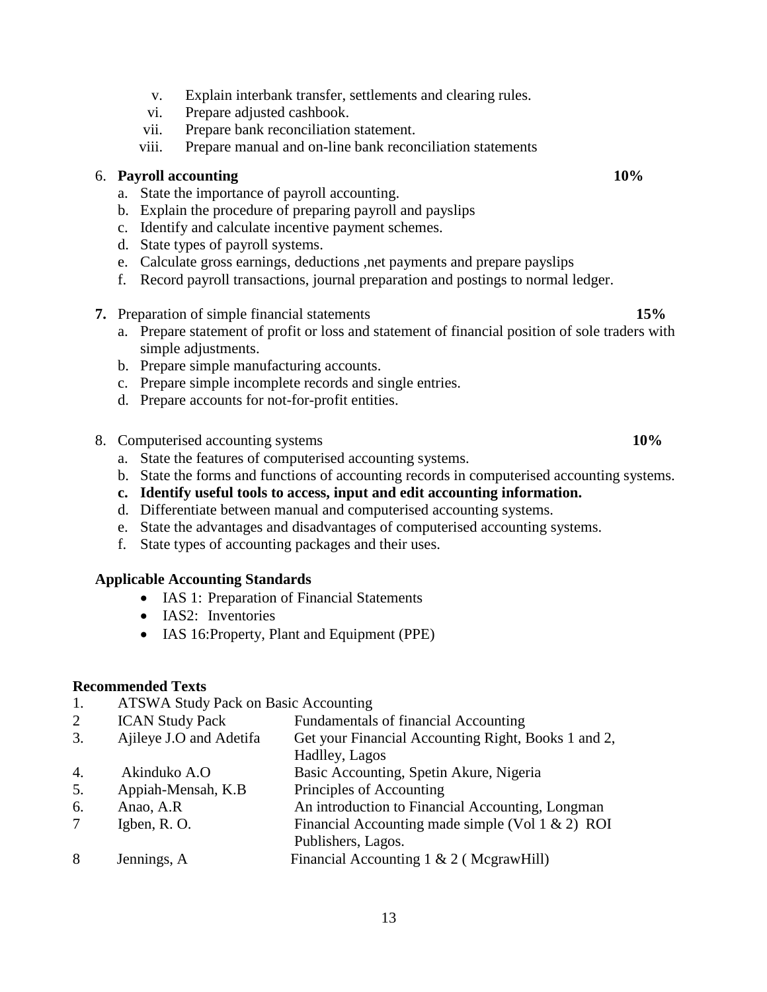- v. Explain interbank transfer, settlements and clearing rules.
- vi. Prepare adjusted cashbook.
- vii. Prepare bank reconciliation statement.
- viii. Prepare manual and on-line bank reconciliation statements

#### 6. **Payroll accounting 10%**

- a. State the importance of payroll accounting.
- b. Explain the procedure of preparing payroll and payslips
- c. Identify and calculate incentive payment schemes.
- d. State types of payroll systems.
- e. Calculate gross earnings, deductions ,net payments and prepare payslips
- f. Record payroll transactions, journal preparation and postings to normal ledger.
- **7.** Preparation of simple financial statements **15%**
	- a. Prepare statement of profit or loss and statement of financial position of sole traders with simple adjustments.
	- b. Prepare simple manufacturing accounts.
	- c. Prepare simple incomplete records and single entries.
	- d. Prepare accounts for not-for-profit entities.
- 8. Computerised accounting systems **10%**
	- a. State the features of computerised accounting systems.
	- b. State the forms and functions of accounting records in computerised accounting systems.
	- **c. Identify useful tools to access, input and edit accounting information.**
	- d. Differentiate between manual and computerised accounting systems.
	- e. State the advantages and disadvantages of computerised accounting systems.
	- f. State types of accounting packages and their uses.

#### **Applicable Accounting Standards**

- IAS 1: Preparation of Financial Statements
- IAS2: Inventories
- IAS 16: Property, Plant and Equipment (PPE)

#### **Recommended Texts**

- 1. ATSWA Study Pack on Basic Accounting
- 2 ICAN Study Pack Fundamentals of financial Accounting
- 3. Ajileye J.O and Adetifa Get your Financial Accounting Right, Books 1 and 2,
- Hadlley, Lagos
- 4. Akinduko A.O Basic Accounting, Spetin Akure, Nigeria
- 5. Appiah-Mensah, K.B Principles of Accounting
- 6. Anao, A.R An introduction to Financial Accounting, Longman
- 7 Igben, R. O. Financial Accounting made simple (Vol 1 & 2) ROI
- Publishers, Lagos.
- 8 Jennings, A Financial Accounting 1 & 2 ( McgrawHill)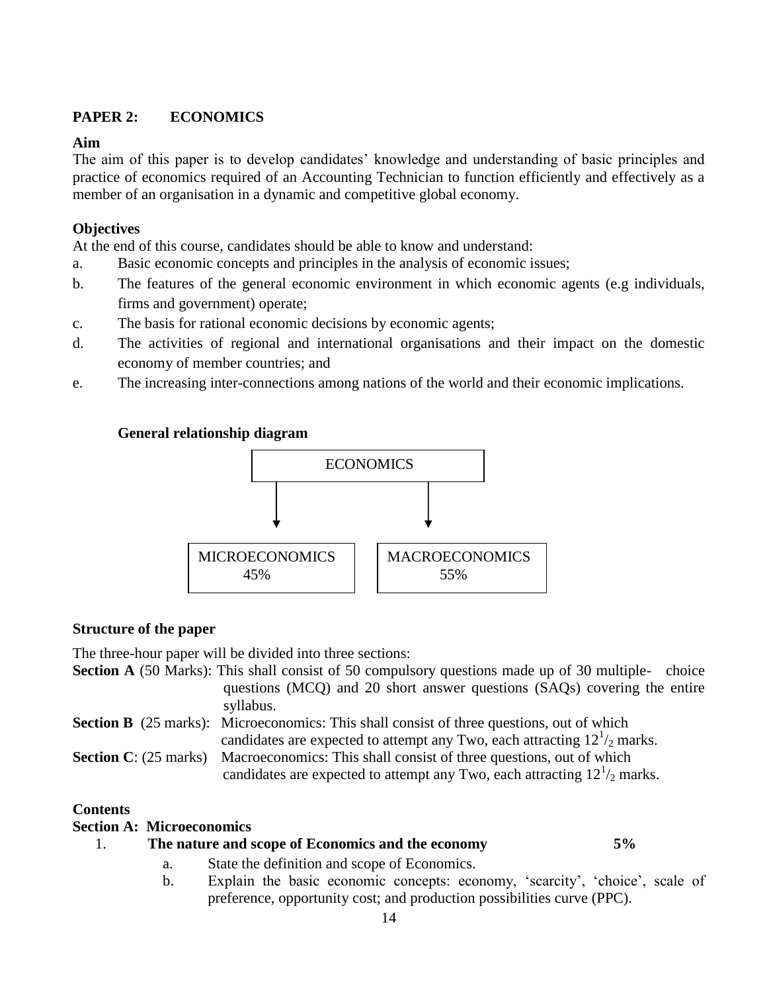### **PAPER 2: ECONOMICS**

#### **Aim**

The aim of this paper is to develop candidates' knowledge and understanding of basic principles and practice of economics required of an Accounting Technician to function efficiently and effectively as a member of an organisation in a dynamic and competitive global economy.

#### **Objectives**

At the end of this course, candidates should be able to know and understand:

- a. Basic economic concepts and principles in the analysis of economic issues;
- b. The features of the general economic environment in which economic agents (e.g individuals, firms and government) operate;
- c. The basis for rational economic decisions by economic agents;
- d. The activities of regional and international organisations and their impact on the domestic economy of member countries; and
- e. The increasing inter-connections among nations of the world and their economic implications.

#### **General relationship diagram**



#### **Structure of the paper**

The three-hour paper will be divided into three sections:

- **Section A** (50 Marks): This shall consist of 50 compulsory questions made up of 30 multiple- choice questions (MCQ) and 20 short answer questions (SAQs) covering the entire syllabus. **Section B** (25 marks): Microeconomics: This shall consist of three questions, out of which
- candidates are expected to attempt any Two, each attracting  $12^{1/2}$  marks. **Section C**: (25 marks) Macroeconomics: This shall consist of three questions, out of which **2** candidates are expected to attempt any Two, each attracting  $12^{1/2}$  marks.

#### **Contents**

| <b>Section A: Microeconomics</b>                  |    |
|---------------------------------------------------|----|
| The nature and scope of Economics and the economy | 5% |

- a. State the definition and scope of Economics.
- b. Explain the basic economic concepts: economy, "scarcity", "choice", scale of preference, opportunity cost; and production possibilities curve (PPC).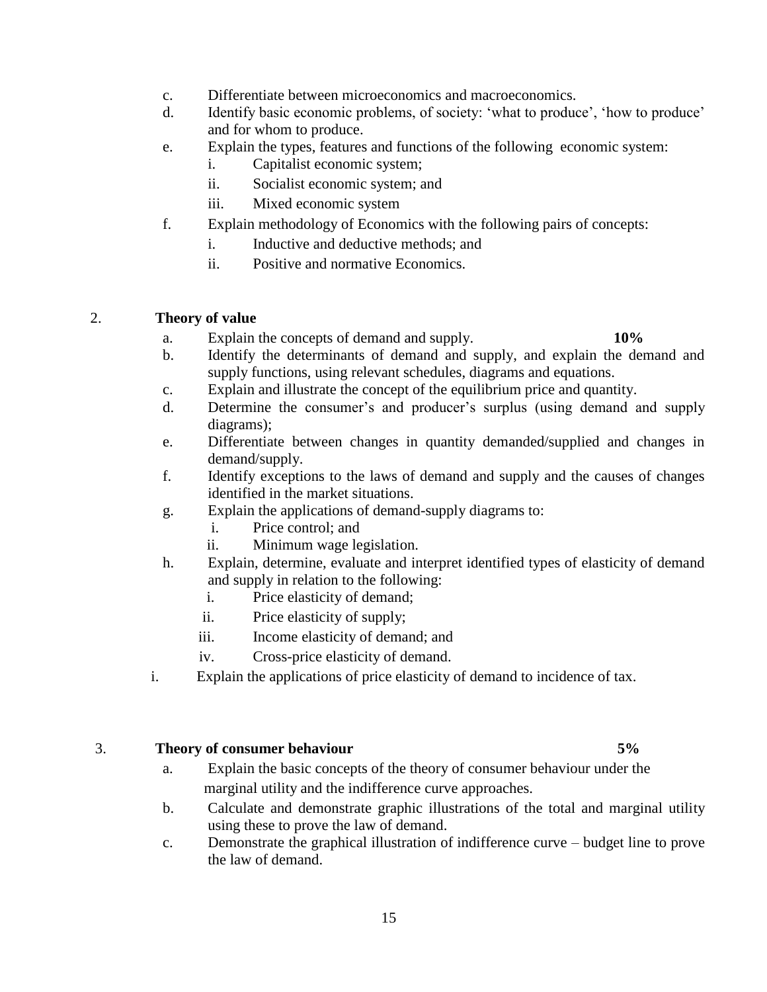- c. Differentiate between microeconomics and macroeconomics.
- d. Identify basic economic problems, of society: "what to produce", "how to produce" and for whom to produce.
- e. Explain the types, features and functions of the following economic system:
	- i. Capitalist economic system;
	- ii. Socialist economic system; and
	- iii. Mixed economic system
- f. Explain methodology of Economics with the following pairs of concepts:
	- i. Inductive and deductive methods; and
	- ii. Positive and normative Economics.

#### 2. **Theory of value**

a. Explain the concepts of demand and supply. **10%**

- b. Identify the determinants of demand and supply, and explain the demand and supply functions, using relevant schedules, diagrams and equations.
- c. Explain and illustrate the concept of the equilibrium price and quantity.
- d. Determine the consumer's and producer's surplus (using demand and supply diagrams);
- e. Differentiate between changes in quantity demanded/supplied and changes in demand/supply.
- f. Identify exceptions to the laws of demand and supply and the causes of changes identified in the market situations.
- g. Explain the applications of demand-supply diagrams to:
	- i. Price control; and
	- ii. Minimum wage legislation.
- h. Explain, determine, evaluate and interpret identified types of elasticity of demand and supply in relation to the following:
	- i. Price elasticity of demand;
	- ii. Price elasticity of supply;
	- iii. Income elasticity of demand; and
	- iv. Cross-price elasticity of demand.
- i. Explain the applications of price elasticity of demand to incidence of tax.

#### 3. **Theory of consumer behaviour 5%**

- a. Explain the basic concepts of the theory of consumer behaviour under the marginal utility and the indifference curve approaches.
- b. Calculate and demonstrate graphic illustrations of the total and marginal utility using these to prove the law of demand.
- c. Demonstrate the graphical illustration of indifference curve budget line to prove the law of demand.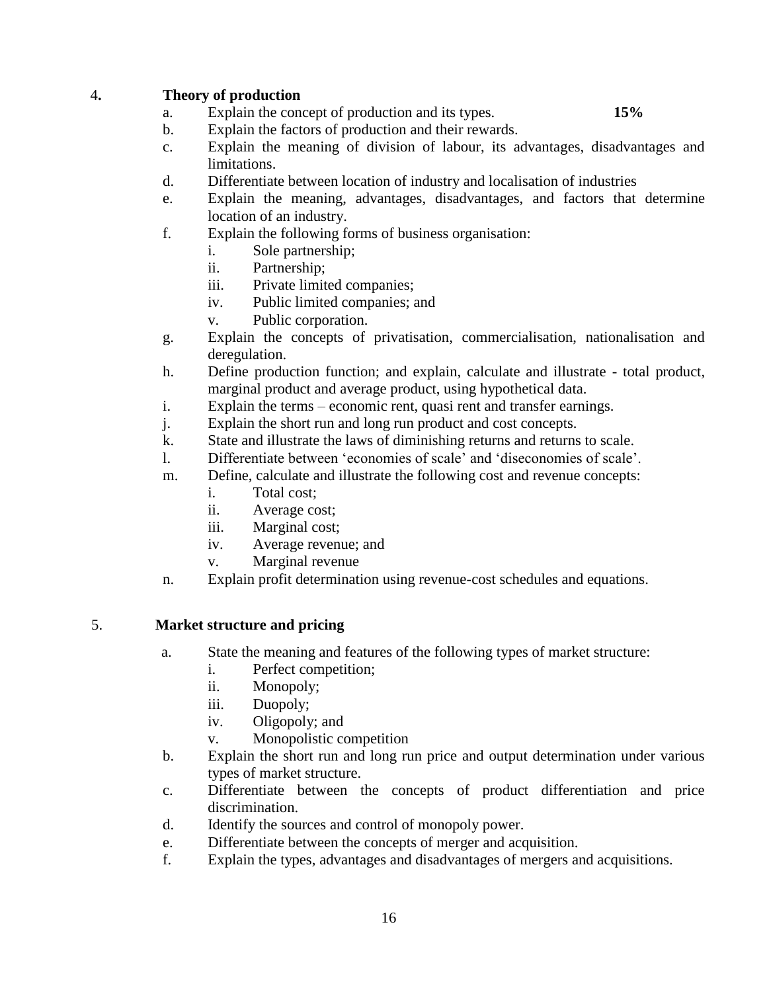#### 4**. Theory of production**

- a. Explain the concept of production and its types. **15%**
- b. Explain the factors of production and their rewards.
- c. Explain the meaning of division of labour, its advantages, disadvantages and limitations.
- d. Differentiate between location of industry and localisation of industries
- e. Explain the meaning, advantages, disadvantages, and factors that determine location of an industry.
- f. Explain the following forms of business organisation:
	- i. Sole partnership;
	- ii. Partnership;
	- iii. Private limited companies;
	- iv. Public limited companies; and
	- v. Public corporation.
- g. Explain the concepts of privatisation, commercialisation, nationalisation and deregulation.
- h. Define production function; and explain, calculate and illustrate total product, marginal product and average product, using hypothetical data.
- i. Explain the terms economic rent, quasi rent and transfer earnings.
- j. Explain the short run and long run product and cost concepts.
- k. State and illustrate the laws of diminishing returns and returns to scale.
- l. Differentiate between "economies of scale" and "diseconomies of scale".
- m. Define, calculate and illustrate the following cost and revenue concepts:
	- i. Total cost;
	- ii. Average cost;
	- iii. Marginal cost;
	- iv. Average revenue; and
	- v. Marginal revenue
- n. Explain profit determination using revenue-cost schedules and equations.

#### 5. **Market structure and pricing**

- a. State the meaning and features of the following types of market structure:
	- i. Perfect competition;
	- ii. Monopoly;
	- iii. Duopoly;
	- iv. Oligopoly; and
	- v. Monopolistic competition
- b. Explain the short run and long run price and output determination under various types of market structure.
- c. Differentiate between the concepts of product differentiation and price discrimination.
- d. Identify the sources and control of monopoly power.
- e. Differentiate between the concepts of merger and acquisition.
- f. Explain the types, advantages and disadvantages of mergers and acquisitions.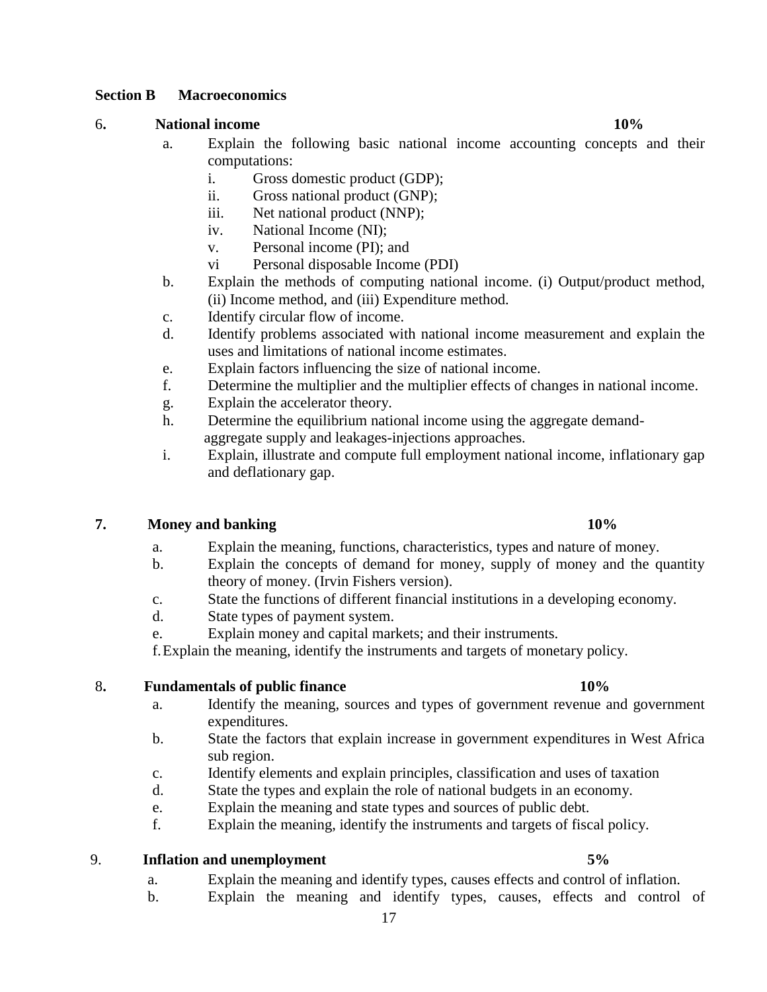#### **Section B Macroeconomics**

#### 6**. National income 10%**

- a. Explain the following basic national income accounting concepts and their computations:
	- i. Gross domestic product (GDP);
	- ii. Gross national product (GNP);
	- iii. Net national product (NNP);
	- iv. National Income (NI);
	- v. Personal income (PI); and
	- vi Personal disposable Income (PDI)
- b. Explain the methods of computing national income. (i) Output/product method, (ii) Income method, and (iii) Expenditure method.
- c. Identify circular flow of income.
- d. Identify problems associated with national income measurement and explain the uses and limitations of national income estimates.
- e. Explain factors influencing the size of national income.
- f. Determine the multiplier and the multiplier effects of changes in national income.
- g. Explain the accelerator theory.
- h. Determine the equilibrium national income using the aggregate demand aggregate supply and leakages-injections approaches.
- i. Explain, illustrate and compute full employment national income, inflationary gap and deflationary gap.

#### **7. Money and banking 10%**

- a. Explain the meaning, functions, characteristics, types and nature of money.
- b. Explain the concepts of demand for money, supply of money and the quantity theory of money. (Irvin Fishers version).
- c. State the functions of different financial institutions in a developing economy.
- d. State types of payment system.
- e. Explain money and capital markets; and their instruments.

f.Explain the meaning, identify the instruments and targets of monetary policy.

#### 8**. Fundamentals of public finance 10%**

- a. Identify the meaning, sources and types of government revenue and government expenditures.
- b. State the factors that explain increase in government expenditures in West Africa sub region.
- c. Identify elements and explain principles, classification and uses of taxation
- d. State the types and explain the role of national budgets in an economy.
- e. Explain the meaning and state types and sources of public debt.
- f. Explain the meaning, identify the instruments and targets of fiscal policy.

#### 9. **Inflation and unemployment 5%**

- a. Explain the meaning and identify types, causes effects and control of inflation.
- b. Explain the meaning and identify types, causes, effects and control of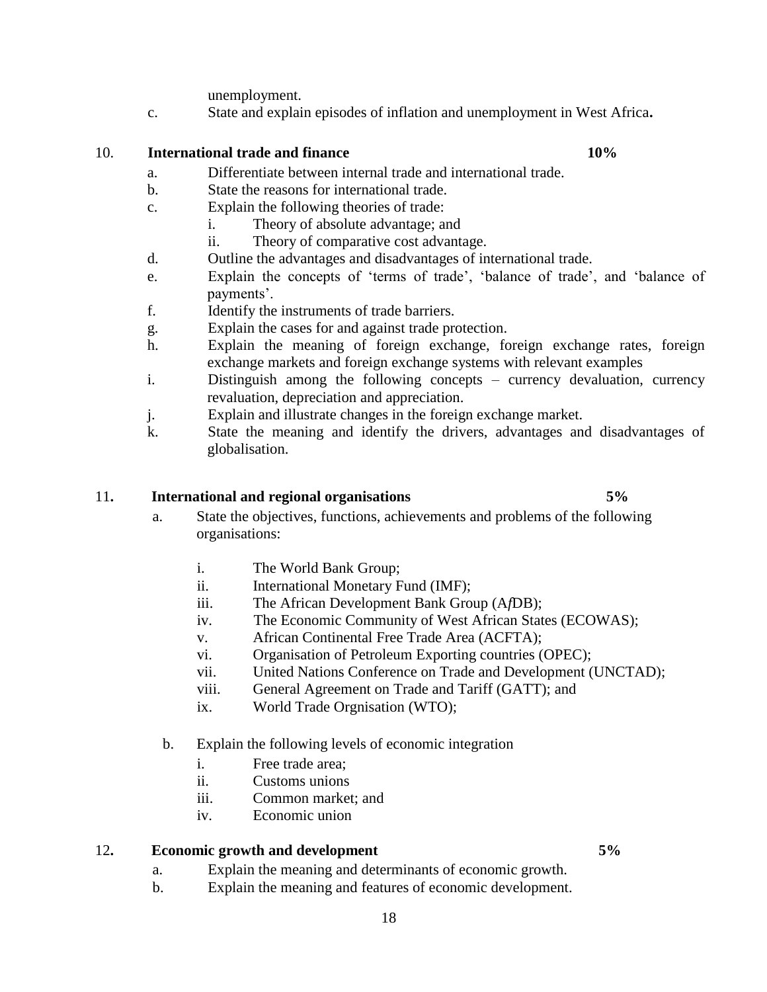unemployment.

c. State and explain episodes of inflation and unemployment in West Africa**.**

#### 10. **International trade and finance 10%**

- a. Differentiate between internal trade and international trade.
- b. State the reasons for international trade.
- c. Explain the following theories of trade:
	- i. Theory of absolute advantage; and
	- ii. Theory of comparative cost advantage.
- d. Outline the advantages and disadvantages of international trade.
- e. Explain the concepts of "terms of trade", "balance of trade", and "balance of payments'.
- f. Identify the instruments of trade barriers.
- g. Explain the cases for and against trade protection.
- h. Explain the meaning of foreign exchange, foreign exchange rates, foreign exchange markets and foreign exchange systems with relevant examples
- i. Distinguish among the following concepts currency devaluation, currency revaluation, depreciation and appreciation.
- j. Explain and illustrate changes in the foreign exchange market.
- k. State the meaning and identify the drivers, advantages and disadvantages of globalisation.

#### 11**. International and regional organisations 5%**

- a. State the objectives, functions, achievements and problems of the following organisations:
	- i. The World Bank Group;
	- ii. International Monetary Fund (IMF);
	- iii. The African Development Bank Group (A*f*DB);
	- iv. The Economic Community of West African States (ECOWAS);
	- v. African Continental Free Trade Area (ACFTA);
	- vi. Organisation of Petroleum Exporting countries (OPEC);
	- vii. United Nations Conference on Trade and Development (UNCTAD);
	- viii. General Agreement on Trade and Tariff (GATT); and
	- ix. World Trade Orgnisation (WTO);

#### b. Explain the following levels of economic integration

- i. Free trade area;
- ii. Customs unions
- iii. Common market; and
- iv. Economic union

#### 12**. Economic growth and development 5%**

- a. Explain the meaning and determinants of economic growth.
- b. Explain the meaning and features of economic development.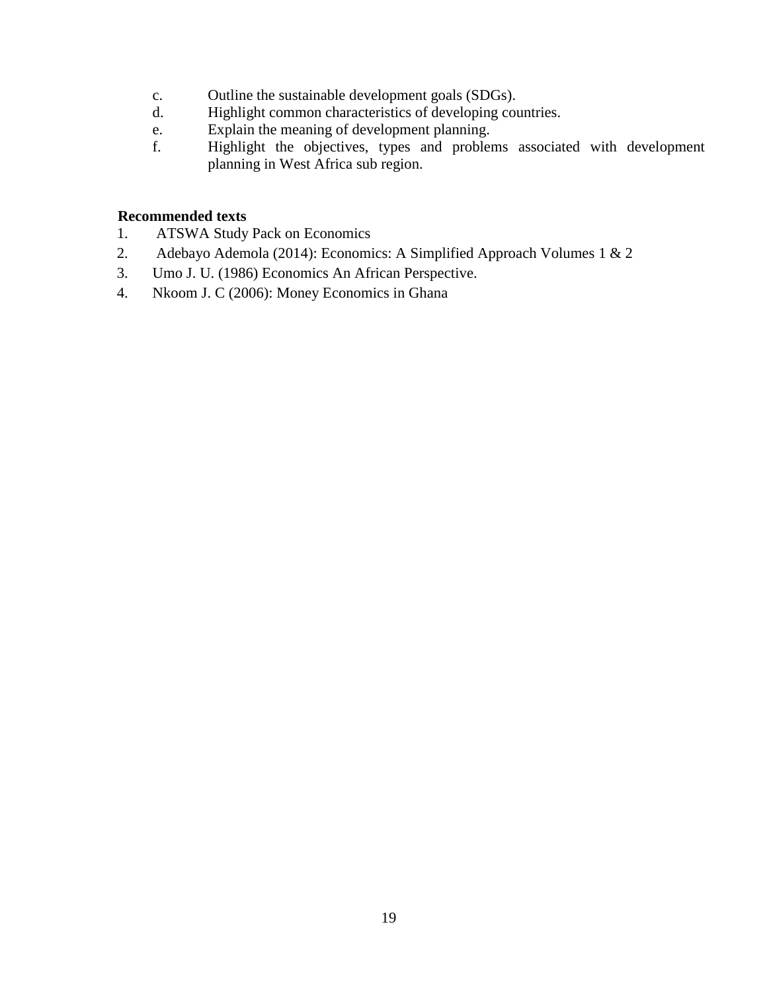- c. Outline the sustainable development goals (SDGs).
- d. Highlight common characteristics of developing countries.
- e. Explain the meaning of development planning.
- f. Highlight the objectives, types and problems associated with development planning in West Africa sub region.

#### **Recommended texts**

- 1. ATSWA Study Pack on Economics
- 2. Adebayo Ademola (2014): Economics: A Simplified Approach Volumes 1 & 2
- 3. Umo J. U. (1986) Economics An African Perspective.
- 4. Nkoom J. C (2006): Money Economics in Ghana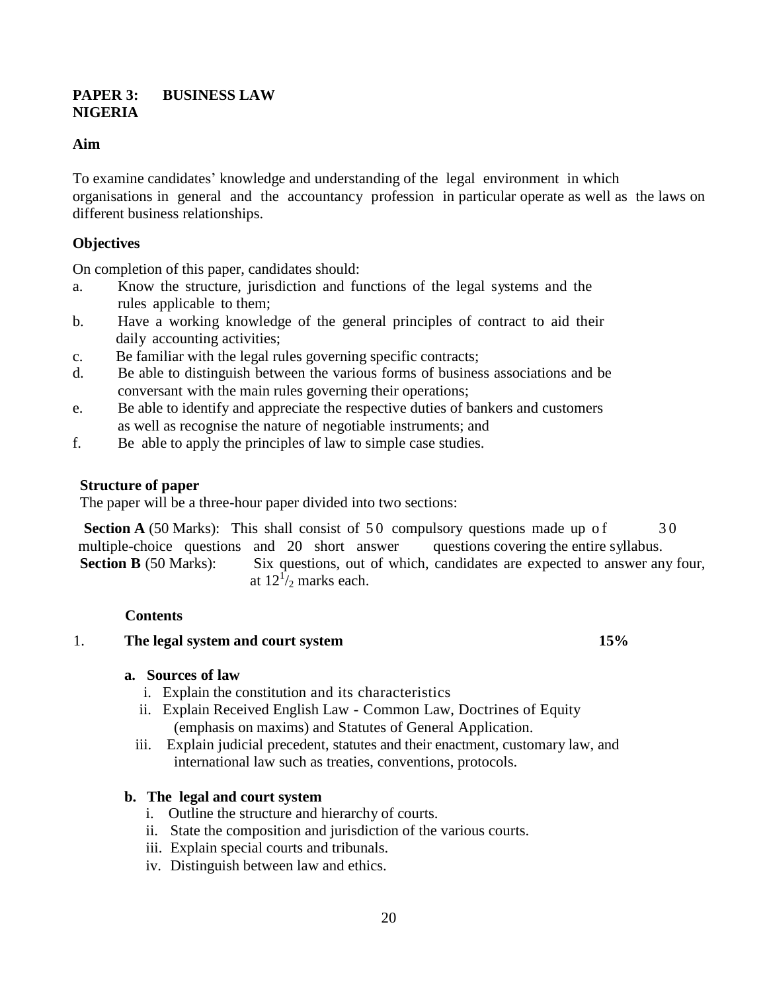#### **PAPER 3: BUSINESS LAW NIGERIA**

#### **Aim**

To examine candidates' knowledge and understanding of the legal environment in which organisations in general and the accountancy profession in particular operate as well as the laws on different business relationships.

#### **Objectives**

On completion of this paper, candidates should:

- a. Know the structure, jurisdiction and functions of the legal systems and the rules applicable to them;
- b. Have a working knowledge of the general principles of contract to aid their daily accounting activities;
- c. Be familiar with the legal rules governing specific contracts;
- d. Be able to distinguish between the various forms of business associations and be conversant with the main rules governing their operations;
- e. Be able to identify and appreciate the respective duties of bankers and customers as well as recognise the nature of negotiable instruments; and
- f. Be able to apply the principles of law to simple case studies.

#### **Structure of paper**

The paper will be a three-hour paper divided into two sections:

**Section A** (50 Marks): This shall consist of 50 compulsory questions made up of 30 multiple-choice questions and 20 short answer questions covering the entire syllabus. **Section B** (50 Marks): Six questions, out of which, candidates are expected to answer any four, at  $12^{17}/2$  marks each.

#### **Contents**

#### 1. The legal system and court system 15%

### **a. Sources of law**

- i. Explain the constitution and its characteristics
- ii. Explain Received English Law Common Law, Doctrines of Equity (emphasis on maxims) and Statutes of General Application.
- iii. Explain judicial precedent, statutes and their enactment, customary law, and international law such as treaties, conventions, protocols.

#### **b. The legal and court system**

- i. Outline the structure and hierarchy of courts.
- ii.State the composition and jurisdiction of the various courts.
- iii. Explain special courts and tribunals.
- iv. Distinguish between law and ethics.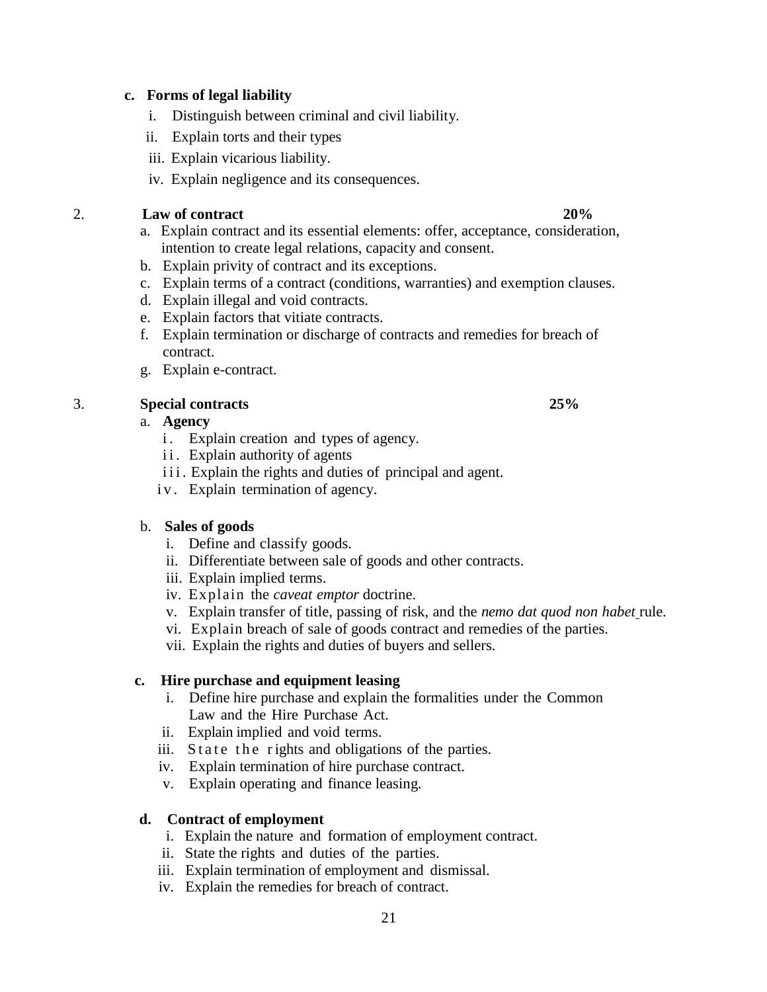#### **c. Forms of legal liability**

- i. Distinguish between criminal and civil liability.
- ii. Explain torts and their types
- iii. Explain vicarious liability.
- iv. Explain negligence and its consequences.

#### 2. **Law of contract 20%**

- a. Explain contract and its essential elements: offer, acceptance, consideration, intention to create legal relations, capacity and consent.
- b. Explain privity of contract and its exceptions.
- c. Explain terms of a contract (conditions, warranties) and exemption clauses.
- d. Explain illegal and void contracts.
- e. Explain factors that vitiate contracts.
- f. Explain termination or discharge of contracts and remedies for breach of contract.
- g. Explain e-contract.

#### 3. **Special contracts 25%**

#### a. **Agency**

- i. Explain creation and types of agency.
- ii. Explain authority of agents
- iii. Explain the rights and duties of principal and agent.
- iv. Explain termination of agency.

#### b. **Sales of goods**

- i. Define and classify goods.
- ii. Differentiate between sale of goods and other contracts.
- iii. Explain implied terms.
- iv. Explain the *caveat emptor* doctrine.
- v. Explain transfer of title, passing of risk, and the *nemo dat quod non habet* rule.
- vi. Explain breach of sale of goods contract and remedies of the parties.
- vii. Explain the rights and duties of buyers and sellers.

#### **c. Hire purchase and equipment leasing**

- i. Define hire purchase and explain the formalities under the Common Law and the Hire Purchase Act.
- ii. Explain implied and void terms.
- iii. State the rights and obligations of the parties.
- iv. Explain termination of hire purchase contract.
- v. Explain operating and finance leasing.

#### **d. Contract of employment**

- i. Explain the nature and formation of employment contract.
- ii. State the rights and duties of the parties.
- iii. Explain termination of employment and dismissal.
- iv. Explain the remedies for breach of contract.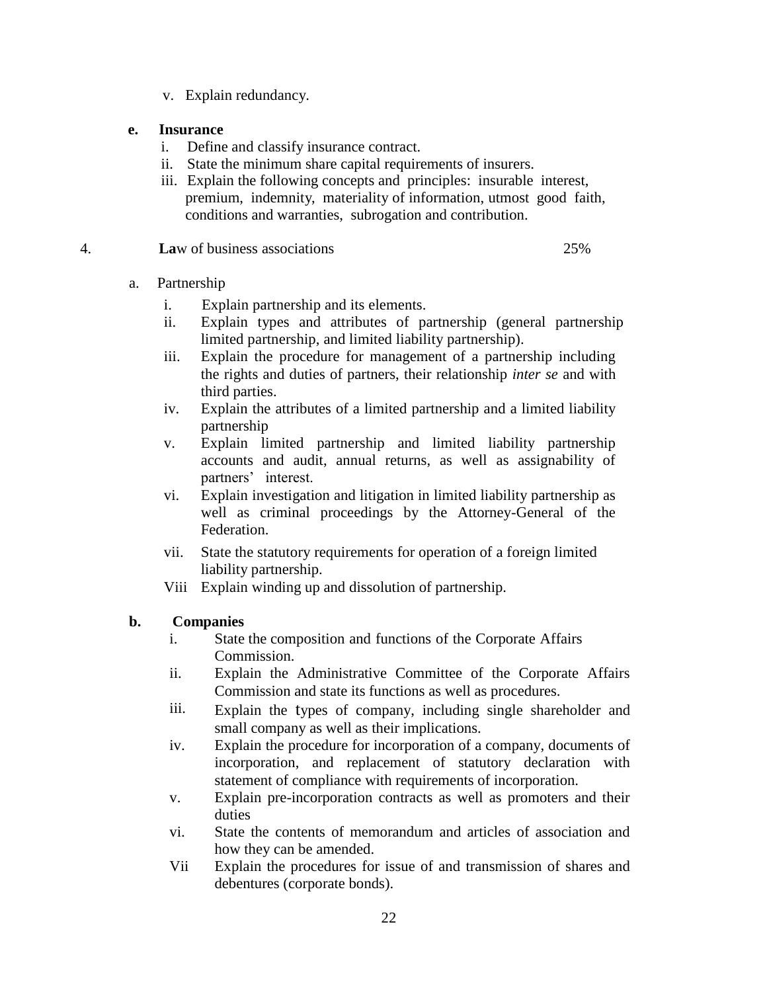v. Explain redundancy.

#### **e. Insurance**

- i. Define and classify insurance contract.
- ii. State the minimum share capital requirements of insurers.
- iii. Explain the following concepts and principles: insurable interest, premium, indemnity, materiality of information, utmost good faith, conditions and warranties, subrogation and contribution.

#### 4. **La**w of business associations 25%

#### a. Partnership

- i. Explain partnership and its elements.
- ii. Explain types and attributes of partnership (general partnership, limited partnership, and limited liability partnership).
- iii. Explain the procedure for management of a partnership including the rights and duties of partners, their relationship *inter se* and with third parties.
- iv. Explain the attributes of a limited partnership and a limited liability partnership
- v. Explain limited partnership and limited liability partnership accounts and audit, annual returns, as well as assignability of partners' interest.
- vi. Explain investigation and litigation in limited liability partnership as well as criminal proceedings by the Attorney-General of the Federation.
- vii. State the statutory requirements for operation of a foreign limited liability partnership.
- Viii Explain winding up and dissolution of partnership.

#### **b. Companies**

- i. State the composition and functions of the Corporate Affairs Commission.
- ii. Explain the Administrative Committee of the Corporate Affairs Commission and state its functions as well as procedures.
- iii. Explain the types of company, including single shareholder and small company as well as their implications.
- iv. Explain the procedure for incorporation of a company, documents of incorporation, and replacement of statutory declaration with statement of compliance with requirements of incorporation.
- v. Explain pre-incorporation contracts as well as promoters and their duties
- vi. State the contents of memorandum and articles of association and how they can be amended.
- Vii Explain the procedures for issue of and transmission of shares and debentures (corporate bonds).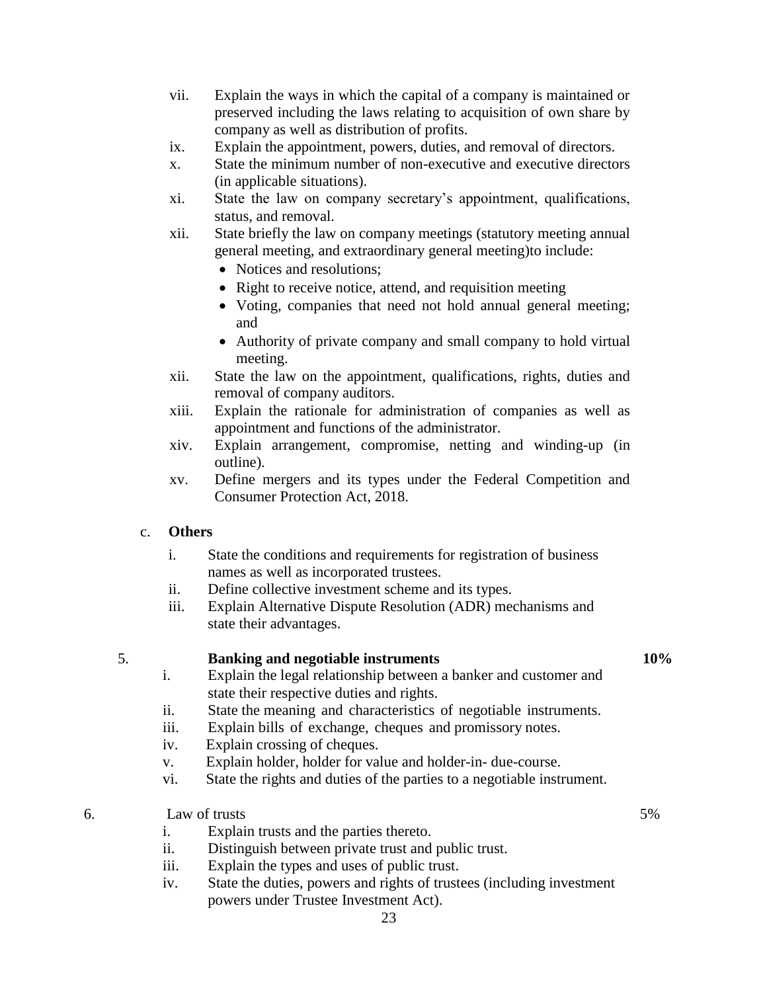- vii. Explain the ways in which the capital of a company is maintained or preserved including the laws relating to acquisition of own share by company as well as distribution of profits.
- ix. Explain the appointment, powers, duties, and removal of directors.
- x. State the minimum number of non-executive and executive directors (in applicable situations).
- xi. State the law on company secretary"s appointment, qualifications, status, and removal.
- xii. State briefly the law on company meetings (statutory meeting annual general meeting, and extraordinary general meeting)to include:
	- Notices and resolutions;
	- Right to receive notice, attend, and requisition meeting
	- Voting, companies that need not hold annual general meeting; and
	- Authority of private company and small company to hold virtual meeting.
- xii. State the law on the appointment, qualifications, rights, duties and removal of company auditors.
- xiii. Explain the rationale for administration of companies as well as appointment and functions of the administrator.
- xiv. Explain arrangement, compromise, netting and winding-up (in outline).
- xv. Define mergers and its types under the Federal Competition and Consumer Protection Act, 2018.

#### c. **Others**

- i. State the conditions and requirements for registration of business names as well as incorporated trustees.
- ii. Define collective investment scheme and its types.
- iii. Explain Alternative Dispute Resolution (ADR) mechanisms and state their advantages.

#### 5. **Banking and negotiable instruments 10%**

- i. Explain the legal relationship between a banker and customer and state their respective duties and rights.
- ii. State the meaning and characteristics of negotiable instruments.
- iii. Explain bills of exchange, cheques and promissory notes.
- iv. Explain crossing of cheques.
- v. Explain holder, holder for value and holder-in- due-course.
- vi. State the rights and duties of the parties to a negotiable instrument.
- 6. Law of trusts 5%
	- i. Explain trusts and the parties thereto.
	- ii. Distinguish between private trust and public trust.
	- iii. Explain the types and uses of public trust.
	- iv. State the duties, powers and rights of trustees (including investment powers under Trustee Investment Act).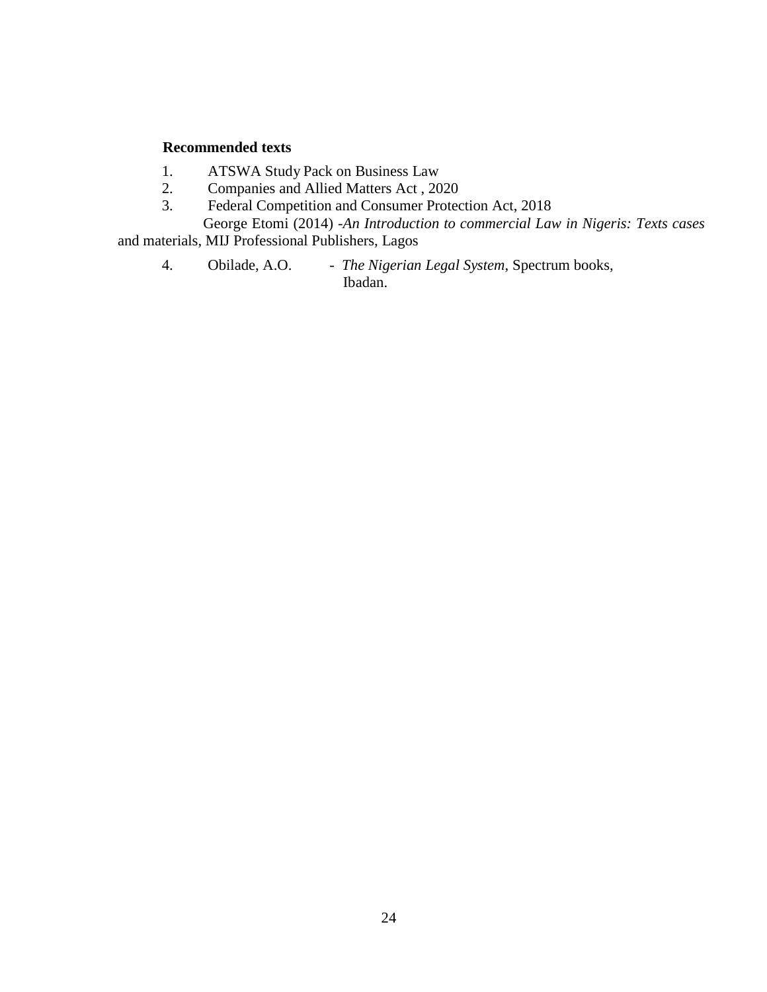#### **Recommended texts**

- 1. ATSWA Study Pack on Business Law
- 2. Companies and Allied Matters Act , 2020
- 3. Federal Competition and Consumer Protection Act, 2018
- George Etomi (2014) -*An Introduction to commercial Law in Nigeris: Texts cases* and materials, MIJ Professional Publishers, Lagos
	- 4. Obilade, A.O. *The Nigerian Legal System*, Spectrum books, Ibadan.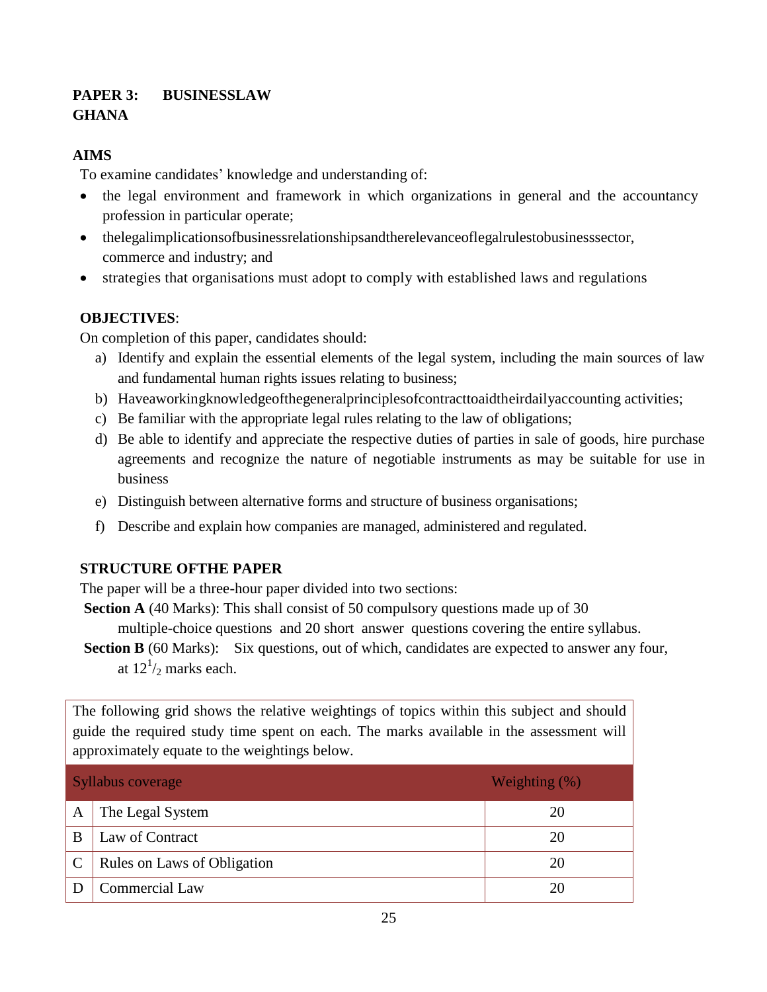### **PAPER 3: BUSINESSLAW GHANA**

#### **AIMS**

To examine candidates' knowledge and understanding of:

- the legal environment and framework in which organizations in general and the accountancy profession in particular operate;
- thelegalimplicationsofbusinessrelationshipsandtherelevanceoflegalrulestobusinesssector, commerce and industry; and
- strategies that organisations must adopt to comply with established laws and regulations

#### **OBJECTIVES**:

On completion of this paper, candidates should:

- a) Identify and explain the essential elements of the legal system, including the main sources of law and fundamental human rights issues relating to business;
- b) Haveaworkingknowledgeofthegeneralprinciplesofcontracttoaidtheirdailyaccounting activities;
- c) Be familiar with the appropriate legal rules relating to the law of obligations;
- d) Be able to identify and appreciate the respective duties of parties in sale of goods, hire purchase agreements and recognize the nature of negotiable instruments as may be suitable for use in business
- e) Distinguish between alternative forms and structure of business organisations;
- f) Describe and explain how companies are managed, administered and regulated.

#### **STRUCTURE OFTHE PAPER**

The paper will be a three-hour paper divided into two sections:

**Section A** (40 Marks): This shall consist of 50 compulsory questions made up of 30

multiple-choice questions and 20 short answer questions covering the entire syllabus.

**Section B** (60 Marks): Six questions, out of which, candidates are expected to answer any four, at  $12^{1/2}$  marks each.

The following grid shows the relative weightings of topics within this subject and should guide the required study time spent on each. The marks available in the assessment will approximately equate to the weightings below.

| Syllabus coverage |                             | Weighting $(\%)$ |
|-------------------|-----------------------------|------------------|
| A                 | The Legal System            | 20               |
| B                 | Law of Contract             | 20               |
| $\mathsf{C}$      | Rules on Laws of Obligation | 20               |
|                   | <b>Commercial Law</b>       | 20               |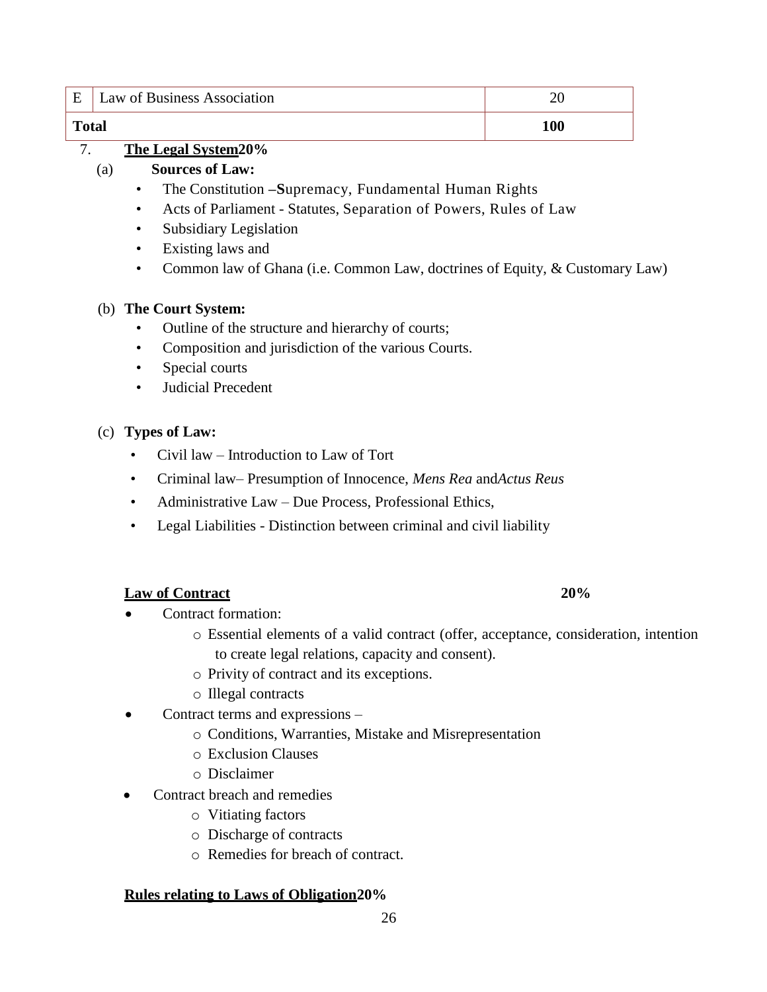|              | E   Law of Business Association |     |
|--------------|---------------------------------|-----|
| <b>Total</b> |                                 | 100 |

#### 7. **The Legal System20%**

#### (a) **Sources of Law:**

- The Constitution **–S**upremacy, Fundamental Human Rights
- Acts of Parliament Statutes, Separation of Powers, Rules of Law
- Subsidiary Legislation
- Existing laws and
- Common law of Ghana (i.e. Common Law, doctrines of Equity, & Customary Law)

#### (b) **The Court System:**

- Outline of the structure and hierarchy of courts;
- Composition and jurisdiction of the various Courts.
- Special courts
- Judicial Precedent

#### (c) **Types of Law:**

- Civil law Introduction to Law of Tort
- Criminal law– Presumption of Innocence, *Mens Rea* and*Actus Reus*
- Administrative Law Due Process, Professional Ethics,
- Legal Liabilities Distinction between criminal and civil liability

#### **Law of Contract 20%**

- Contract formation:
	- o Essential elements of a valid contract (offer, acceptance, consideration, intention to create legal relations, capacity and consent).
	- o Privity of contract and its exceptions.
	- o Illegal contracts
- Contract terms and expressions
	- o Conditions, Warranties, Mistake and Misrepresentation
	- o Exclusion Clauses
	- o Disclaimer
- Contract breach and remedies
	- o Vitiating factors
	- o Discharge of contracts
	- o Remedies for breach of contract.

#### **Rules relating to Laws of Obligation20%**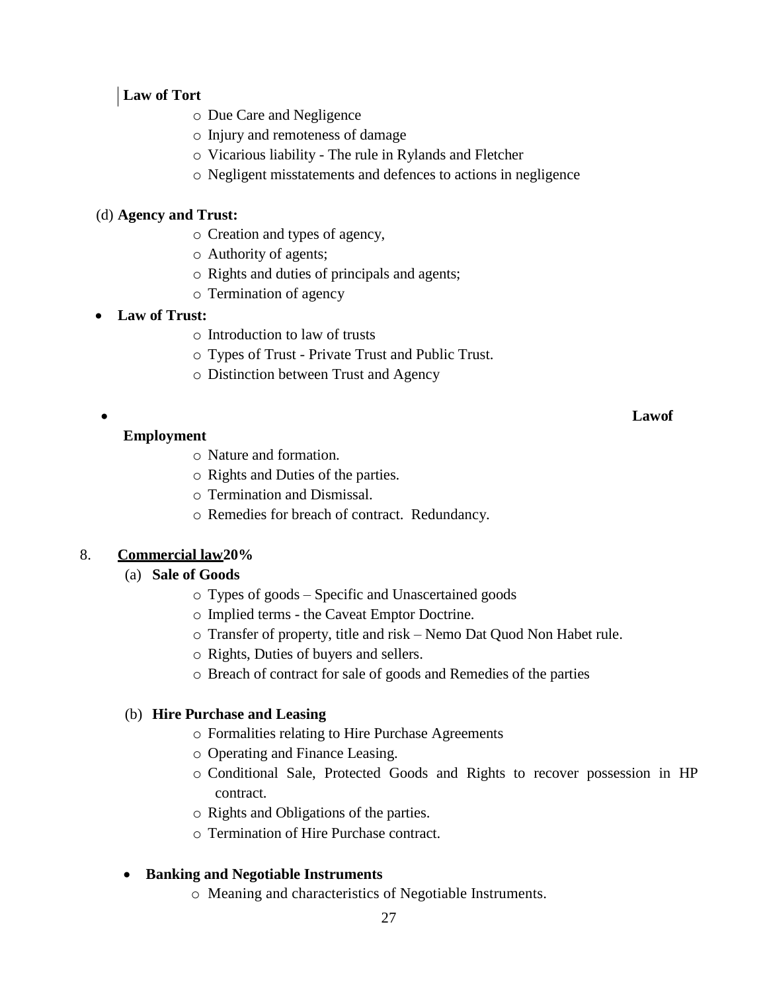#### **Law of Tort**

- o Due Care and Negligence
- o Injury and remoteness of damage
- o Vicarious liability The rule in Rylands and Fletcher
- o Negligent misstatements and defences to actions in negligence

**Lawof**

#### (d) **Agency and Trust:**

- o Creation and types of agency,
- o Authority of agents;
- o Rights and duties of principals and agents;
- o Termination of agency

#### **Law of Trust:**

- o Introduction to law of trusts
- o Types of Trust Private Trust and Public Trust.
- o Distinction between Trust and Agency

#### **Employment**

- o Nature and formation.
- o Rights and Duties of the parties.
- o Termination and Dismissal.
- o Remedies for breach of contract. Redundancy.

#### 8. **Commercial law20%**

- (a) **Sale of Goods**
	- o Types of goods Specific and Unascertained goods
	- o Implied terms the Caveat Emptor Doctrine.
	- o Transfer of property, title and risk Nemo Dat Quod Non Habet rule.
	- o Rights, Duties of buyers and sellers.
	- o Breach of contract for sale of goods and Remedies of the parties

#### (b) **Hire Purchase and Leasing**

- o Formalities relating to Hire Purchase Agreements
- o Operating and Finance Leasing.
- o Conditional Sale, Protected Goods and Rights to recover possession in HP contract.
- o Rights and Obligations of the parties.
- o Termination of Hire Purchase contract.

#### **Banking and Negotiable Instruments**

o Meaning and characteristics of Negotiable Instruments.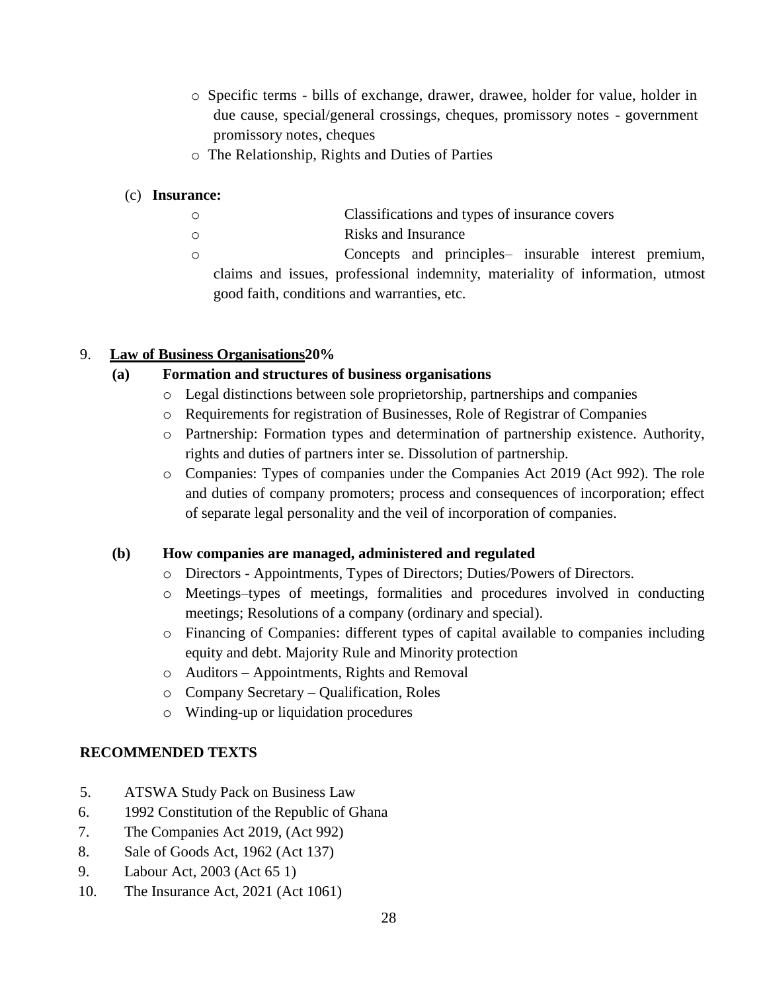- o Specific terms bills of exchange, drawer, drawee, holder for value, holder in due cause, special/general crossings, cheques, promissory notes - government promissory notes, cheques
- o The Relationship, Rights and Duties of Parties

good faith, conditions and warranties, etc.

#### (c) **Insurance:**

o Classifications and types of insurance covers o Risks and Insurance o Concepts and principles– insurable interest premium, claims and issues, professional indemnity, materiality of information, utmost

#### 9. **Law of Business Organisations20%**

#### **(a) Formation and structures of business organisations**

- o Legal distinctions between sole proprietorship, partnerships and companies
- o Requirements for registration of Businesses, Role of Registrar of Companies
- o Partnership: Formation types and determination of partnership existence. Authority, rights and duties of partners inter se. Dissolution of partnership.
- o Companies: Types of companies under the Companies Act 2019 (Act 992). The role and duties of company promoters; process and consequences of incorporation; effect of separate legal personality and the veil of incorporation of companies.

#### **(b) How companies are managed, administered and regulated**

- o Directors Appointments, Types of Directors; Duties/Powers of Directors.
- o Meetings–types of meetings, formalities and procedures involved in conducting meetings; Resolutions of a company (ordinary and special).
- o Financing of Companies: different types of capital available to companies including equity and debt. Majority Rule and Minority protection
- o Auditors Appointments, Rights and Removal
- o Company Secretary Qualification, Roles
- o Winding-up or liquidation procedures

#### **RECOMMENDED TEXTS**

- 5. ATSWA Study Pack on Business Law
- 6. 1992 Constitution of the Republic of Ghana
- 7. The Companies Act 2019, (Act 992)
- 8. Sale of Goods Act, 1962 (Act 137)
- 9. Labour Act, 2003 (Act 65 1)
- 10. The Insurance Act, 2021 (Act 1061)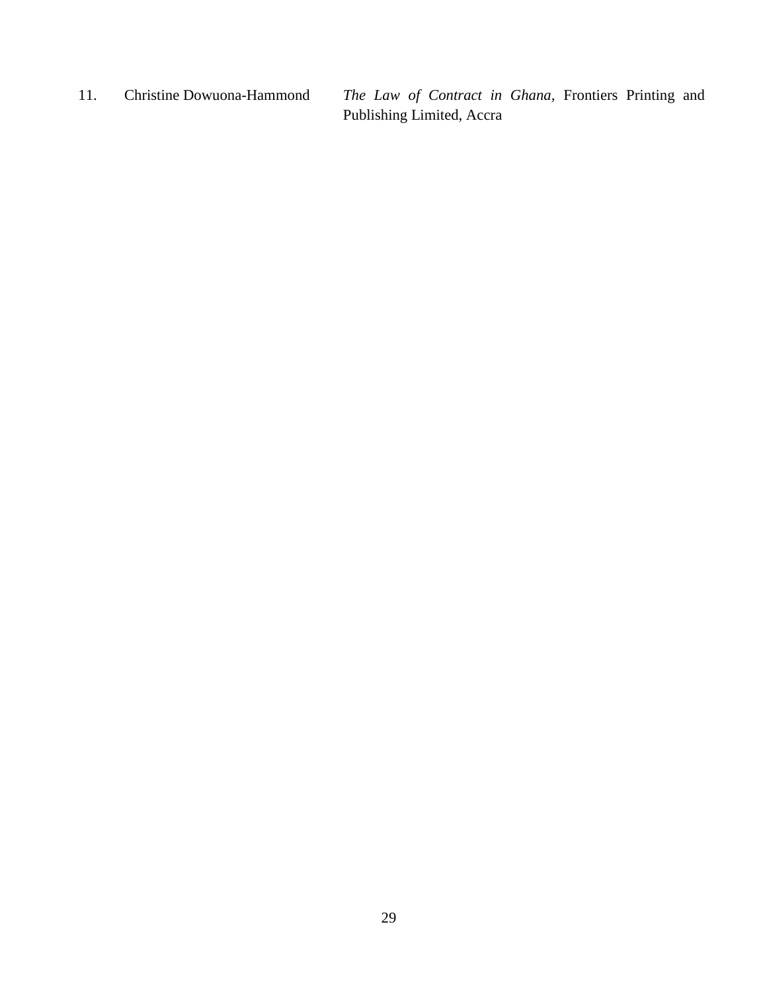11. Christine Dowuona-Hammond *The Law of Contract in Ghana,* Frontiers Printing and Publishing Limited, Accra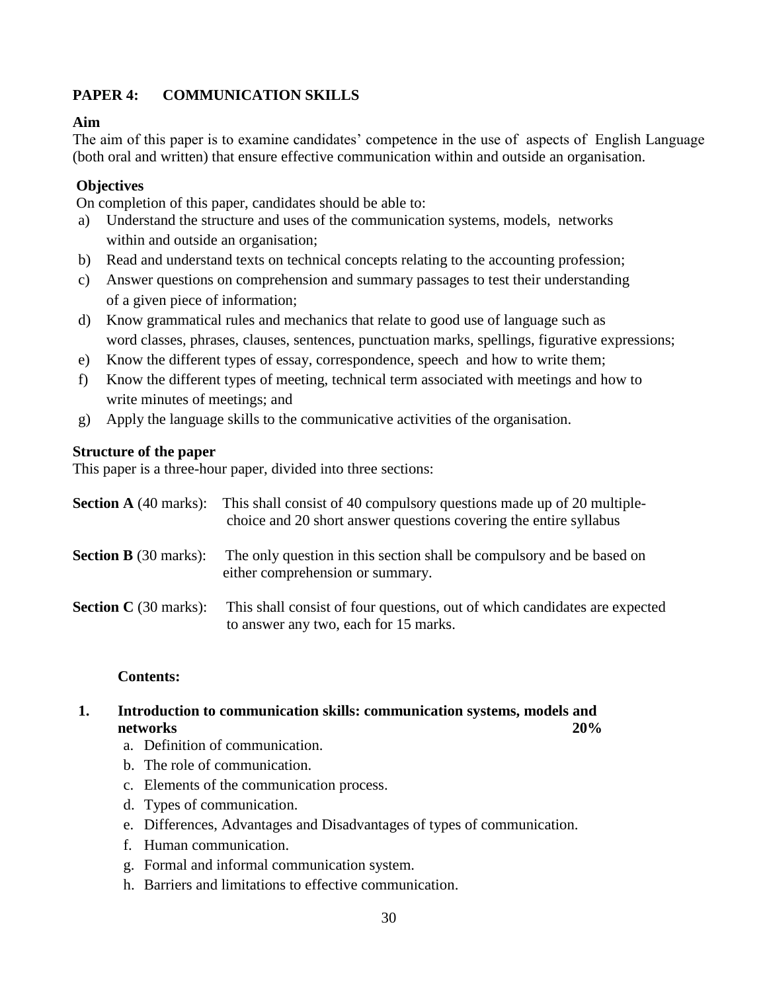### **PAPER 4: COMMUNICATION SKILLS**

#### **Aim**

The aim of this paper is to examine candidates" competence in the use of aspects of English Language (both oral and written) that ensure effective communication within and outside an organisation.

#### **Objectives**

On completion of this paper, candidates should be able to:

- a) Understand the structure and uses of the communication systems, models, networks within and outside an organisation;
- b) Read and understand texts on technical concepts relating to the accounting profession;
- c) Answer questions on comprehension and summary passages to test their understanding of a given piece of information;
- d) Know grammatical rules and mechanics that relate to good use of language such as word classes, phrases, clauses, sentences, punctuation marks, spellings, figurative expressions;
- e) Know the different types of essay, correspondence, speech and how to write them;
- f) Know the different types of meeting, technical term associated with meetings and how to write minutes of meetings; and
- g) Apply the language skills to the communicative activities of the organisation.

#### **Structure of the paper**

This paper is a three-hour paper, divided into three sections:

|                                         | <b>Section A</b> (40 marks): This shall consist of 40 compulsory questions made up of 20 multiple-<br>choice and 20 short answer questions covering the entire syllabus |
|-----------------------------------------|-------------------------------------------------------------------------------------------------------------------------------------------------------------------------|
| <b>Section B</b> (30 marks):            | The only question in this section shall be compulsory and be based on<br>either comprehension or summary.                                                               |
| <b>Section C</b> $(30 \text{ marks})$ : | This shall consist of four questions, out of which candidates are expected<br>to answer any two, each for 15 marks.                                                     |

#### **Contents:**

- **1. Introduction to communication skills: communication systems, models and networks 20%**
	- a. Definition of communication.
	- b. The role of communication.
	- c. Elements of the communication process.
	- d. Types of communication.
	- e. Differences, Advantages and Disadvantages of types of communication.
	- f. Human communication.
	- g. Formal and informal communication system.
	- h. Barriers and limitations to effective communication.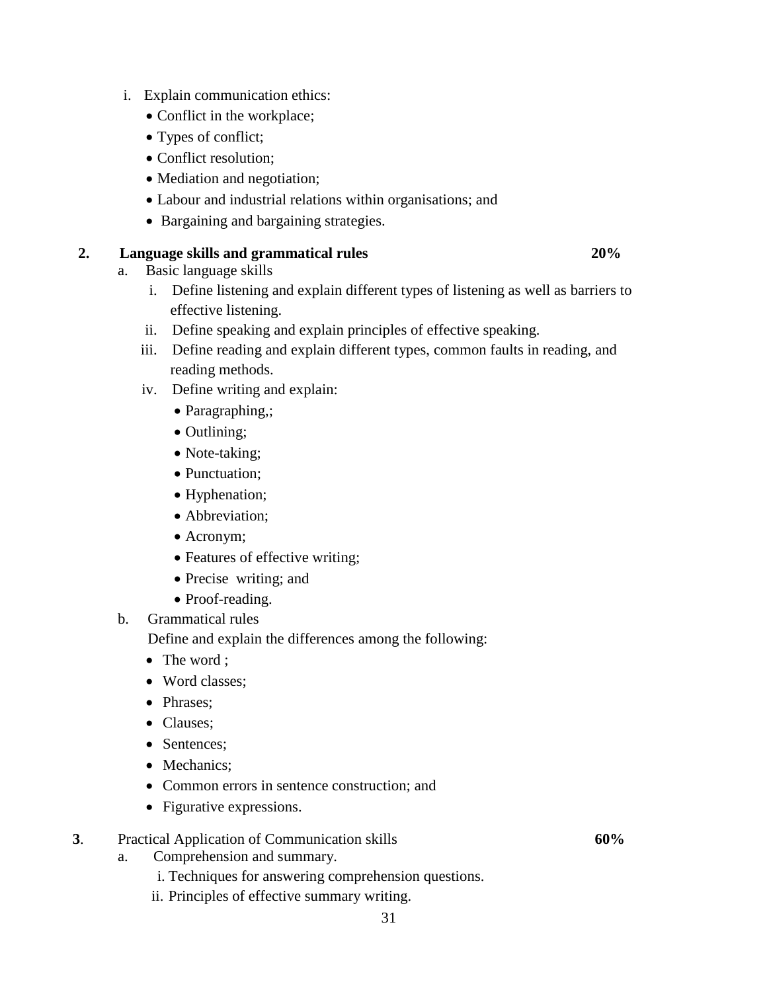- i. Explain communication ethics:
	- Conflict in the workplace;
	- Types of conflict;
	- Conflict resolution;
	- Mediation and negotiation;
	- Labour and industrial relations within organisations; and
	- Bargaining and bargaining strategies.

#### **2. Language skills and grammatical rules 20%**

- a. Basic language skills
	- i. Define listening and explain different types of listening as well as barriers to effective listening.
	- ii. Define speaking and explain principles of effective speaking.
	- iii. Define reading and explain different types, common faults in reading, and reading methods.
	- iv. Define writing and explain:
		- Paragraphing,;
		- Outlining;
		- Note-taking;
		- Punctuation;
		- Hyphenation;
		- Abbreviation;
		- Acronym;
		- Features of effective writing;
		- Precise writing; and
		- Proof-reading.

#### b. Grammatical rules

Define and explain the differences among the following:

- The word :
- Word classes:
- Phrases;
- Clauses:
- Sentences:
- Mechanics:
- Common errors in sentence construction; and
- Figurative expressions.
- **3**. Practical Application of Communication skills **60%**
	- a. Comprehension and summary.
		- i. Techniques for answering comprehension questions.
		- ii. Principles of effective summary writing.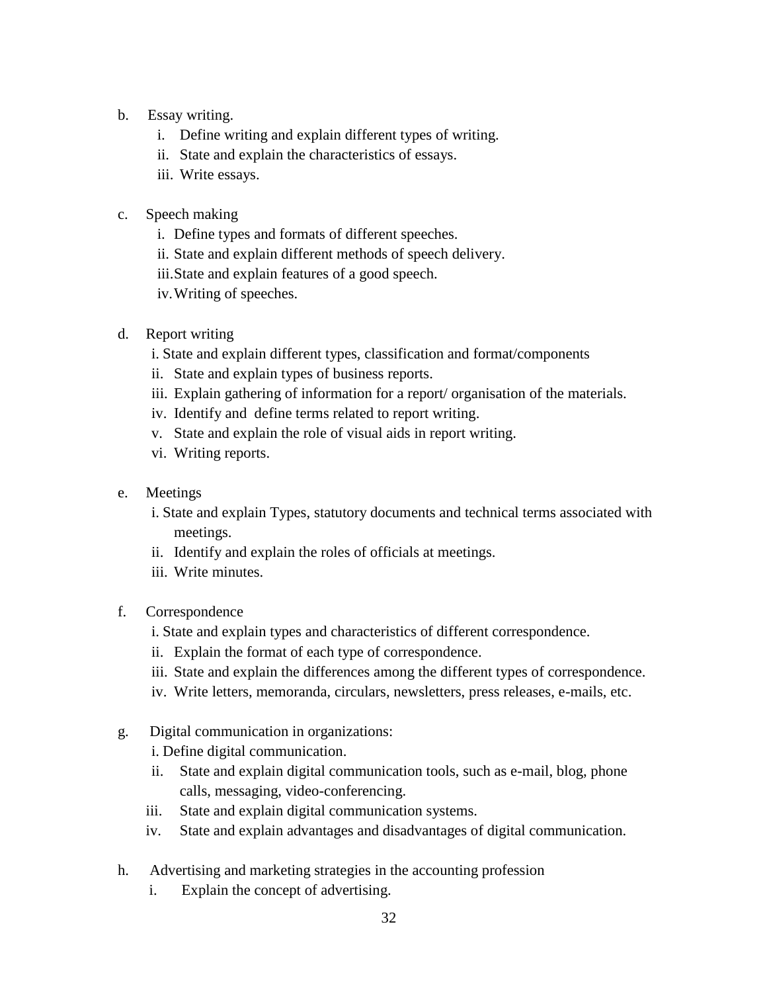- b. Essay writing.
	- i. Define writing and explain different types of writing.
	- ii. State and explain the characteristics of essays.
	- iii. Write essays.
- c. Speech making
	- i. Define types and formats of different speeches.
	- ii. State and explain different methods of speech delivery.
	- iii.State and explain features of a good speech.
	- iv.Writing of speeches.
- d. Report writing
	- i. State and explain different types, classification and format/components
	- ii. State and explain types of business reports.
	- iii. Explain gathering of information for a report/ organisation of the materials.
	- iv. Identify and define terms related to report writing.
	- v. State and explain the role of visual aids in report writing.
	- vi. Writing reports.
- e. Meetings
	- i. State and explain Types, statutory documents and technical terms associated with meetings.
	- ii. Identify and explain the roles of officials at meetings.
	- iii. Write minutes.
- f. Correspondence
	- i. State and explain types and characteristics of different correspondence.
	- ii. Explain the format of each type of correspondence.
	- iii. State and explain the differences among the different types of correspondence.
	- iv. Write letters, memoranda, circulars, newsletters, press releases, e-mails, etc.
- g. Digital communication in organizations:
	- i. Define digital communication.
	- ii. State and explain digital communication tools, such as e-mail, blog, phone calls, messaging, video-conferencing.
	- iii. State and explain digital communication systems.
	- iv. State and explain advantages and disadvantages of digital communication.
- h. Advertising and marketing strategies in the accounting profession
	- i. Explain the concept of advertising.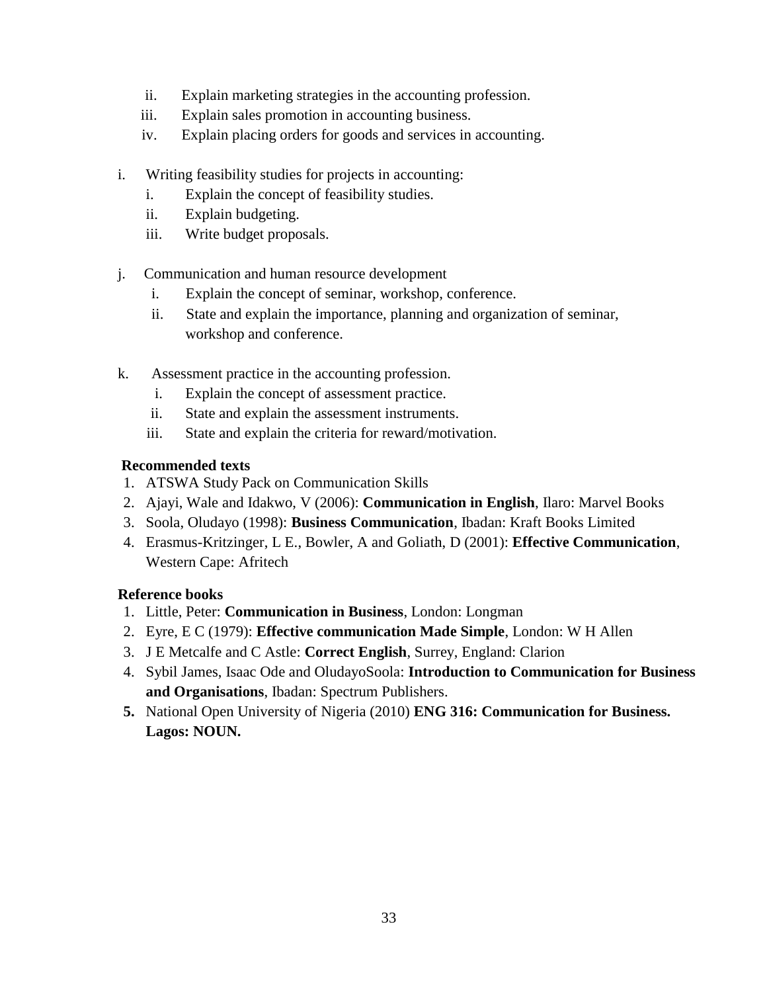- ii. Explain marketing strategies in the accounting profession.
- iii. Explain sales promotion in accounting business.
- iv. Explain placing orders for goods and services in accounting.
- i. Writing feasibility studies for projects in accounting:
	- i. Explain the concept of feasibility studies.
	- ii. Explain budgeting.
	- iii. Write budget proposals.
- j. Communication and human resource development
	- i. Explain the concept of seminar, workshop, conference.
	- ii. State and explain the importance, planning and organization of seminar, workshop and conference.
- k. Assessment practice in the accounting profession.
	- i. Explain the concept of assessment practice.
	- ii. State and explain the assessment instruments.
	- iii. State and explain the criteria for reward/motivation.

#### **Recommended texts**

- 1. ATSWA Study Pack on Communication Skills
- 2. Ajayi, Wale and Idakwo, V (2006): **Communication in English**, Ilaro: Marvel Books
- 3. Soola, Oludayo (1998): **Business Communication**, Ibadan: Kraft Books Limited
- 4. Erasmus-Kritzinger, L E., Bowler, A and Goliath, D (2001): **Effective Communication**, Western Cape: Afritech

#### **Reference books**

- 1. Little, Peter: **Communication in Business**, London: Longman
- 2. Eyre, E C (1979): **Effective communication Made Simple**, London: W H Allen
- 3. J E Metcalfe and C Astle: **Correct English**, Surrey, England: Clarion
- 4. Sybil James, Isaac Ode and OludayoSoola: **Introduction to Communication for Business and Organisations**, Ibadan: Spectrum Publishers.
- **5.** National Open University of Nigeria (2010) **ENG 316: Communication for Business. Lagos: NOUN.**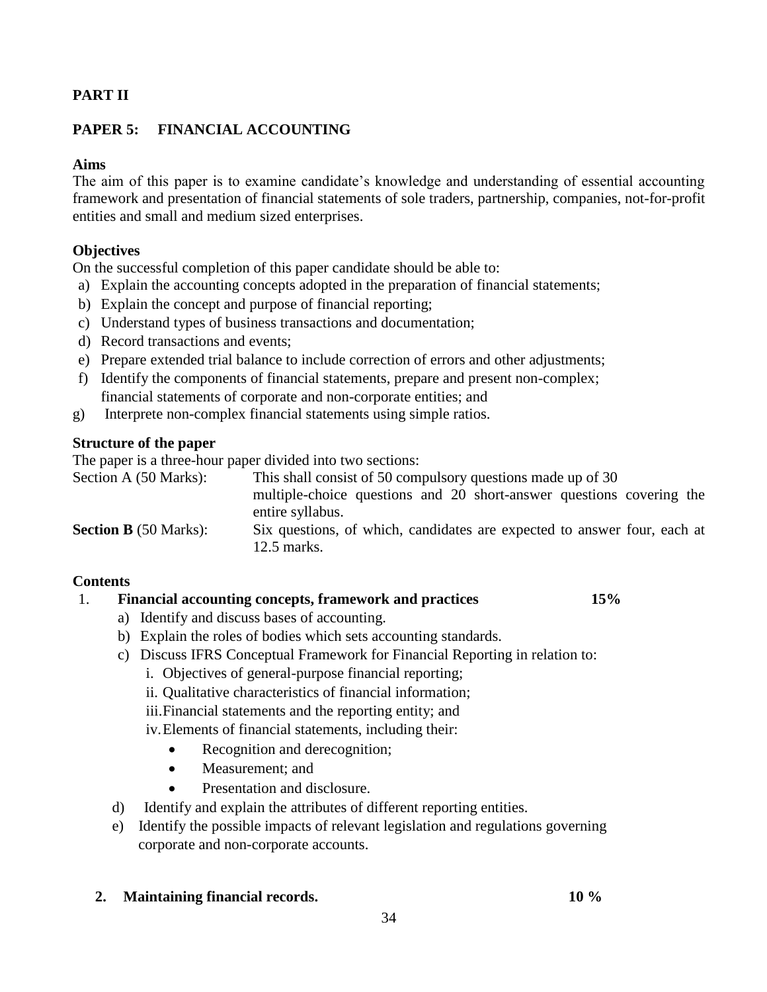### **PART II**

#### **PAPER 5: FINANCIAL ACCOUNTING**

#### **Aims**

The aim of this paper is to examine candidate's knowledge and understanding of essential accounting framework and presentation of financial statements of sole traders, partnership, companies, not-for-profit entities and small and medium sized enterprises.

#### **Objectives**

On the successful completion of this paper candidate should be able to:

- a) Explain the accounting concepts adopted in the preparation of financial statements;
- b) Explain the concept and purpose of financial reporting;
- c) Understand types of business transactions and documentation;
- d) Record transactions and events;
- e) Prepare extended trial balance to include correction of errors and other adjustments;
- f) Identify the components of financial statements, prepare and present non-complex; financial statements of corporate and non-corporate entities; and
- g) Interprete non-complex financial statements using simple ratios.

#### **Structure of the paper**

The paper is a three-hour paper divided into two sections:

| Section A (50 Marks):        | This shall consist of 50 compulsory questions made up of 30              |
|------------------------------|--------------------------------------------------------------------------|
|                              | multiple-choice questions and 20 short-answer questions covering the     |
|                              | entire syllabus.                                                         |
| <b>Section B</b> (50 Marks): | Six questions, of which, candidates are expected to answer four, each at |
|                              | $12.5$ marks.                                                            |

#### **Contents**

#### 1. **Financial accounting concepts, framework and practices 15%**

- a) Identify and discuss bases of accounting.
- b) Explain the roles of bodies which sets accounting standards.
- c) Discuss IFRS Conceptual Framework for Financial Reporting in relation to:
	- i. Objectives of general-purpose financial reporting;
	- ii. Qualitative characteristics of financial information;

iii.Financial statements and the reporting entity; and

iv.Elements of financial statements, including their:

- Recognition and derecognition;
- Measurement; and
- Presentation and disclosure.
- d) Identify and explain the attributes of different reporting entities.
- e) Identify the possible impacts of relevant legislation and regulations governing corporate and non-corporate accounts.
- **2. Maintaining financial records. 10 %**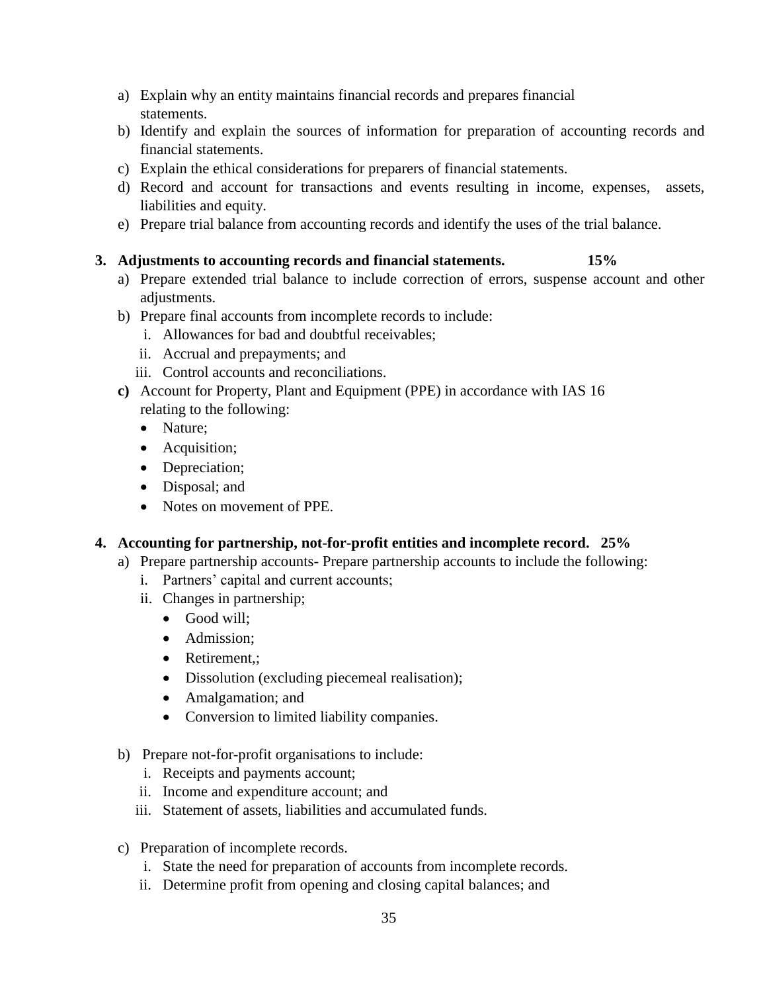- a) Explain why an entity maintains financial records and prepares financial statements.
- b) Identify and explain the sources of information for preparation of accounting records and financial statements.
- c) Explain the ethical considerations for preparers of financial statements.
- d) Record and account for transactions and events resulting in income, expenses, assets, liabilities and equity.
- e) Prepare trial balance from accounting records and identify the uses of the trial balance.

## **3. Adjustments to accounting records and financial statements. 15%**

- a) Prepare extended trial balance to include correction of errors, suspense account and other adiustments.
- b) Prepare final accounts from incomplete records to include:
	- i. Allowances for bad and doubtful receivables;
	- ii. Accrual and prepayments; and
	- iii. Control accounts and reconciliations.
- **c)** Account for Property, Plant and Equipment (PPE) in accordance with IAS 16 relating to the following:
	- Nature;
	- Acquisition;
	- Depreciation;
	- Disposal; and
	- Notes on movement of PPE.

## **4. Accounting for partnership, not-for-profit entities and incomplete record. 25%**

- a) Prepare partnership accounts- Prepare partnership accounts to include the following:
	- i. Partners' capital and current accounts;
	- ii. Changes in partnership;
		- Good will:
		- Admission:
		- Retirement,;
		- Dissolution (excluding piecemeal realisation);
		- Amalgamation; and
		- Conversion to limited liability companies.
- b) Prepare not-for-profit organisations to include:
	- i. Receipts and payments account;
	- ii. Income and expenditure account; and
	- iii. Statement of assets, liabilities and accumulated funds.
- c) Preparation of incomplete records.
	- i. State the need for preparation of accounts from incomplete records.
	- ii. Determine profit from opening and closing capital balances; and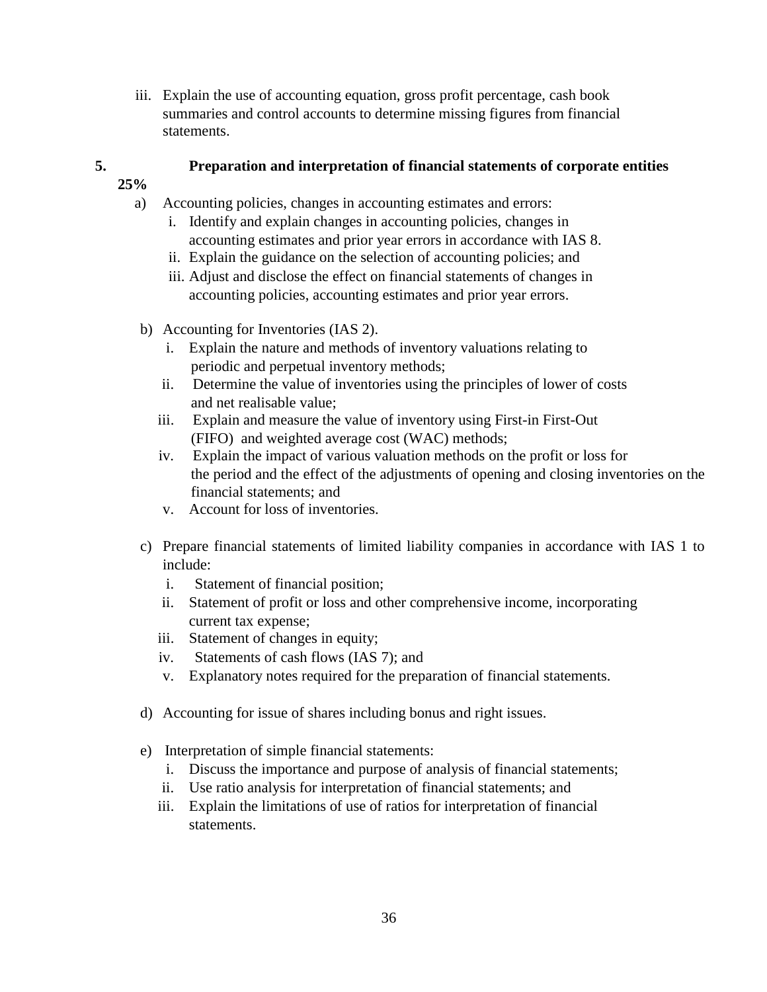iii. Explain the use of accounting equation, gross profit percentage, cash book summaries and control accounts to determine missing figures from financial statements.

## **5. Preparation and interpretation of financial statements of corporate entities**

- **25%** 
	- a) Accounting policies, changes in accounting estimates and errors:
		- i. Identify and explain changes in accounting policies, changes in accounting estimates and prior year errors in accordance with IAS 8.
		- ii. Explain the guidance on the selection of accounting policies; and
		- iii. Adjust and disclose the effect on financial statements of changes in accounting policies, accounting estimates and prior year errors.
	- b) Accounting for Inventories (IAS 2).
		- i. Explain the nature and methods of inventory valuations relating to periodic and perpetual inventory methods;
		- ii. Determine the value of inventories using the principles of lower of costs and net realisable value;
		- iii. Explain and measure the value of inventory using First-in First-Out (FIFO) and weighted average cost (WAC) methods;
		- iv. Explain the impact of various valuation methods on the profit or loss for the period and the effect of the adjustments of opening and closing inventories on the financial statements; and
		- v. Account for loss of inventories.
	- c) Prepare financial statements of limited liability companies in accordance with IAS 1 to include:
		- i. Statement of financial position;
		- ii. Statement of profit or loss and other comprehensive income, incorporating current tax expense;
		- iii. Statement of changes in equity;
		- iv. Statements of cash flows (IAS 7); and
		- v. Explanatory notes required for the preparation of financial statements.
	- d) Accounting for issue of shares including bonus and right issues.
	- e) Interpretation of simple financial statements:
		- i. Discuss the importance and purpose of analysis of financial statements;
		- ii. Use ratio analysis for interpretation of financial statements; and
		- iii. Explain the limitations of use of ratios for interpretation of financial statements.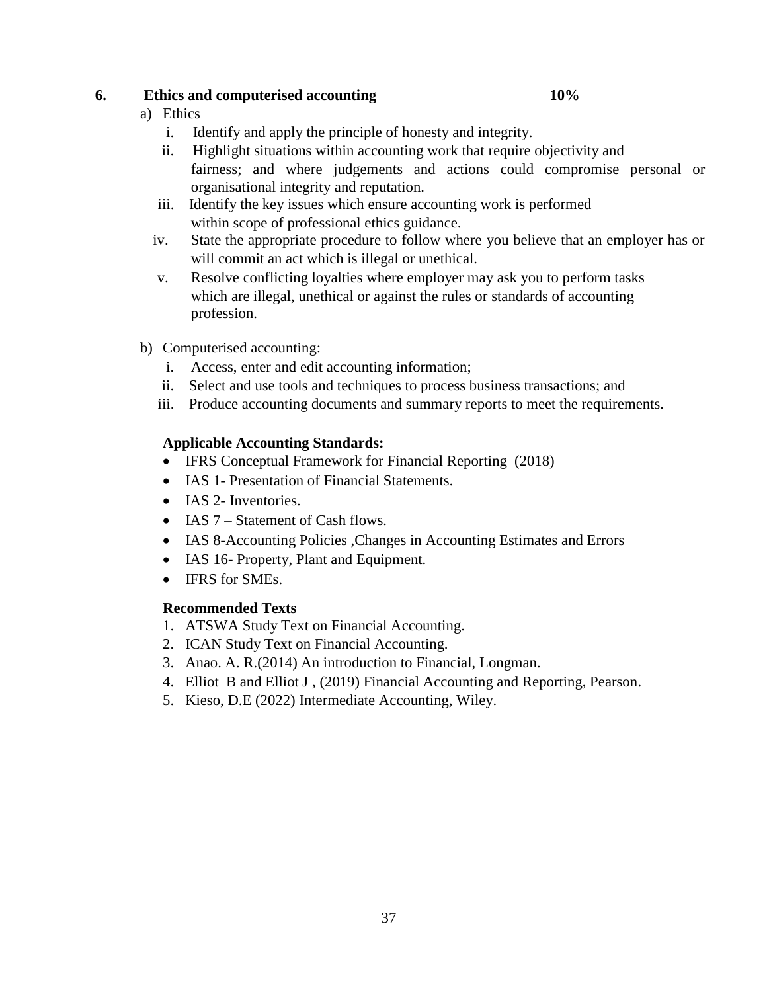# **6. Ethics and computerised accounting 10%**

## a) Ethics

- i. Identify and apply the principle of honesty and integrity.
- ii. Highlight situations within accounting work that require objectivity and fairness; and where judgements and actions could compromise personal or organisational integrity and reputation.
- iii. Identify the key issues which ensure accounting work is performed within scope of professional ethics guidance.
- iv. State the appropriate procedure to follow where you believe that an employer has or will commit an act which is illegal or unethical.
- v. Resolve conflicting loyalties where employer may ask you to perform tasks which are illegal, unethical or against the rules or standards of accounting profession.
- b) Computerised accounting:
	- i. Access, enter and edit accounting information;
	- ii. Select and use tools and techniques to process business transactions; and
	- iii. Produce accounting documents and summary reports to meet the requirements.

## **Applicable Accounting Standards:**

- IFRS Conceptual Framework for Financial Reporting (2018)
- IAS 1- Presentation of Financial Statements.
- IAS 2- Inventories.
- IAS 7 Statement of Cash flows.
- IAS 8-Accounting Policies , Changes in Accounting Estimates and Errors
- IAS 16- Property, Plant and Equipment.
- IFRS for SMEs.

## **Recommended Texts**

- 1. ATSWA Study Text on Financial Accounting.
- 2. ICAN Study Text on Financial Accounting.
- 3. Anao. A. R.(2014) An introduction to Financial, Longman.
- 4. Elliot B and Elliot J , (2019) Financial Accounting and Reporting, Pearson.
- 5. Kieso, D.E (2022) Intermediate Accounting, Wiley.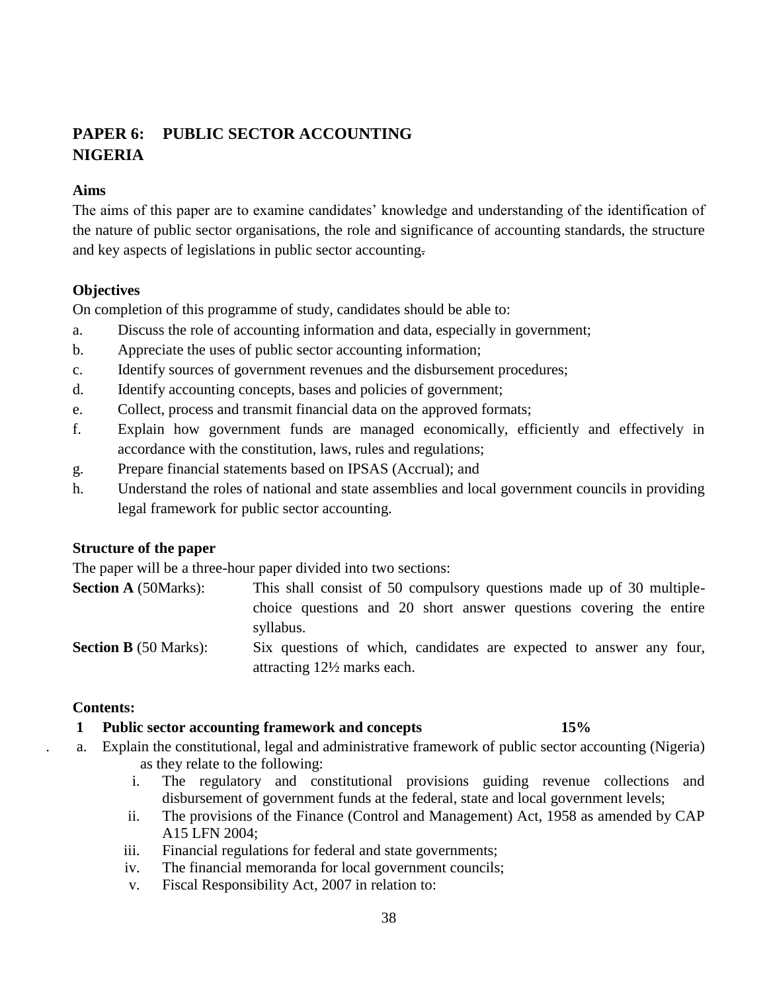# **PAPER 6: PUBLIC SECTOR ACCOUNTING NIGERIA**

## **Aims**

The aims of this paper are to examine candidates' knowledge and understanding of the identification of the nature of public sector organisations, the role and significance of accounting standards, the structure and key aspects of legislations in public sector accounting.

## **Objectives**

On completion of this programme of study, candidates should be able to:

- a. Discuss the role of accounting information and data, especially in government;
- b. Appreciate the uses of public sector accounting information;
- c. Identify sources of government revenues and the disbursement procedures;
- d. Identify accounting concepts, bases and policies of government;
- e. Collect, process and transmit financial data on the approved formats;
- f. Explain how government funds are managed economically, efficiently and effectively in accordance with the constitution, laws, rules and regulations;
- g. Prepare financial statements based on IPSAS (Accrual); and
- h. Understand the roles of national and state assemblies and local government councils in providing legal framework for public sector accounting.

## **Structure of the paper**

The paper will be a three-hour paper divided into two sections:

| <b>Section A</b> (50Marks):   | This shall consist of 50 compulsory questions made up of 30 multiple- |
|-------------------------------|-----------------------------------------------------------------------|
|                               | choice questions and 20 short answer questions covering the entire    |
|                               | syllabus.                                                             |
| <b>Section R</b> $(50$ Marks) | Six questions of which candidates are expected to answer any four     |

**Section B** (50 Marks): Six questions of which, candidates are expected to answer any four, attracting 12½ marks each.

## **Contents:**

## **1 Public sector accounting framework and concepts 15%**

- a. Explain the constitutional, legal and administrative framework of public sector accounting (Nigeria) as they relate to the following:
	- i. The regulatory and constitutional provisions guiding revenue collections and disbursement of government funds at the federal, state and local government levels;
	- ii. The provisions of the Finance (Control and Management) Act, 1958 as amended by CAP A15 LFN 2004;
	- iii. Financial regulations for federal and state governments;
	- iv. The financial memoranda for local government councils;
	- v. Fiscal Responsibility Act, 2007 in relation to: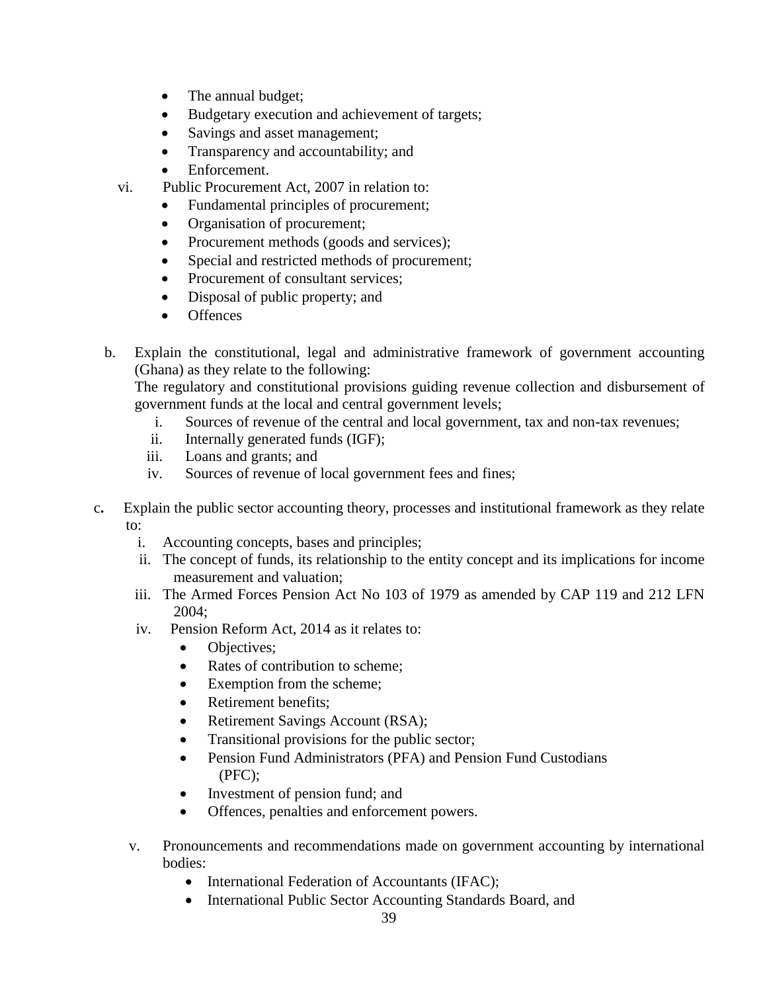- The annual budget;
- Budgetary execution and achievement of targets;
- Savings and asset management;
- Transparency and accountability; and
- Enforcement.
- vi. Public Procurement Act, 2007 in relation to:
	- Fundamental principles of procurement;
	- Organisation of procurement;
	- Procurement methods (goods and services);
	- Special and restricted methods of procurement;
	- Procurement of consultant services;
	- Disposal of public property; and
	- **Offences**
- b. Explain the constitutional, legal and administrative framework of government accounting (Ghana) as they relate to the following:

The regulatory and constitutional provisions guiding revenue collection and disbursement of government funds at the local and central government levels;

- i. Sources of revenue of the central and local government, tax and non-tax revenues;
- ii. Internally generated funds (IGF);
- iii. Loans and grants; and
- iv. Sources of revenue of local government fees and fines;
- c**.** Explain the public sector accounting theory, processes and institutional framework as they relate to:
	- i. Accounting concepts, bases and principles;
	- ii. The concept of funds, its relationship to the entity concept and its implications for income measurement and valuation;
	- iii. The Armed Forces Pension Act No 103 of 1979 as amended by CAP 119 and 212 LFN 2004;
	- iv. Pension Reform Act, 2014 as it relates to:
		- Objectives:
		- Rates of contribution to scheme;
		- Exemption from the scheme;
		- Retirement benefits;
		- Retirement Savings Account (RSA);
		- Transitional provisions for the public sector;
		- Pension Fund Administrators (PFA) and Pension Fund Custodians (PFC);
		- Investment of pension fund; and
		- Offences, penalties and enforcement powers.
	- v. Pronouncements and recommendations made on government accounting by international bodies:
		- International Federation of Accountants (IFAC);
		- International Public Sector Accounting Standards Board, and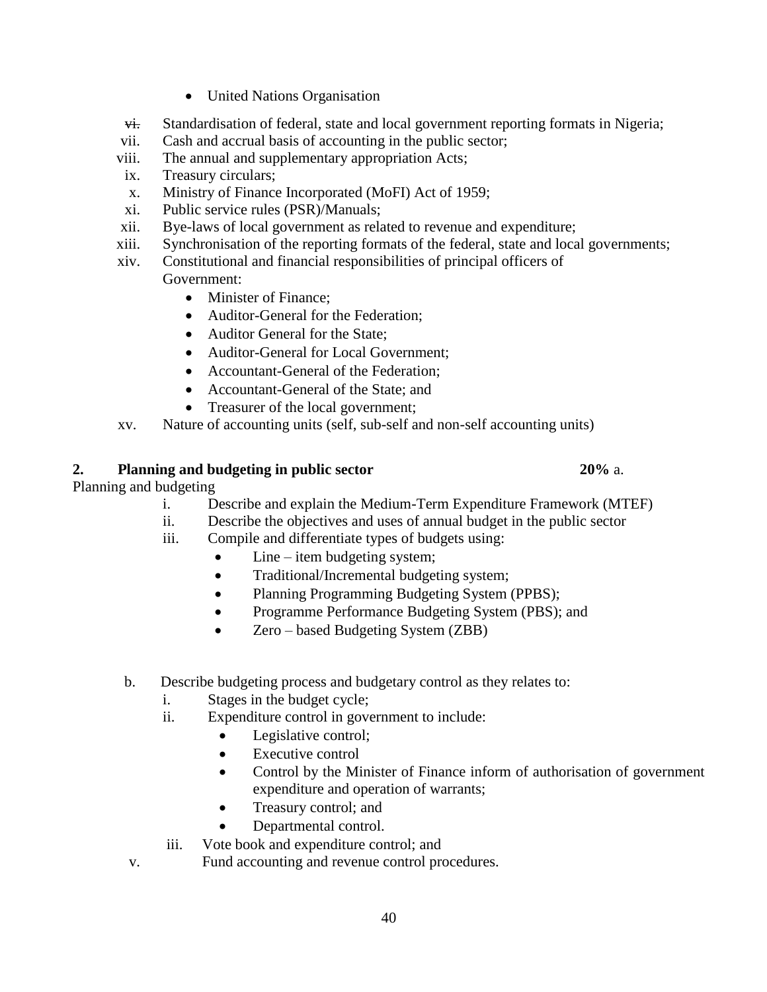- United Nations Organisation
- vi. Standardisation of federal, state and local government reporting formats in Nigeria;
- vii. Cash and accrual basis of accounting in the public sector;
- viii. The annual and supplementary appropriation Acts;
- ix. Treasury circulars;
- x. Ministry of Finance Incorporated (MoFI) Act of 1959;
- xi. Public service rules (PSR)/Manuals;
- xii. Bye-laws of local government as related to revenue and expenditure;
- xiii. Synchronisation of the reporting formats of the federal, state and local governments;
- xiv. Constitutional and financial responsibilities of principal officers of Government:
	- Minister of Finance:
	- Auditor-General for the Federation;
	- Auditor General for the State:
	- Auditor-General for Local Government;
	- Accountant-General of the Federation:
	- Accountant-General of the State; and
	- Treasurer of the local government;
- xv. Nature of accounting units (self, sub-self and non-self accounting units)

## **2. Planning and budgeting in public sector 20%** a.

Planning and budgeting

- i. Describe and explain the Medium-Term Expenditure Framework (MTEF)
- ii. Describe the objectives and uses of annual budget in the public sector
- iii. Compile and differentiate types of budgets using:
	- Line item budgeting system;
	- Traditional/Incremental budgeting system;
	- Planning Programming Budgeting System (PPBS);
	- Programme Performance Budgeting System (PBS); and
	- Zero based Budgeting System (ZBB)
- b. Describe budgeting process and budgetary control as they relates to:
	- i. Stages in the budget cycle;
	- ii. Expenditure control in government to include:
		- Legislative control;
		- Executive control
		- Control by the Minister of Finance inform of authorisation of government expenditure and operation of warrants;
		- Treasury control; and
		- Departmental control.

iii. Vote book and expenditure control; and

v. Fund accounting and revenue control procedures.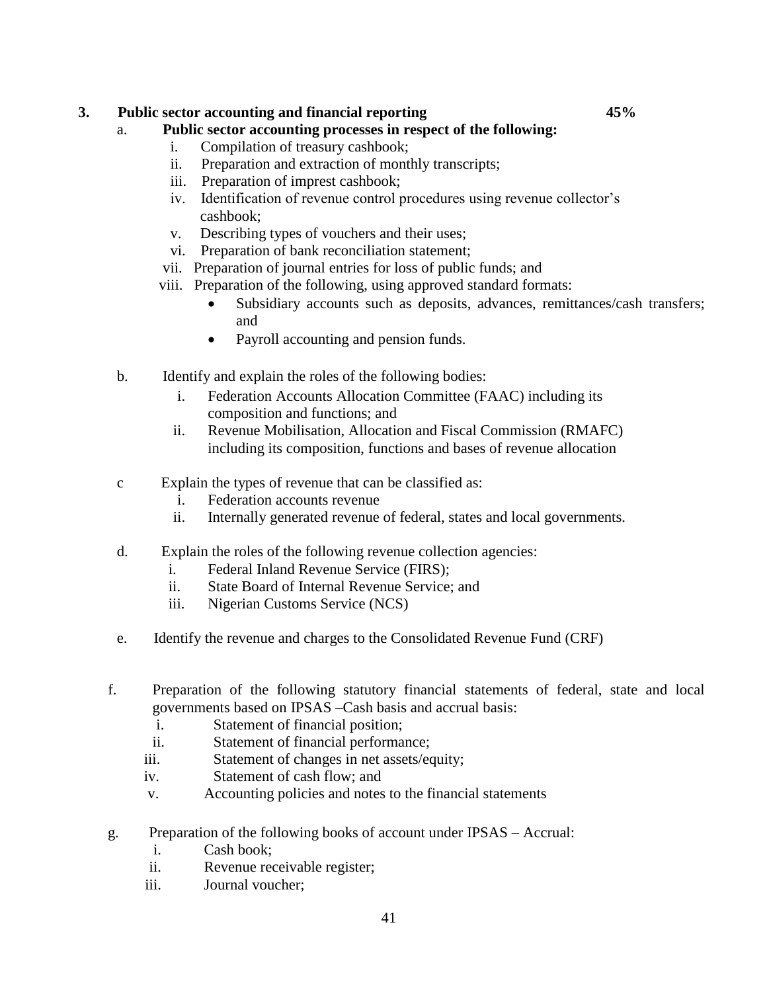## **3. Public sector accounting and financial reporting 45%**

## a. **Public sector accounting processes in respect of the following:**

- i. Compilation of treasury cashbook;
- ii. Preparation and extraction of monthly transcripts;
- iii. Preparation of imprest cashbook;
- iv. Identification of revenue control procedures using revenue collector's cashbook;
- v. Describing types of vouchers and their uses;
- vi. Preparation of bank reconciliation statement;
- vii. Preparation of journal entries for loss of public funds; and
- viii. Preparation of the following, using approved standard formats:
	- Subsidiary accounts such as deposits, advances, remittances/cash transfers; and
	- Payroll accounting and pension funds.
- b. Identify and explain the roles of the following bodies:
	- i. Federation Accounts Allocation Committee (FAAC) including its composition and functions; and
	- ii. Revenue Mobilisation, Allocation and Fiscal Commission (RMAFC) including its composition, functions and bases of revenue allocation
- c Explain the types of revenue that can be classified as:
	- i. Federation accounts revenue
	- ii. Internally generated revenue of federal, states and local governments.
- d. Explain the roles of the following revenue collection agencies:
	- i. Federal Inland Revenue Service (FIRS);
	- ii. State Board of Internal Revenue Service; and
	- iii. Nigerian Customs Service (NCS)
- e. Identify the revenue and charges to the Consolidated Revenue Fund (CRF)
- f. Preparation of the following statutory financial statements of federal, state and local governments based on IPSAS –Cash basis and accrual basis:
	- i. Statement of financial position;
	- ii. Statement of financial performance;
	- iii. Statement of changes in net assets/equity;
	- iv. Statement of cash flow; and
	- v. Accounting policies and notes to the financial statements
- g. Preparation of the following books of account under IPSAS Accrual:
	- i. Cash book;
	- ii. Revenue receivable register;
	- iii. Journal voucher;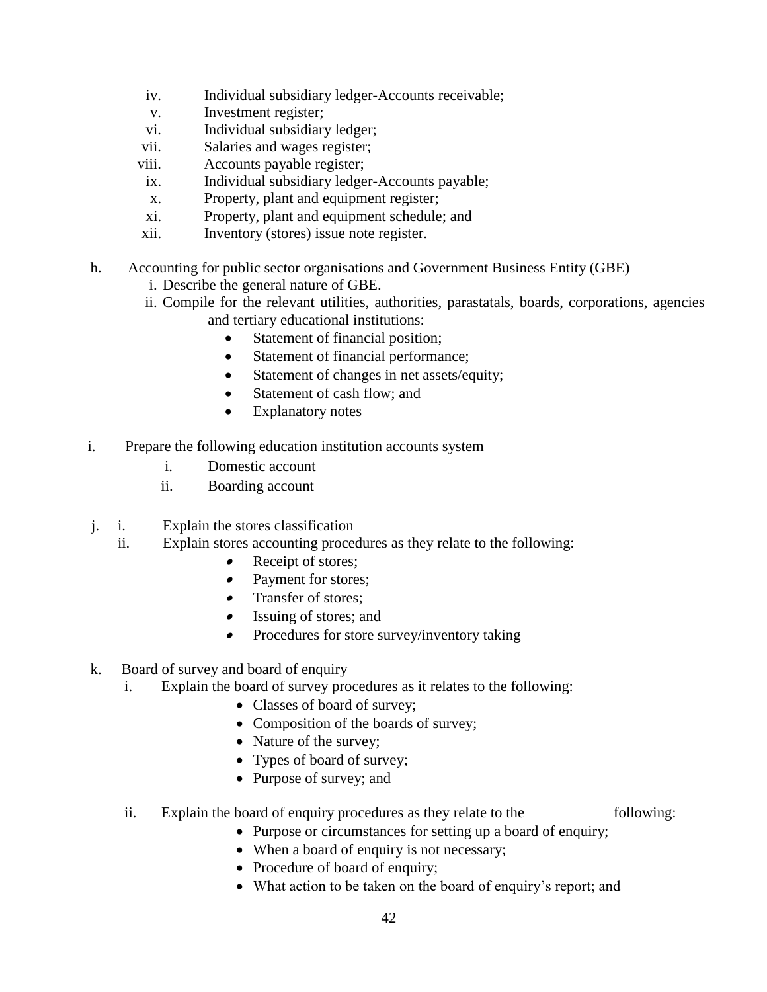- iv. Individual subsidiary ledger-Accounts receivable;
- v. Investment register;
- vi. Individual subsidiary ledger;
- vii. Salaries and wages register;
- viii. Accounts payable register;
- ix. Individual subsidiary ledger-Accounts payable;
- x. Property, plant and equipment register;
- xi. Property, plant and equipment schedule; and
- xii. Inventory (stores) issue note register.
- h. Accounting for public sector organisations and Government Business Entity (GBE)
	- i. Describe the general nature of GBE.
	- ii. Compile for the relevant utilities, authorities, parastatals, boards, corporations, agencies and tertiary educational institutions:
		- Statement of financial position;
		- Statement of financial performance;
		- Statement of changes in net assets/equity;
		- Statement of cash flow; and
		- Explanatory notes
- **i.** Prepare the following education institution accounts system
	- i. Domestic account
	- ii. Boarding account
- j. i. Explain the stores classification
	- ii. Explain stores accounting procedures as they relate to the following:
		- . Receipt of stores;
		- $\bullet$ Payment for stores;
		- . Transfer of stores;
		- $\bullet$ Issuing of stores; and
		- . Procedures for store survey/inventory taking
- k. Board of survey and board of enquiry
	- i. Explain the board of survey procedures as it relates to the following:
		- Classes of board of survey;
		- Composition of the boards of survey;
		- Nature of the survey;
		- Types of board of survey;
		- Purpose of survey; and
	- ii. Explain the board of enquiry procedures as they relate to the following:
		- Purpose or circumstances for setting up a board of enquiry;
		- When a board of enquiry is not necessary;
		- Procedure of board of enquiry;
		- What action to be taken on the board of enquiry's report; and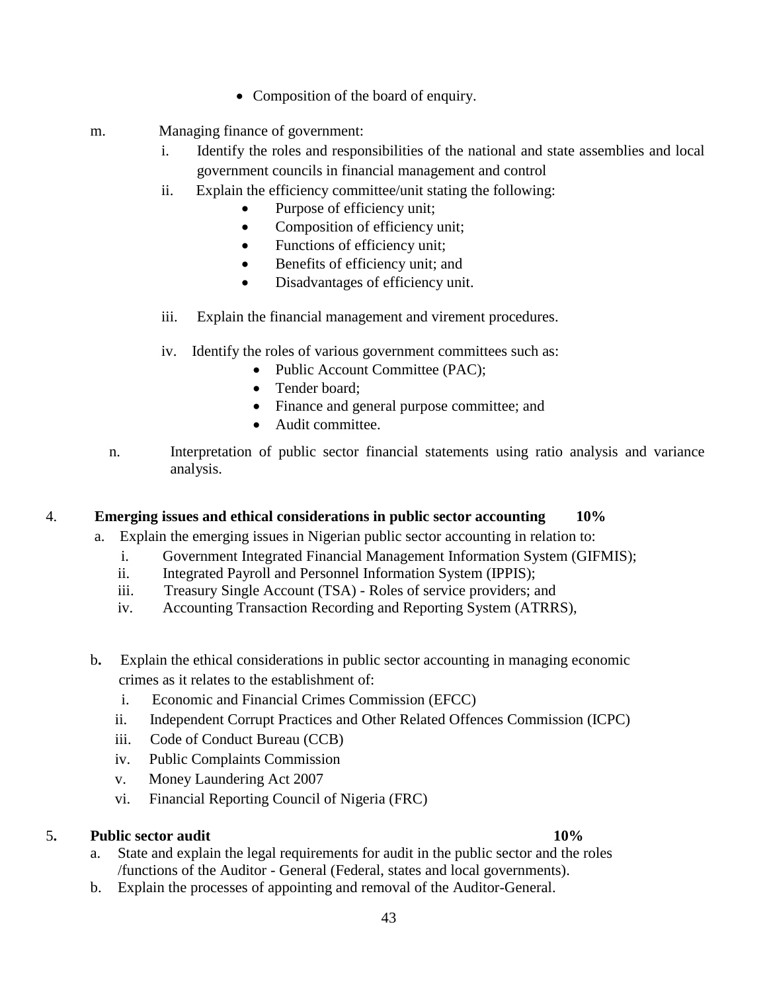- Composition of the board of enquiry.
- m. Managing finance of government:
	- i. Identify the roles and responsibilities of the national and state assemblies and local government councils in financial management and control
	- ii. Explain the efficiency committee/unit stating the following:
		- Purpose of efficiency unit;
		- Composition of efficiency unit;
		- Functions of efficiency unit;
		- Benefits of efficiency unit; and
		- Disadvantages of efficiency unit.
	- iii. Explain the financial management and virement procedures.
	- iv. Identify the roles of various government committees such as:
		- Public Account Committee (PAC);
		- Tender board:
		- Finance and general purpose committee; and
		- Audit committee.
	- n. Interpretation of public sector financial statements using ratio analysis and variance analysis.

## 4. **Emerging issues and ethical considerations in public sector accounting 10%**

- a. Explain the emerging issues in Nigerian public sector accounting in relation to:
	- i. Government Integrated Financial Management Information System (GIFMIS);
	- ii. Integrated Payroll and Personnel Information System (IPPIS);
	- iii. Treasury Single Account (TSA) Roles of service providers; and
	- iv. Accounting Transaction Recording and Reporting System (ATRRS),
- b**.** Explain the ethical considerations in public sector accounting in managing economic crimes as it relates to the establishment of:
	- i. Economic and Financial Crimes Commission (EFCC)
	- ii. Independent Corrupt Practices and Other Related Offences Commission (ICPC)
	- iii. Code of Conduct Bureau (CCB)
	- iv. Public Complaints Commission
	- v. Money Laundering Act 2007
	- vi. Financial Reporting Council of Nigeria (FRC)

## 5**. Public sector audit 10%**

- a. State and explain the legal requirements for audit in the public sector and the roles /functions of the Auditor - General (Federal, states and local governments).
- b. Explain the processes of appointing and removal of the Auditor-General.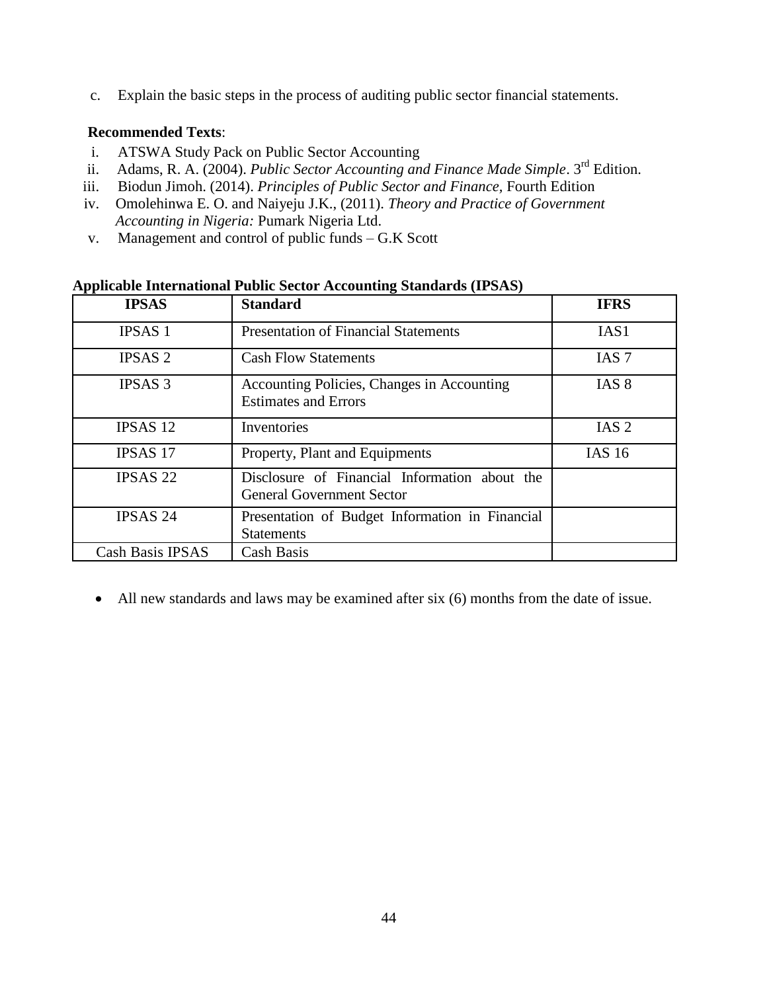c. Explain the basic steps in the process of auditing public sector financial statements.

#### **Recommended Texts**:

- i. ATSWA Study Pack on Public Sector Accounting
- ii. Adams, R. A. (2004). *Public Sector Accounting and Finance Made Simple*. 3<sup>rd</sup> Edition.
- iii. Biodun Jimoh. (2014). *Principles of Public Sector and Finance,* Fourth Edition
- iv. Omolehinwa E. O. and Naiyeju J.K., (2011). *Theory and Practice of Government Accounting in Nigeria:* Pumark Nigeria Ltd.
- v. Management and control of public funds G.K Scott

| <b>IPSAS</b>            | <b>Standard</b>                                                                   | <b>IFRS</b>      |
|-------------------------|-----------------------------------------------------------------------------------|------------------|
|                         |                                                                                   |                  |
| <b>IPSAS 1</b>          | <b>Presentation of Financial Statements</b>                                       | IAS <sub>1</sub> |
| <b>IPSAS 2</b>          | <b>Cash Flow Statements</b>                                                       | IAS <sub>7</sub> |
| <b>IPSAS 3</b>          | Accounting Policies, Changes in Accounting                                        | IAS 8            |
|                         | <b>Estimates and Errors</b>                                                       |                  |
| <b>IPSAS 12</b>         | Inventories                                                                       | IAS <sub>2</sub> |
| <b>IPSAS 17</b>         | Property, Plant and Equipments                                                    | <b>IAS 16</b>    |
| <b>IPSAS 22</b>         | Disclosure of Financial Information about the<br><b>General Government Sector</b> |                  |
|                         |                                                                                   |                  |
| <b>IPSAS 24</b>         | Presentation of Budget Information in Financial                                   |                  |
|                         | <b>Statements</b>                                                                 |                  |
| <b>Cash Basis IPSAS</b> | Cash Basis                                                                        |                  |

#### **Applicable International Public Sector Accounting Standards (IPSAS)**

• All new standards and laws may be examined after six (6) months from the date of issue.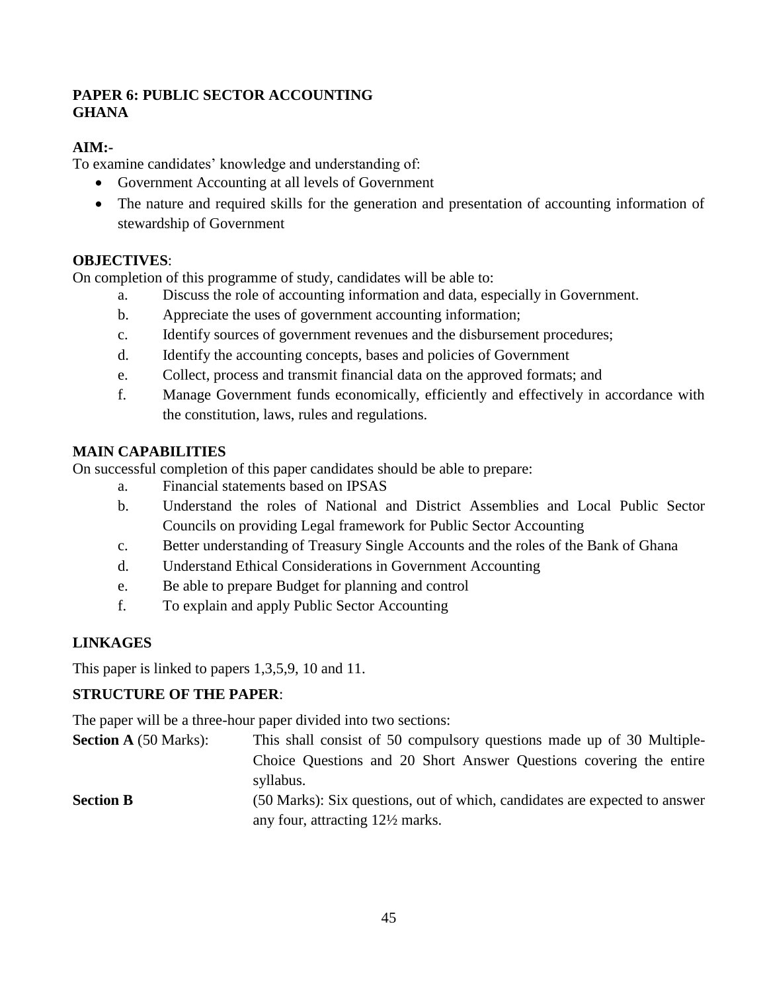## **PAPER 6: PUBLIC SECTOR ACCOUNTING GHANA**

## **AIM:-**

To examine candidates' knowledge and understanding of:

- Government Accounting at all levels of Government
- The nature and required skills for the generation and presentation of accounting information of stewardship of Government

## **OBJECTIVES**:

On completion of this programme of study, candidates will be able to:

- a. Discuss the role of accounting information and data, especially in Government.
- b. Appreciate the uses of government accounting information;
- c. Identify sources of government revenues and the disbursement procedures;
- d. Identify the accounting concepts, bases and policies of Government
- e. Collect, process and transmit financial data on the approved formats; and
- f. Manage Government funds economically, efficiently and effectively in accordance with the constitution, laws, rules and regulations.

## **MAIN CAPABILITIES**

On successful completion of this paper candidates should be able to prepare:

- a. Financial statements based on IPSAS
- b. Understand the roles of National and District Assemblies and Local Public Sector Councils on providing Legal framework for Public Sector Accounting
- c. Better understanding of Treasury Single Accounts and the roles of the Bank of Ghana
- d. Understand Ethical Considerations in Government Accounting
- e. Be able to prepare Budget for planning and control
- f. To explain and apply Public Sector Accounting

## **LINKAGES**

This paper is linked to papers 1,3,5,9, 10 and 11.

## **STRUCTURE OF THE PAPER**:

The paper will be a three-hour paper divided into two sections:

| <b>Section A</b> (50 Marks): | This shall consist of 50 compulsory questions made up of 30 Multiple-      |
|------------------------------|----------------------------------------------------------------------------|
|                              | Choice Questions and 20 Short Answer Questions covering the entire         |
|                              | syllabus.                                                                  |
| <b>Section B</b>             | (50 Marks): Six questions, out of which, candidates are expected to answer |
|                              | any four, attracting $12\frac{1}{2}$ marks.                                |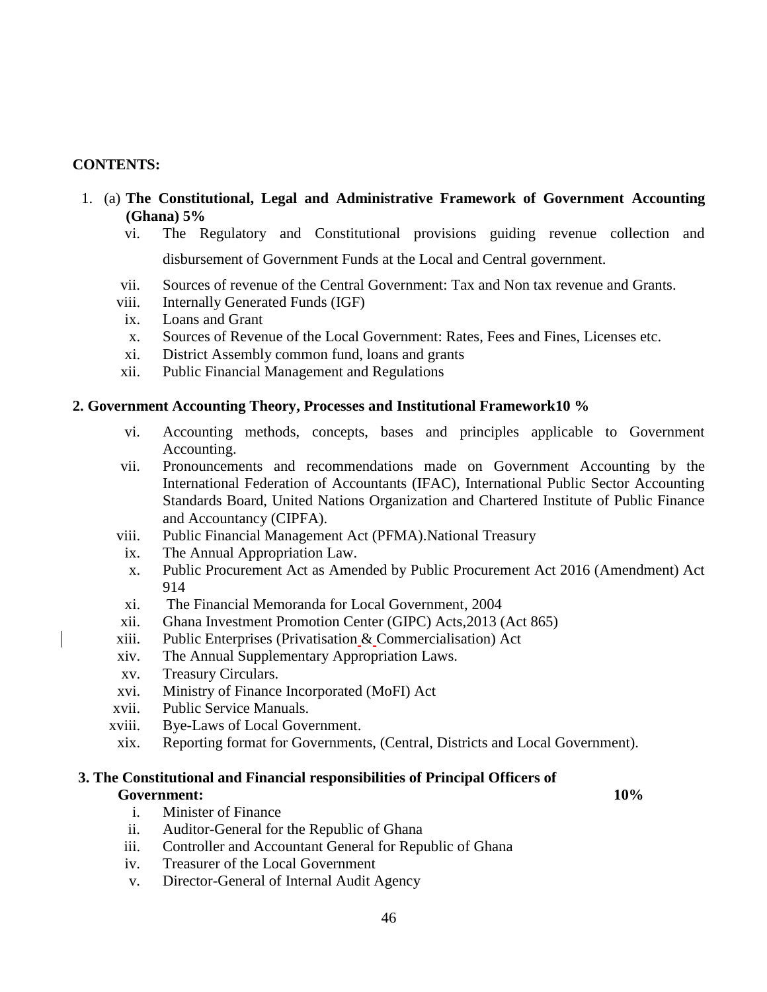#### **CONTENTS:**

- 1. (a) **The Constitutional, Legal and Administrative Framework of Government Accounting (Ghana) 5%**
	- vi. The Regulatory and Constitutional provisions guiding revenue collection and disbursement of Government Funds at the Local and Central government.
	- vii. Sources of revenue of the Central Government: Tax and Non tax revenue and Grants.
	- viii. Internally Generated Funds (IGF)
	- ix. Loans and Grant
	- x. Sources of Revenue of the Local Government: Rates, Fees and Fines, Licenses etc.
	- xi. District Assembly common fund, loans and grants
	- xii. Public Financial Management and Regulations

#### **2. Government Accounting Theory, Processes and Institutional Framework10 %**

- vi. Accounting methods, concepts, bases and principles applicable to Government Accounting.
- vii. Pronouncements and recommendations made on Government Accounting by the International Federation of Accountants (IFAC), International Public Sector Accounting Standards Board, United Nations Organization and Chartered Institute of Public Finance and Accountancy (CIPFA).
- viii. Public Financial Management Act (PFMA).National Treasury
- ix. The Annual Appropriation Law.
- x. Public Procurement Act as Amended by Public Procurement Act 2016 (Amendment) Act 914
- xi. The Financial Memoranda for Local Government, 2004
- xii. Ghana Investment Promotion Center (GIPC) Acts,2013 (Act 865)
- xiii. Public Enterprises (Privatisation & Commercialisation) Act
- xiv. The Annual Supplementary Appropriation Laws.
- xv. Treasury Circulars.
- xvi. Ministry of Finance Incorporated (MoFI) Act
- xvii. Public Service Manuals.
- xviii. Bye-Laws of Local Government.
	- xix. Reporting format for Governments, (Central, Districts and Local Government).

## **3. The Constitutional and Financial responsibilities of Principal Officers of**

#### **Government: 10%**

- i. Minister of Finance
- ii. Auditor-General for the Republic of Ghana
- iii. Controller and Accountant General for Republic of Ghana
- iv. Treasurer of the Local Government
- v. Director-General of Internal Audit Agency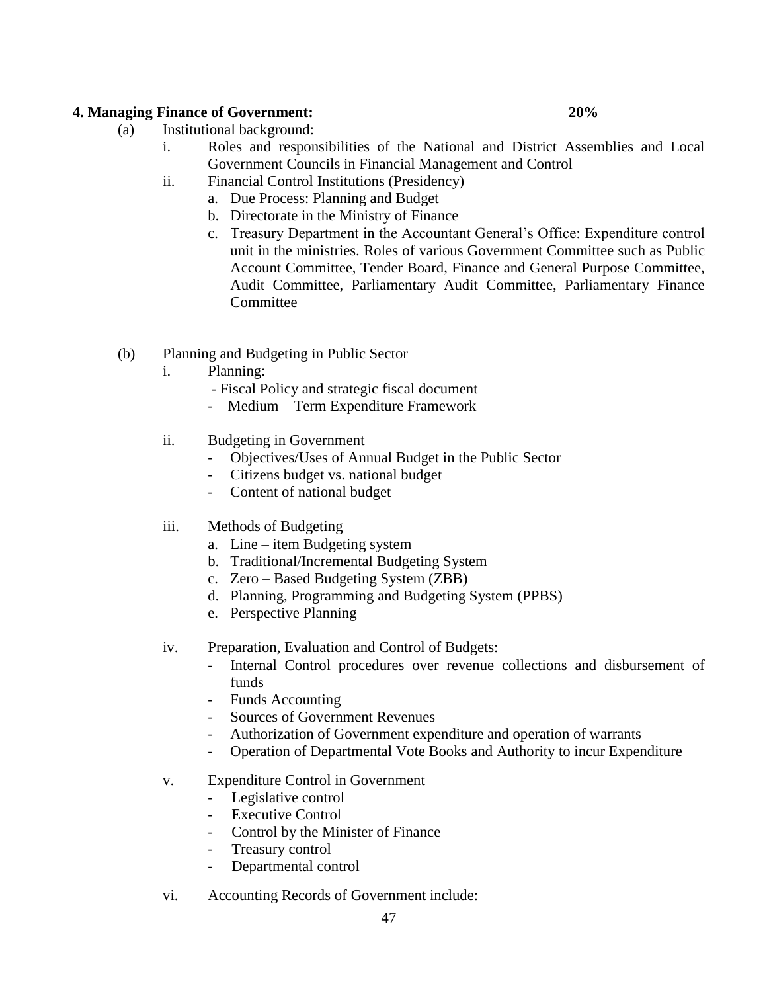#### **4. Managing Finance of Government: 20%**

- (a) Institutional background:
	- i. Roles and responsibilities of the National and District Assemblies and Local Government Councils in Financial Management and Control
	- ii. Financial Control Institutions (Presidency)
		- a. Due Process: Planning and Budget
		- b. Directorate in the Ministry of Finance
		- c. Treasury Department in the Accountant General"s Office: Expenditure control unit in the ministries. Roles of various Government Committee such as Public Account Committee, Tender Board, Finance and General Purpose Committee, Audit Committee, Parliamentary Audit Committee, Parliamentary Finance **Committee**
- (b) Planning and Budgeting in Public Sector
	- i. Planning:
		- Fiscal Policy and strategic fiscal document
		- Medium Term Expenditure Framework
	- ii. Budgeting in Government
		- Objectives/Uses of Annual Budget in the Public Sector
		- Citizens budget vs. national budget
		- Content of national budget

## iii. Methods of Budgeting

- a. Line item Budgeting system
- b. Traditional/Incremental Budgeting System
- c. Zero Based Budgeting System (ZBB)
- d. Planning, Programming and Budgeting System (PPBS)
- e. Perspective Planning
- iv. Preparation, Evaluation and Control of Budgets:
	- Internal Control procedures over revenue collections and disbursement of funds
	- Funds Accounting
	- Sources of Government Revenues
	- Authorization of Government expenditure and operation of warrants
	- Operation of Departmental Vote Books and Authority to incur Expenditure

#### v. Expenditure Control in Government

- Legislative control
- Executive Control
- Control by the Minister of Finance
- Treasury control
- Departmental control
- vi. Accounting Records of Government include: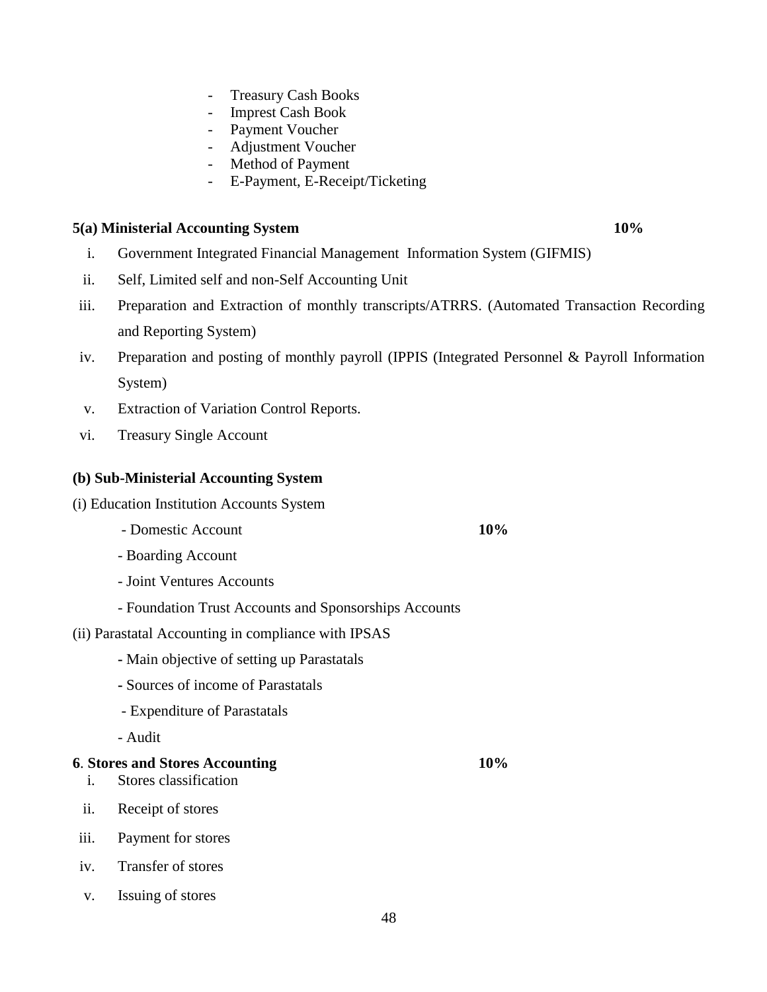- Treasury Cash Books
- Imprest Cash Book
- Payment Voucher
- Adjustment Voucher
- Method of Payment
- E-Payment, E-Receipt/Ticketing

## **5(a) Ministerial Accounting System 10%**

- i. Government Integrated Financial Management Information System (GIFMIS)
- ii. Self, Limited self and non-Self Accounting Unit
- iii. Preparation and Extraction of monthly transcripts/ATRRS. (Automated Transaction Recording and Reporting System)
- iv. Preparation and posting of monthly payroll (IPPIS (Integrated Personnel & Payroll Information System)
- v. Extraction of Variation Control Reports.
- vi. Treasury Single Account

## **(b) Sub-Ministerial Accounting System**

- (i) Education Institution Accounts System
	- Domestic Account **10%**

- Boarding Account

- Joint Ventures Accounts
- Foundation Trust Accounts and Sponsorships Accounts
- (ii) Parastatal Accounting in compliance with IPSAS
	- **-** Main objective of setting up Parastatals
	- **-** Sources of income of Parastatals
	- Expenditure of Parastatals
	- Audit

## **6**. **Stores and Stores Accounting 10%**

- i. Stores classification
- ii. Receipt of stores
- iii. Payment for stores
- iv. Transfer of stores
- v. Issuing of stores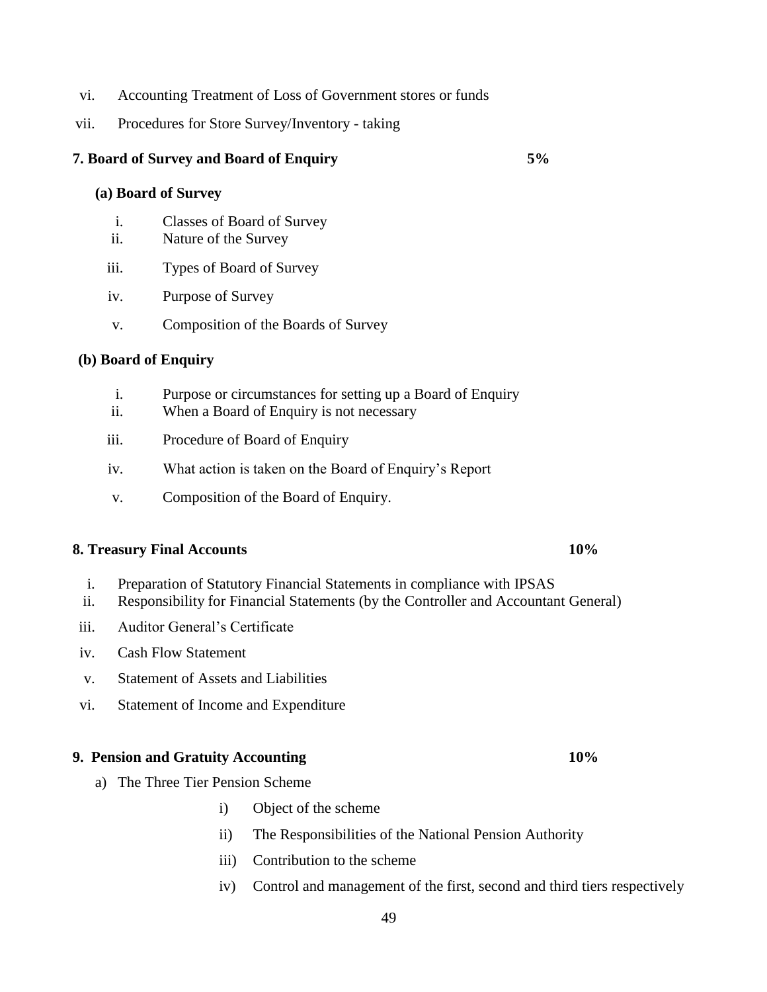- vi. Accounting Treatment of Loss of Government stores or funds
- vii. Procedures for Store Survey/Inventory taking

#### **7. Board of Survey and Board of Enquiry 5%**

## **(a) Board of Survey**

- i. Classes of Board of Survey
- ii. Nature of the Survey
- iii. Types of Board of Survey
- iv. Purpose of Survey
- v. Composition of the Boards of Survey

#### **(b) Board of Enquiry**

- i. Purpose or circumstances for setting up a Board of Enquiry
- ii. When a Board of Enquiry is not necessary
- iii. Procedure of Board of Enquiry
- iv. What action is taken on the Board of Enquiry"s Report
- v. Composition of the Board of Enquiry.

#### **8. Treasury Final Accounts 10%**

- i. Preparation of Statutory Financial Statements in compliance with IPSAS
- ii. Responsibility for Financial Statements (by the Controller and Accountant General)
- iii. Auditor General"s Certificate
- iv. Cash Flow Statement
- v. Statement of Assets and Liabilities
- vi. Statement of Income and Expenditure

#### **9. Pension and Gratuity Accounting 10%**

- a) The Three Tier Pension Scheme
	- i) Object of the scheme
	- ii) The Responsibilities of the National Pension Authority
	- iii) Contribution to the scheme
	- iv) Control and management of the first, second and third tiers respectively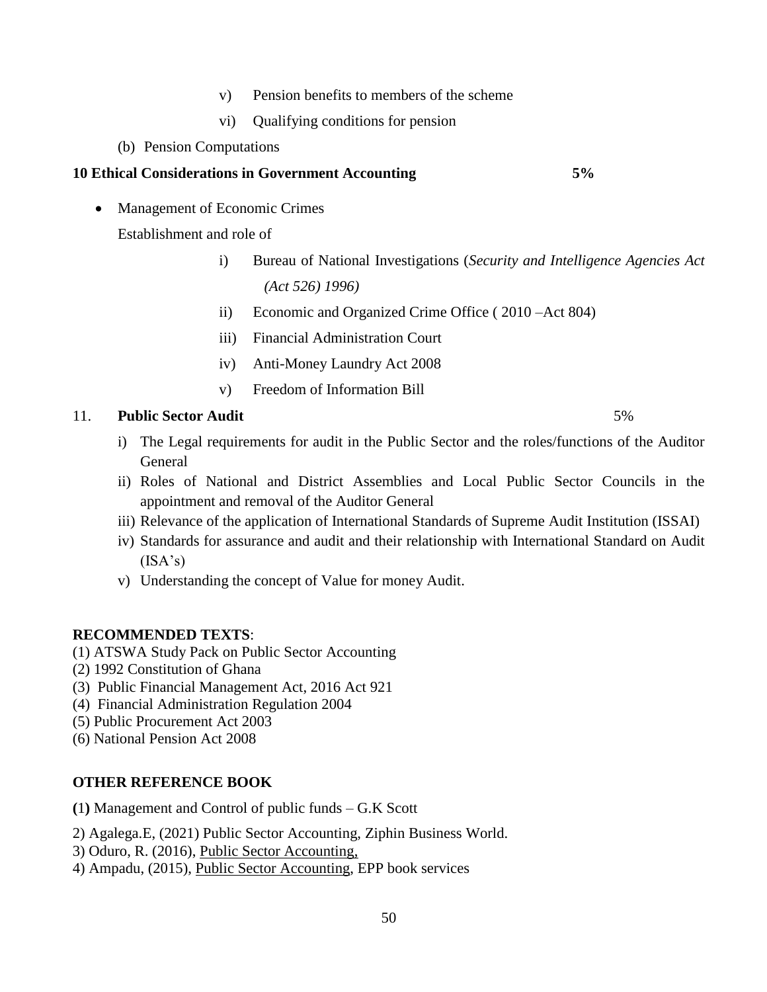- v) Pension benefits to members of the scheme
- vi) Qualifying conditions for pension
- (b) Pension Computations

## **10 Ethical Considerations in Government Accounting 5%**

- Management of Economic Crimes
	- Establishment and role of
		- i) Bureau of National Investigations (*Security and Intelligence Agencies Act (Act 526) 1996)*
		- ii) Economic and Organized Crime Office ( 2010 –Act 804)
		- iii) Financial Administration Court
		- iv) Anti-Money Laundry Act 2008
		- v) Freedom of Information Bill

## 11. **Public Sector Audit** 5%

- i) The Legal requirements for audit in the Public Sector and the roles/functions of the Auditor General
- ii) Roles of National and District Assemblies and Local Public Sector Councils in the appointment and removal of the Auditor General
- iii) Relevance of the application of International Standards of Supreme Audit Institution (ISSAI)
- iv) Standards for assurance and audit and their relationship with International Standard on Audit  $(ISA's)$
- v) Understanding the concept of Value for money Audit.

## **RECOMMENDED TEXTS**:

- (1) ATSWA Study Pack on Public Sector Accounting
- (2) 1992 Constitution of Ghana
- (3) Public Financial Management Act, 2016 Act 921
- (4) Financial Administration Regulation 2004
- (5) Public Procurement Act 2003
- (6) National Pension Act 2008

## **OTHER REFERENCE BOOK**

- **(**1**)** Management and Control of public funds G.K Scott
- 2) Agalega.E, (2021) Public Sector Accounting, Ziphin Business World.
- 3) Oduro, R. (2016), Public Sector Accounting,
- 4) Ampadu, (2015), Public Sector Accounting, EPP book services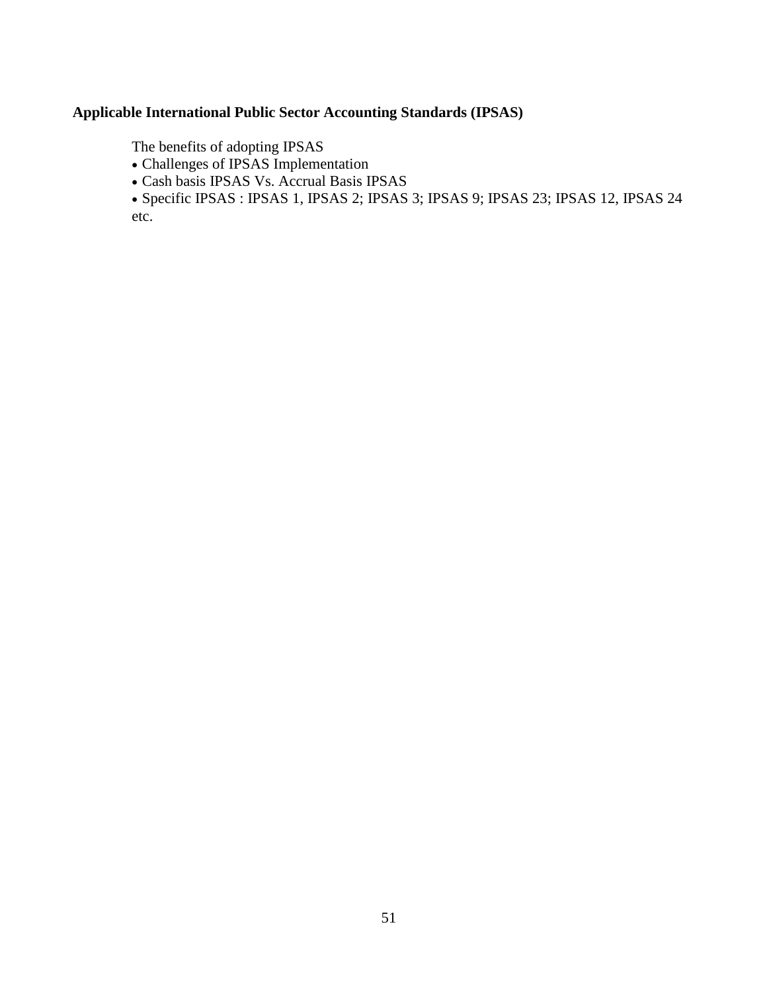# **Applicable International Public Sector Accounting Standards (IPSAS)**

The benefits of adopting IPSAS

- Challenges of IPSAS Implementation
- Cash basis IPSAS Vs. Accrual Basis IPSAS

 Specific IPSAS : IPSAS 1, IPSAS 2; IPSAS 3; IPSAS 9; IPSAS 23; IPSAS 12, IPSAS 24 etc.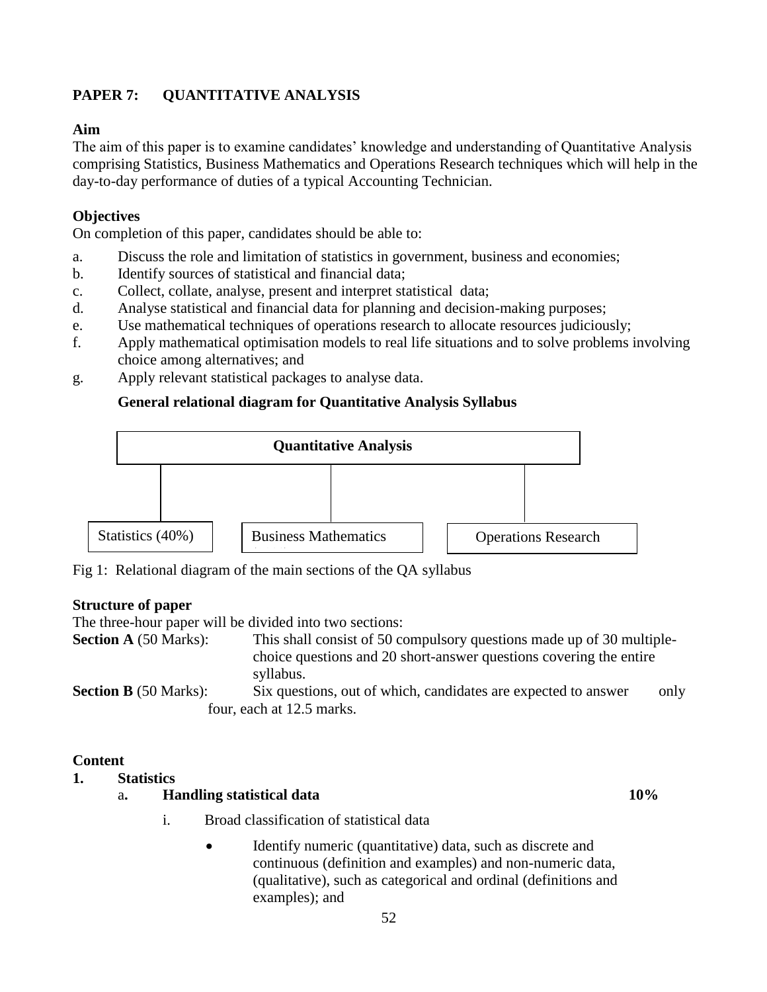# **PAPER 7: QUANTITATIVE ANALYSIS**

## **Aim**

The aim of this paper is to examine candidates' knowledge and understanding of Quantitative Analysis comprising Statistics, Business Mathematics and Operations Research techniques which will help in the day-to-day performance of duties of a typical Accounting Technician.

## **Objectives**

On completion of this paper, candidates should be able to:

- a. Discuss the role and limitation of statistics in government, business and economies;
- b. Identify sources of statistical and financial data;
- c. Collect, collate, analyse, present and interpret statistical data;
- d. Analyse statistical and financial data for planning and decision-making purposes;
- e. Use mathematical techniques of operations research to allocate resources judiciously;
- f. Apply mathematical optimisation models to real life situations and to solve problems involving choice among alternatives; and
- g. Apply relevant statistical packages to analyse data.

## **General relational diagram for Quantitative Analysis Syllabus**



Fig 1: Relational diagram of the main sections of the QA syllabus

## **Structure of paper**

The three-hour paper will be divided into two sections:

**Section A** (50 Marks): This shall consist of 50 compulsory questions made up of 30 multiplechoice questions and 20 short-answer questions covering the entire syllabus. **Section B** (50 Marks): Six questions, out of which, candidates are expected to answer only four, each at 12.5 marks.

## **Content**

**1. Statistics** 

## a**. Handling statistical data 10%**

- i. Broad classification of statistical data
	- Identify numeric (quantitative) data, such as discrete and continuous (definition and examples) and non-numeric data, (qualitative), such as categorical and ordinal (definitions and examples); and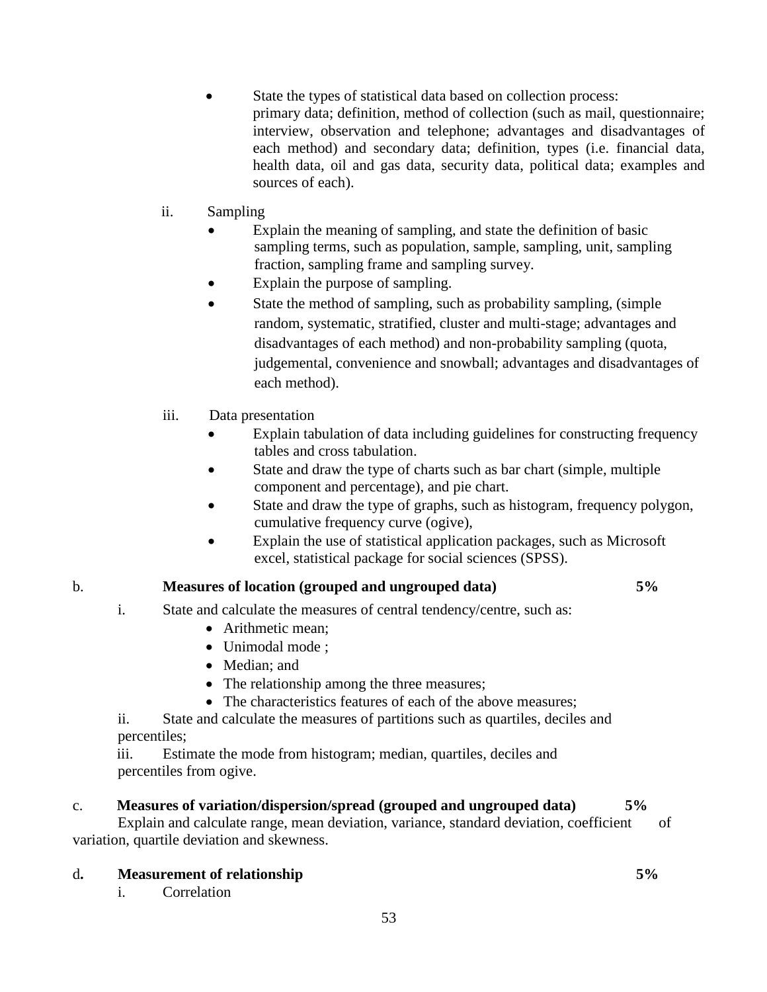- State the types of statistical data based on collection process:
	- primary data; definition, method of collection (such as mail, questionnaire; interview, observation and telephone; advantages and disadvantages of each method) and secondary data; definition, types (i.e. financial data, health data, oil and gas data, security data, political data; examples and sources of each).
- ii. Sampling
	- Explain the meaning of sampling, and state the definition of basic sampling terms, such as population, sample, sampling, unit, sampling fraction, sampling frame and sampling survey.
	- Explain the purpose of sampling.
	- State the method of sampling, such as probability sampling, (simple random, systematic, stratified, cluster and multi-stage; advantages and disadvantages of each method) and non-probability sampling (quota, judgemental, convenience and snowball; advantages and disadvantages of each method).

## iii. Data presentation

- Explain tabulation of data including guidelines for constructing frequency tables and cross tabulation.
- State and draw the type of charts such as bar chart (simple, multiple component and percentage), and pie chart.
- State and draw the type of graphs, such as histogram, frequency polygon, cumulative frequency curve (ogive),
- Explain the use of statistical application packages, such as Microsoft excel, statistical package for social sciences (SPSS).

## b. **Measures of location (grouped and ungrouped data) 5%**

- i. State and calculate the measures of central tendency/centre, such as:
	- Arithmetic mean:
	- Unimodal mode:
	- Median: and
	- The relationship among the three measures;
	- The characteristics features of each of the above measures;

ii. State and calculate the measures of partitions such as quartiles, deciles and percentiles;

iii. Estimate the mode from histogram; median, quartiles, deciles and percentiles from ogive.

## c. **Measures of variation/dispersion/spread (grouped and ungrouped data) 5%**

Explain and calculate range, mean deviation, variance, standard deviation, coefficient of variation, quartile deviation and skewness.

## d**. Measurement of relationship 5%**

i. Correlation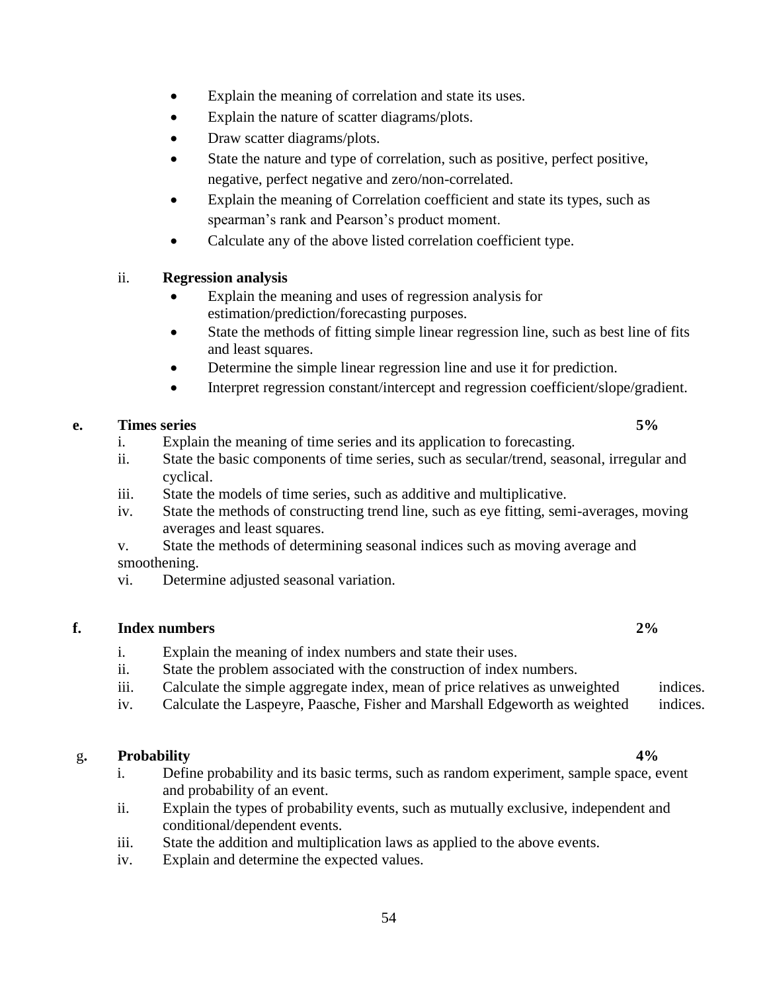- Explain the meaning of correlation and state its uses.
- Explain the nature of scatter diagrams/plots.
- Draw scatter diagrams/plots.
- State the nature and type of correlation, such as positive, perfect positive, negative, perfect negative and zero/non-correlated.
- Explain the meaning of Correlation coefficient and state its types, such as spearman's rank and Pearson's product moment.
- Calculate any of the above listed correlation coefficient type.

## ii. **Regression analysis**

- Explain the meaning and uses of regression analysis for estimation/prediction/forecasting purposes.
- State the methods of fitting simple linear regression line, such as best line of fits and least squares.
- Determine the simple linear regression line and use it for prediction.
- Interpret regression constant/intercept and regression coefficient/slope/gradient.

## **e. Times series 5%**

- i. Explain the meaning of time series and its application to forecasting.
- ii. State the basic components of time series, such as secular/trend, seasonal, irregular and cyclical.
- iii. State the models of time series, such as additive and multiplicative.
- iv. State the methods of constructing trend line, such as eye fitting, semi-averages, moving averages and least squares.
- v. State the methods of determining seasonal indices such as moving average and smoothening.
- vi. Determine adjusted seasonal variation.

## **f. Index numbers 2%**

- i. Explain the meaning of index numbers and state their uses.
- ii. State the problem associated with the construction of index numbers.
- iii. Calculate the simple aggregate index, mean of price relatives as unweighted indices.
- iv. Calculate the Laspeyre, Paasche, Fisher and Marshall Edgeworth as weighted indices.

## g**. Probability 4%**

- i. Define probability and its basic terms, such as random experiment, sample space, event and probability of an event.
- ii. Explain the types of probability events, such as mutually exclusive, independent and conditional/dependent events.
- iii. State the addition and multiplication laws as applied to the above events.
- iv. Explain and determine the expected values.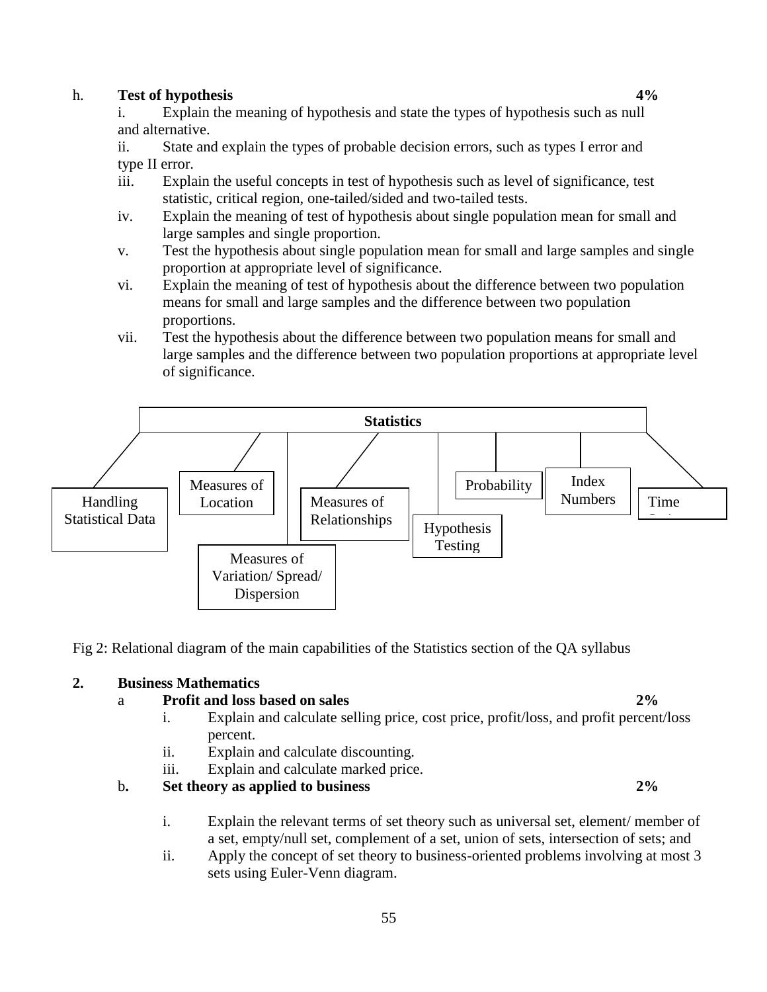## h. **Test of hypothesis 4%**

i. Explain the meaning of hypothesis and state the types of hypothesis such as null and alternative.

ii. State and explain the types of probable decision errors, such as types I error and type II error.

- iii. Explain the useful concepts in test of hypothesis such as level of significance, test statistic, critical region, one-tailed/sided and two-tailed tests.
- iv. Explain the meaning of test of hypothesis about single population mean for small and large samples and single proportion.
- v. Test the hypothesis about single population mean for small and large samples and single proportion at appropriate level of significance.
- vi. Explain the meaning of test of hypothesis about the difference between two population means for small and large samples and the difference between two population proportions.
- vii. Test the hypothesis about the difference between two population means for small and large samples and the difference between two population proportions at appropriate level of significance.



Fig 2: Relational diagram of the main capabilities of the Statistics section of the QA syllabus

## **2. Business Mathematics**

#### a **Profit and loss based on sales 2%**

- i. Explain and calculate selling price, cost price, profit/loss, and profit percent/loss percent.
- ii. Explain and calculate discounting.
- iii. Explain and calculate marked price.

## b**. Set theory as applied to business 2%**

- i. Explain the relevant terms of set theory such as universal set, element/ member of a set, empty/null set, complement of a set, union of sets, intersection of sets; and
- ii. Apply the concept of set theory to business-oriented problems involving at most 3 sets using Euler-Venn diagram.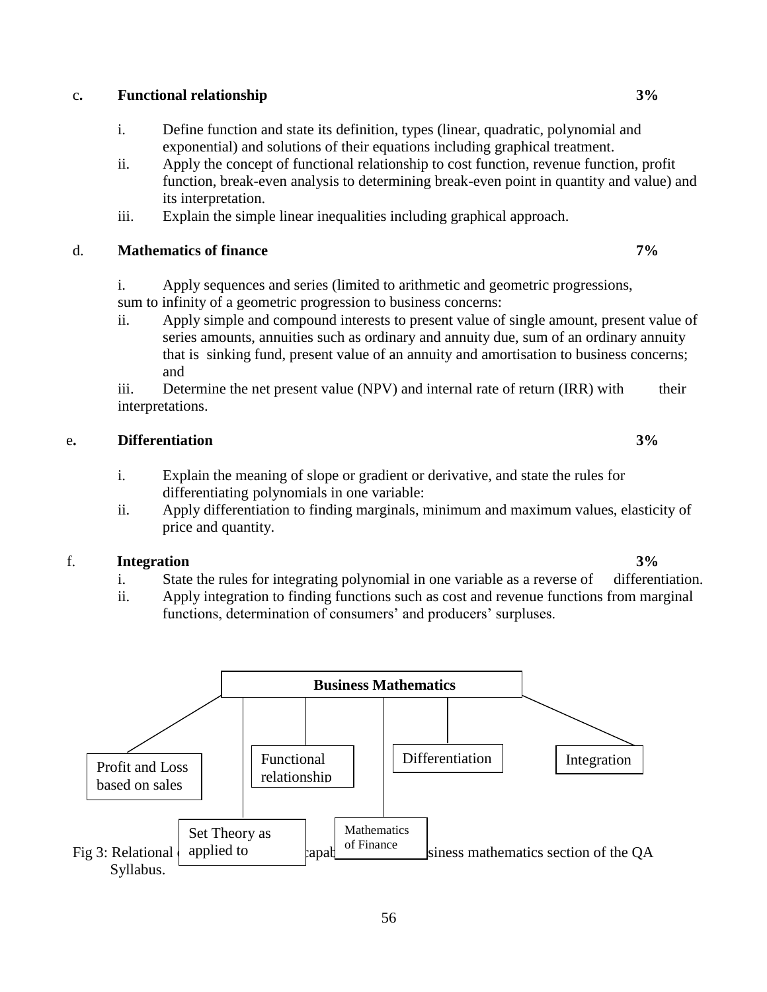#### c**. Functional relationship 3%**

- i. Define function and state its definition, types (linear, quadratic, polynomial and exponential) and solutions of their equations including graphical treatment.
- ii. Apply the concept of functional relationship to cost function, revenue function, profit function, break-even analysis to determining break-even point in quantity and value) and its interpretation.
- iii. Explain the simple linear inequalities including graphical approach.

#### d. **Mathematics of finance 7%**

i. Apply sequences and series (limited to arithmetic and geometric progressions, sum to infinity of a geometric progression to business concerns:

ii. Apply simple and compound interests to present value of single amount, present value of series amounts, annuities such as ordinary and annuity due, sum of an ordinary annuity that is sinking fund, present value of an annuity and amortisation to business concerns; and

iii. Determine the net present value (NPV) and internal rate of return (IRR) with their interpretations.

#### e**. Differentiation 3%**

- i. Explain the meaning of slope or gradient or derivative, and state the rules for differentiating polynomials in one variable:
- ii. Apply differentiation to finding marginals, minimum and maximum values, elasticity of price and quantity.

#### f. **Integration 3%**

- i. State the rules for integrating polynomial in one variable as a reverse of differentiation.
- ii. Apply integration to finding functions such as cost and revenue functions from marginal functions, determination of consumers' and producers' surpluses.

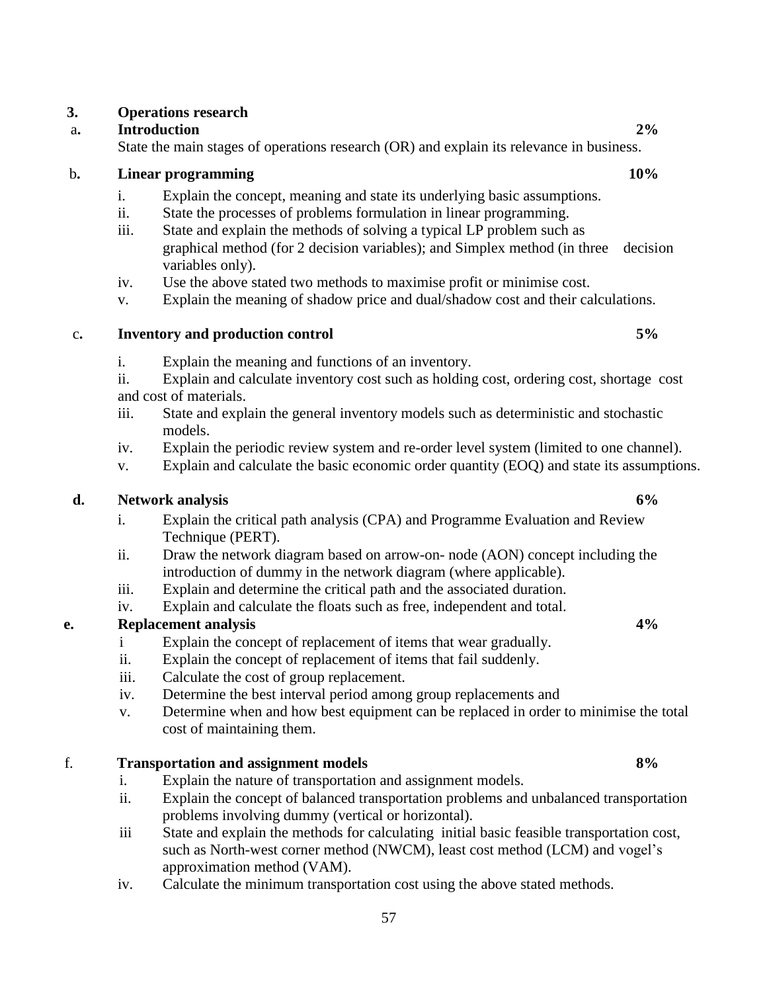## **3. Operations research**

#### a**. Introduction 2%**

State the main stages of operations research (OR) and explain its relevance in business.

## b**. Linear programming 10%**

- i. Explain the concept, meaning and state its underlying basic assumptions.
- ii. State the processes of problems formulation in linear programming.
- iii. State and explain the methods of solving a typical LP problem such as graphical method (for 2 decision variables); and Simplex method (in three decision variables only).
- iv. Use the above stated two methods to maximise profit or minimise cost.
- v. Explain the meaning of shadow price and dual/shadow cost and their calculations.

## c**. Inventory and production control 5%**

- i. Explain the meaning and functions of an inventory.
- ii. Explain and calculate inventory cost such as holding cost, ordering cost, shortage cost and cost of materials.
- iii. State and explain the general inventory models such as deterministic and stochastic models.
- iv. Explain the periodic review system and re-order level system (limited to one channel).
- v. Explain and calculate the basic economic order quantity (EOQ) and state its assumptions.

## **d. Network analysis 6%**

- i. Explain the critical path analysis (CPA) and Programme Evaluation and Review Technique (PERT).
- ii. Draw the network diagram based on arrow-on- node (AON) concept including the introduction of dummy in the network diagram (where applicable).
- iii. Explain and determine the critical path and the associated duration.
- iv. Explain and calculate the floats such as free, independent and total.

## **e. Replacement analysis 4%**

- i Explain the concept of replacement of items that wear gradually.
- ii. Explain the concept of replacement of items that fail suddenly.
- iii. Calculate the cost of group replacement.
- iv. Determine the best interval period among group replacements and
- v. Determine when and how best equipment can be replaced in order to minimise the total cost of maintaining them.

## f. **Transportation and assignment models 8%**

- i. Explain the nature of transportation and assignment models.
- ii. Explain the concept of balanced transportation problems and unbalanced transportation problems involving dummy (vertical or horizontal).
- iii State and explain the methods for calculating initial basic feasible transportation cost, such as North-west corner method (NWCM), least cost method (LCM) and vogel's approximation method (VAM).
- iv. Calculate the minimum transportation cost using the above stated methods.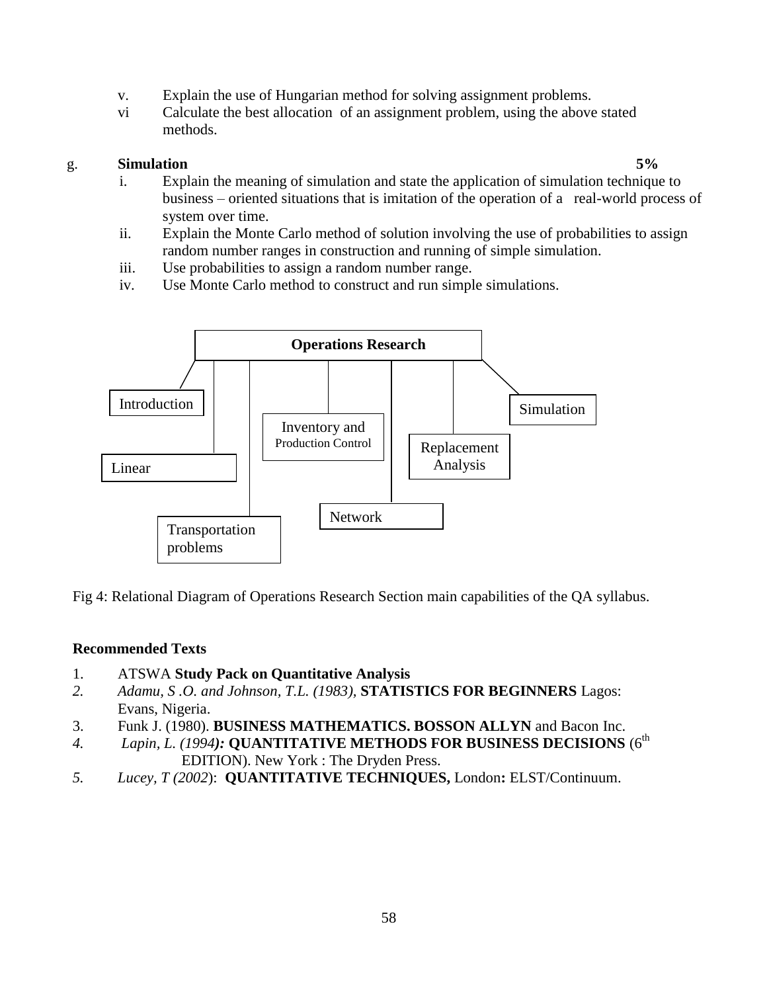- v. Explain the use of Hungarian method for solving assignment problems.
- vi Calculate the best allocation of an assignment problem, using the above stated methods.

#### g. **Simulation 5%**

- i. Explain the meaning of simulation and state the application of simulation technique to business – oriented situations that is imitation of the operation of a real-world process of system over time.
- ii. Explain the Monte Carlo method of solution involving the use of probabilities to assign random number ranges in construction and running of simple simulation.
- iii. Use probabilities to assign a random number range.
- iv. Use Monte Carlo method to construct and run simple simulations.



Fig 4: Relational Diagram of Operations Research Section main capabilities of the QA syllabus.

#### **Recommended Texts**

- 1. ATSWA **Study Pack on Quantitative Analysis**
- *2. Adamu, S .O. and Johnson, T.L. (1983),* **STATISTICS FOR BEGINNERS** Lagos: Evans, Nigeria.
- 3. Funk J. (1980). **BUSINESS MATHEMATICS. BOSSON ALLYN** and Bacon Inc.
- *4. Lapin, L. (1994):* **QUANTITATIVE METHODS FOR BUSINESS DECISIONS** (6th EDITION). New York : The Dryden Press.
- *5. Lucey, T (2002*): **QUANTITATIVE TECHNIQUES,** London**:** ELST/Continuum.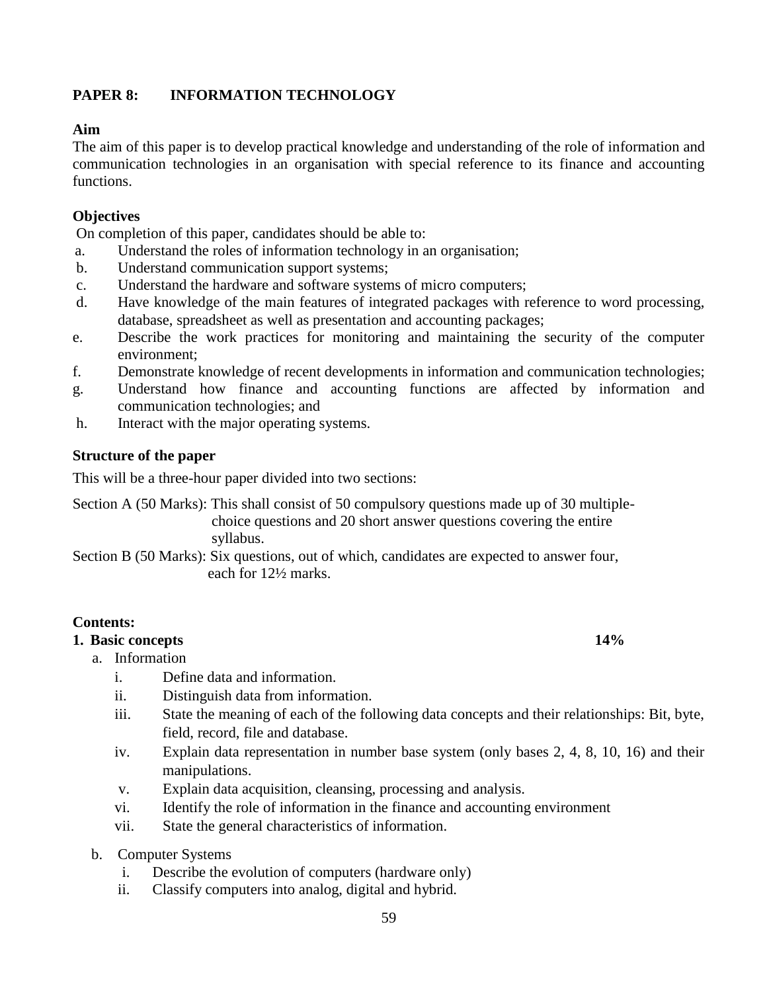## **PAPER 8: INFORMATION TECHNOLOGY**

## **Aim**

The aim of this paper is to develop practical knowledge and understanding of the role of information and communication technologies in an organisation with special reference to its finance and accounting functions.

## **Objectives**

On completion of this paper, candidates should be able to:

- a. Understand the roles of information technology in an organisation;
- b. Understand communication support systems;
- c. Understand the hardware and software systems of micro computers;
- d. Have knowledge of the main features of integrated packages with reference to word processing, database, spreadsheet as well as presentation and accounting packages;
- e. Describe the work practices for monitoring and maintaining the security of the computer environment;
- f. Demonstrate knowledge of recent developments in information and communication technologies;
- g. Understand how finance and accounting functions are affected by information and communication technologies; and
- h. Interact with the major operating systems.

## **Structure of the paper**

This will be a three-hour paper divided into two sections:

Section A (50 Marks): This shall consist of 50 compulsory questions made up of 30 multiplechoice questions and 20 short answer questions covering the entire syllabus.

Section B (50 Marks): Six questions, out of which, candidates are expected to answer four, each for 12½ marks.

## **Contents:**

## **1. Basic concepts 14%**

- a. Information
	- i. Define data and information.
	- ii. Distinguish data from information.
	- iii. State the meaning of each of the following data concepts and their relationships: Bit, byte, field, record, file and database.
	- iv. Explain data representation in number base system (only bases 2, 4, 8, 10, 16) and their manipulations.
	- v. Explain data acquisition, cleansing, processing and analysis.
	- vi. Identify the role of information in the finance and accounting environment
	- vii. State the general characteristics of information.
- b. Computer Systems
	- i. Describe the evolution of computers (hardware only)
	- ii. Classify computers into analog, digital and hybrid.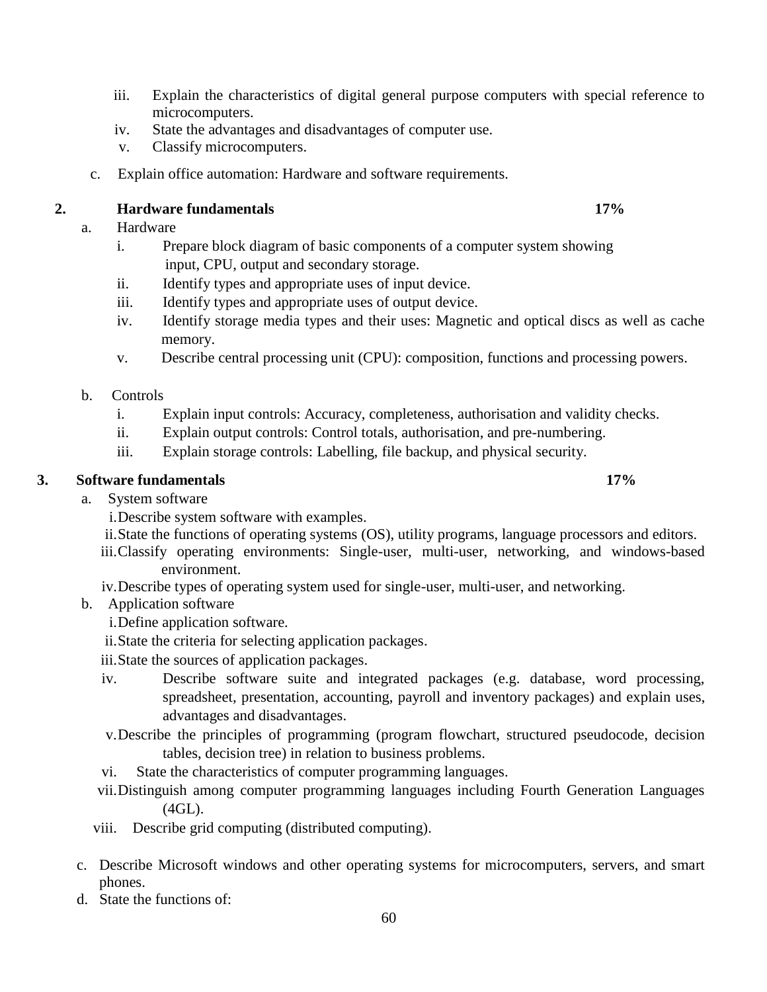- iii. Explain the characteristics of digital general purpose computers with special reference to microcomputers.
- iv. State the advantages and disadvantages of computer use.
- v. Classify microcomputers.
- c. Explain office automation: Hardware and software requirements.

## **2. Hardware fundamentals 17%**

- a. Hardware
	- i. Prepare block diagram of basic components of a computer system showing input, CPU, output and secondary storage.
	- ii. Identify types and appropriate uses of input device.
	- iii. Identify types and appropriate uses of output device.
	- iv. Identify storage media types and their uses: Magnetic and optical discs as well as cache memory.
	- v. Describe central processing unit (CPU): composition, functions and processing powers.
- b. Controls
	- i. Explain input controls: Accuracy, completeness, authorisation and validity checks.
	- ii. Explain output controls: Control totals, authorisation, and pre-numbering.
	- iii. Explain storage controls: Labelling, file backup, and physical security.

## **3. Software fundamentals 17%**

## a. System software

- i.Describe system software with examples.
- ii.State the functions of operating systems (OS), utility programs, language processors and editors.
- iii.Classify operating environments: Single-user, multi-user, networking, and windows-based environment.
- iv.Describe types of operating system used for single-user, multi-user, and networking.
- b. Application software
	- i.Define application software.
	- ii.State the criteria for selecting application packages.
	- iii.State the sources of application packages.
	- iv. Describe software suite and integrated packages (e.g. database, word processing, spreadsheet, presentation, accounting, payroll and inventory packages) and explain uses, advantages and disadvantages.
	- v.Describe the principles of programming (program flowchart, structured pseudocode, decision tables, decision tree) in relation to business problems.
	- vi. State the characteristics of computer programming languages.
	- vii.Distinguish among computer programming languages including Fourth Generation Languages (4GL).
	- viii. Describe grid computing (distributed computing).
- c. Describe Microsoft windows and other operating systems for microcomputers, servers, and smart phones.
- d. State the functions of: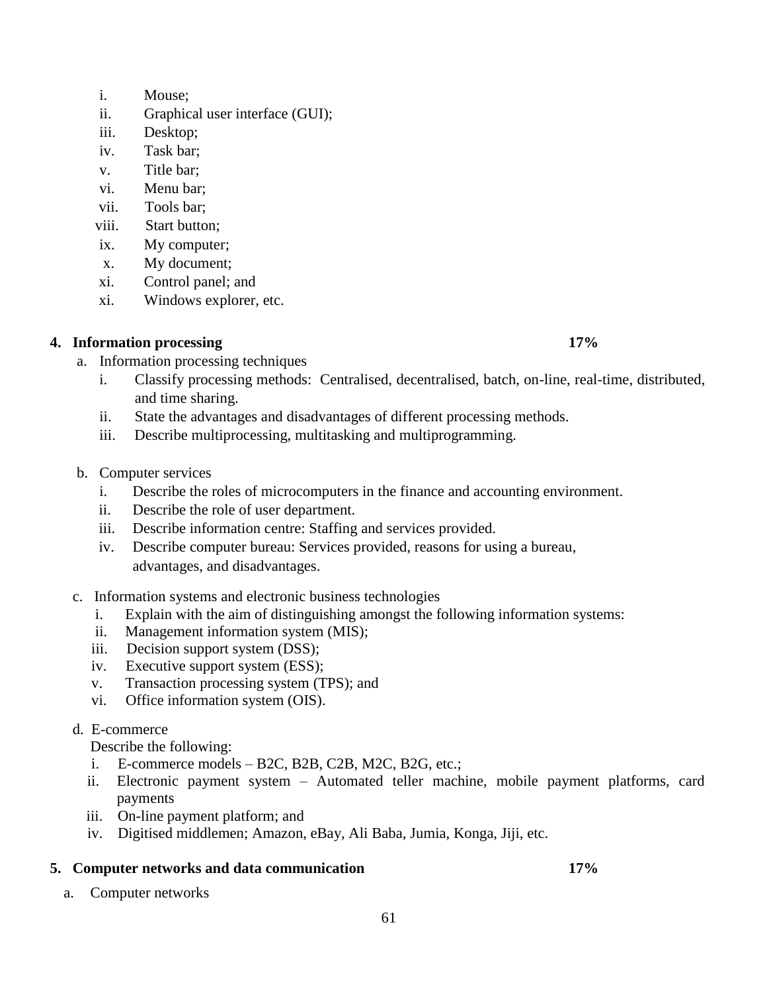- i. Mouse;
- ii. Graphical user interface (GUI);
- iii. Desktop;
- iv. Task bar;
- v. Title bar;
- vi. Menu bar;
- vii. Tools bar;
- viii. Start button;
- ix. My computer;
- x. My document;
- xi. Control panel; and
- xi. Windows explorer, etc.

#### **4. Information processing 17%**

- a. Information processing techniques
	- i. Classify processing methods: Centralised, decentralised, batch, on-line, real-time, distributed, and time sharing.
	- ii. State the advantages and disadvantages of different processing methods.
	- iii. Describe multiprocessing, multitasking and multiprogramming.
- b. Computer services
	- i. Describe the roles of microcomputers in the finance and accounting environment.
	- ii. Describe the role of user department.
	- iii. Describe information centre: Staffing and services provided.
	- iv. Describe computer bureau: Services provided, reasons for using a bureau, advantages, and disadvantages.
- c. Information systems and electronic business technologies
	- i. Explain with the aim of distinguishing amongst the following information systems:
	- ii. Management information system (MIS);
	- iii. Decision support system (DSS);
	- iv. Executive support system (ESS);
	- v. Transaction processing system (TPS); and
	- vi. Office information system (OIS).

#### d. E-commerce

Describe the following:

- i. E-commerce models B2C, B2B, C2B, M2C, B2G, etc.;
- ii. Electronic payment system Automated teller machine, mobile payment platforms, card payments
- iii. On-line payment platform; and
- iv. Digitised middlemen; Amazon, eBay, Ali Baba, Jumia, Konga, Jiji, etc.

#### **5. Computer networks and data communication 17%**

a. Computer networks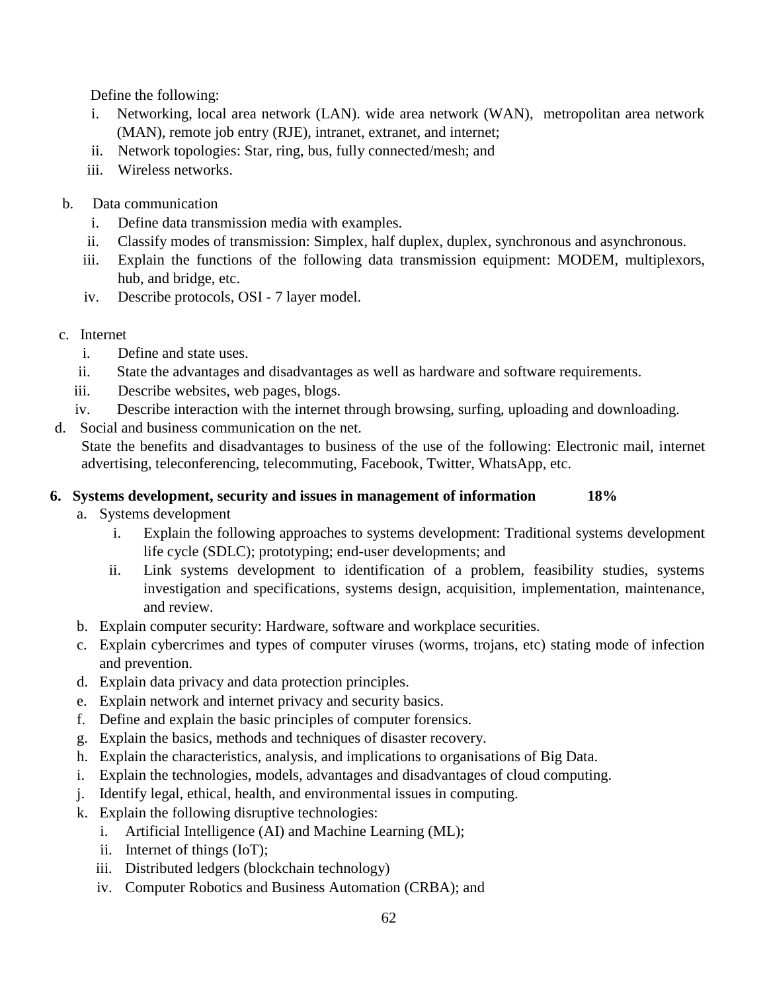Define the following:

- i. Networking, local area network (LAN). wide area network (WAN), metropolitan area network (MAN), remote job entry (RJE), intranet, extranet, and internet;
- ii. Network topologies: Star, ring, bus, fully connected/mesh; and
- iii. Wireless networks.
- b. Data communication
	- i. Define data transmission media with examples.
	- ii. Classify modes of transmission: Simplex, half duplex, duplex, synchronous and asynchronous.
	- iii. Explain the functions of the following data transmission equipment: MODEM, multiplexors, hub, and bridge, etc.
	- iv. Describe protocols, OSI 7 layer model.
- c. Internet
	- i. Define and state uses.
	- ii. State the advantages and disadvantages as well as hardware and software requirements.
	- iii. Describe websites, web pages, blogs.
	- iv. Describe interaction with the internet through browsing, surfing, uploading and downloading.
- d. Social and business communication on the net.

State the benefits and disadvantages to business of the use of the following: Electronic mail, internet advertising, teleconferencing, telecommuting, Facebook, Twitter, WhatsApp, etc.

# **6. Systems development, security and issues in management of information 18%**

- a. Systems development
	- i. Explain the following approaches to systems development: Traditional systems development life cycle (SDLC); prototyping; end-user developments; and
	- ii. Link systems development to identification of a problem, feasibility studies, systems investigation and specifications, systems design, acquisition, implementation, maintenance, and review.
- b. Explain computer security: Hardware, software and workplace securities.
- c. Explain cybercrimes and types of computer viruses (worms, trojans, etc) stating mode of infection and prevention.
- d. Explain data privacy and data protection principles.
- e. Explain network and internet privacy and security basics.
- f. Define and explain the basic principles of computer forensics.
- g. Explain the basics, methods and techniques of disaster recovery.
- h. Explain the characteristics, analysis, and implications to organisations of Big Data.
- i. Explain the technologies, models, advantages and disadvantages of cloud computing.
- j. Identify legal, ethical, health, and environmental issues in computing.
- k. Explain the following disruptive technologies:
	- i. Artificial Intelligence (AI) and Machine Learning (ML);
	- ii. Internet of things (IoT);
	- iii. Distributed ledgers (blockchain technology)
	- iv. Computer Robotics and Business Automation (CRBA); and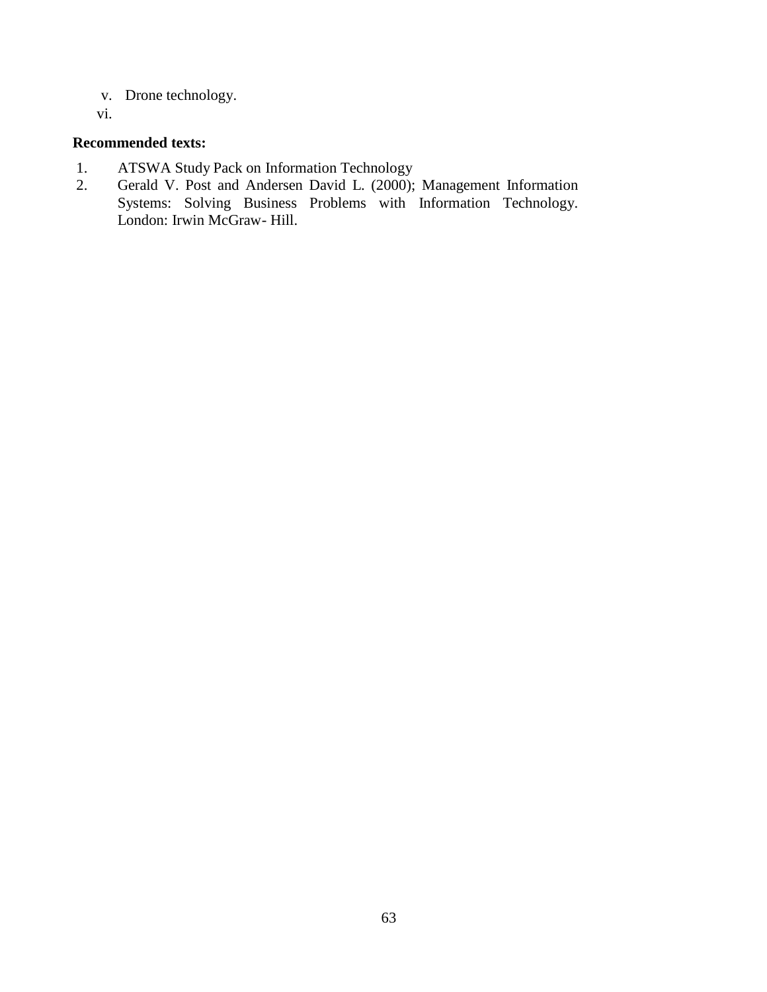- v. Drone technology.
- vi.

## **Recommended texts:**

- 1. ATSWA Study Pack on Information Technology<br>2. Gerald V. Post and Andersen David L. (2000);
- Gerald V. Post and Andersen David L. (2000); Management Information Systems: Solving Business Problems with Information Technology. London: Irwin McGraw- Hill.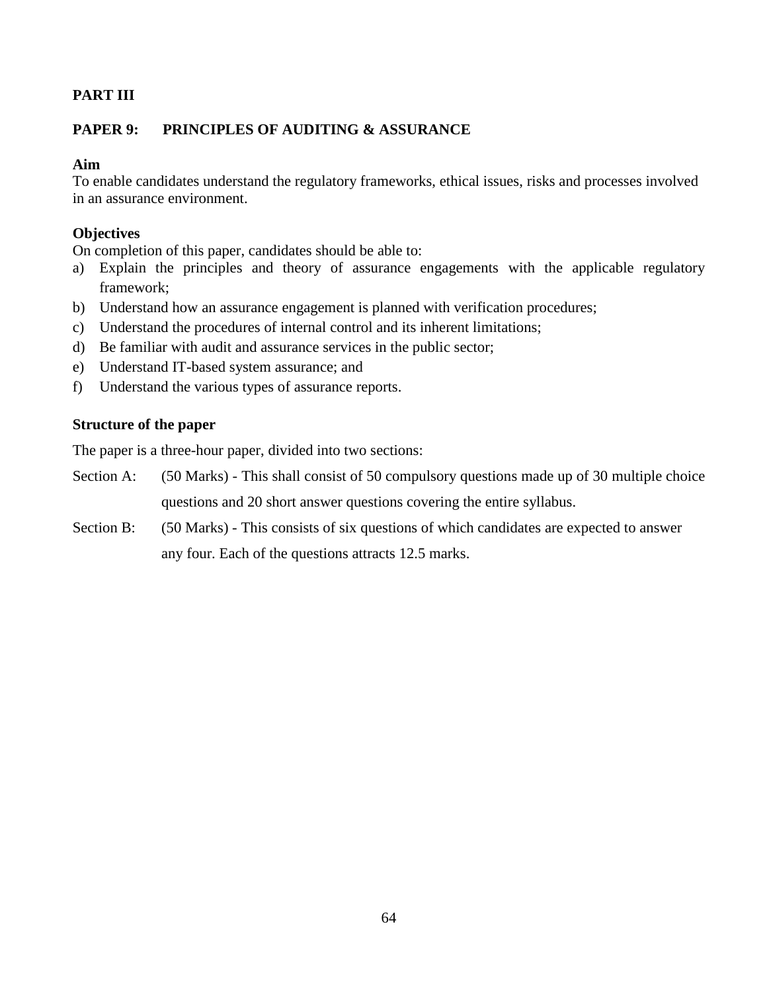# **PART III**

## **PAPER 9: PRINCIPLES OF AUDITING & ASSURANCE**

## **Aim**

To enable candidates understand the regulatory frameworks, ethical issues, risks and processes involved in an assurance environment.

## **Objectives**

On completion of this paper, candidates should be able to:

- a) Explain the principles and theory of assurance engagements with the applicable regulatory framework;
- b) Understand how an assurance engagement is planned with verification procedures;
- c) Understand the procedures of internal control and its inherent limitations;
- d) Be familiar with audit and assurance services in the public sector;
- e) Understand IT-based system assurance; and
- f) Understand the various types of assurance reports.

## **Structure of the paper**

The paper is a three-hour paper, divided into two sections:

- Section A: (50 Marks) This shall consist of 50 compulsory questions made up of 30 multiple choice questions and 20 short answer questions covering the entire syllabus.
- Section B: (50 Marks) This consists of six questions of which candidates are expected to answer any four. Each of the questions attracts 12.5 marks.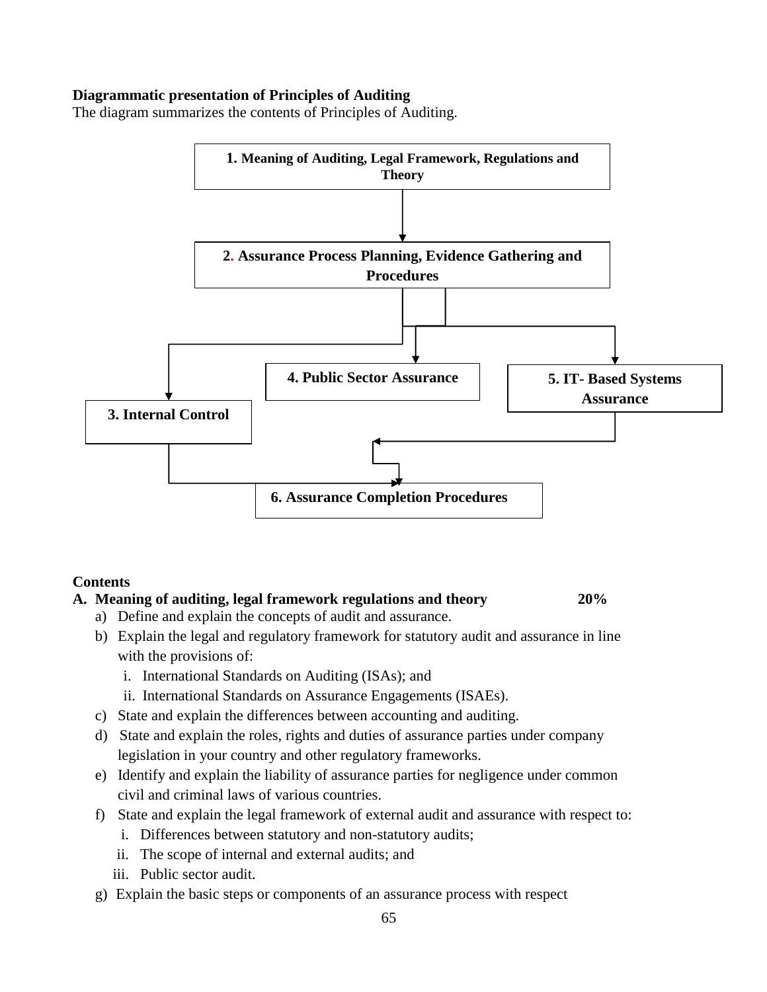## **Diagrammatic presentation of Principles of Auditing**

The diagram summarizes the contents of Principles of Auditing.



## **Contents**

## **A. Meaning of auditing, legal framework regulations and theory 20%**

- a) Define and explain the concepts of audit and assurance.
- b) Explain the legal and regulatory framework for statutory audit and assurance in line with the provisions of:
	- i. International Standards on Auditing (ISAs); and
	- ii. International Standards on Assurance Engagements (ISAEs).
- c) State and explain the differences between accounting and auditing.
- d) State and explain the roles, rights and duties of assurance parties under company legislation in your country and other regulatory frameworks.
- e) Identify and explain the liability of assurance parties for negligence under common civil and criminal laws of various countries.
- f) State and explain the legal framework of external audit and assurance with respect to:
	- i. Differences between statutory and non-statutory audits;
	- ii. The scope of internal and external audits; and
	- iii. Public sector audit.
- g) Explain the basic steps or components of an assurance process with respect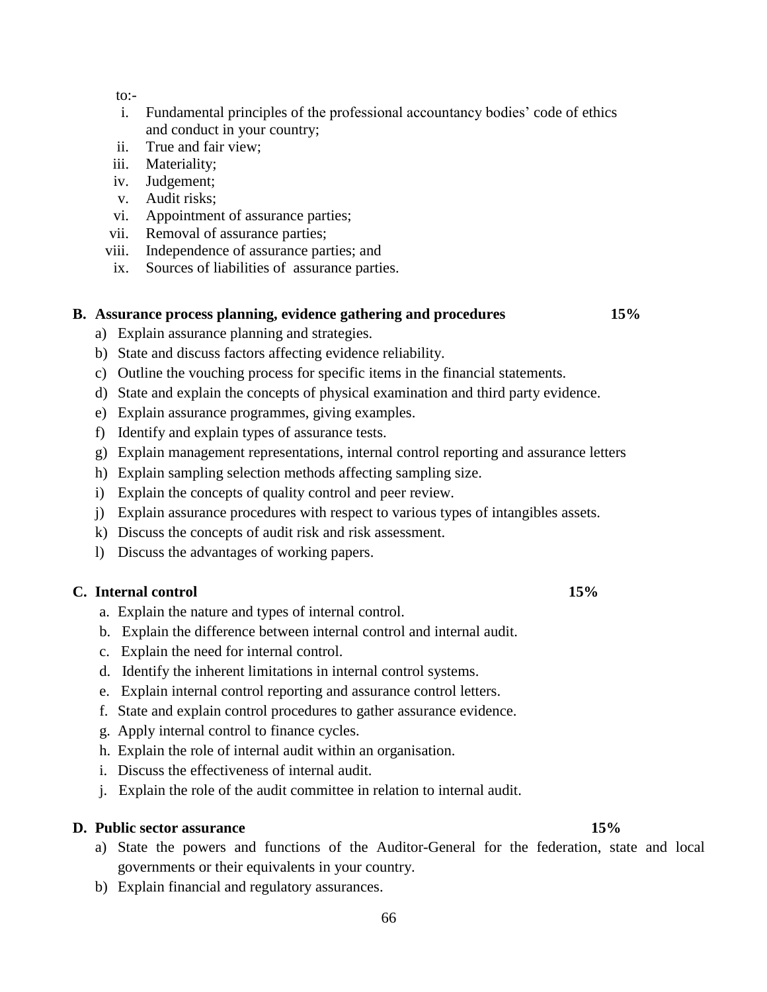$\text{to:}$ 

- i. Fundamental principles of the professional accountancy bodies" code of ethics and conduct in your country;
- ii. True and fair view;
- iii. Materiality;
- iv. Judgement;
- v. Audit risks;
- vi. Appointment of assurance parties;
- vii. Removal of assurance parties;
- viii. Independence of assurance parties; and
- ix. Sources of liabilities of assurance parties.

#### **B. Assurance process planning, evidence gathering and procedures 15%**

- a) Explain assurance planning and strategies.
- b) State and discuss factors affecting evidence reliability.
- c) Outline the vouching process for specific items in the financial statements.
- d) State and explain the concepts of physical examination and third party evidence.
- e) Explain assurance programmes, giving examples.
- f) Identify and explain types of assurance tests.
- g) Explain management representations, internal control reporting and assurance letters
- h) Explain sampling selection methods affecting sampling size.
- i) Explain the concepts of quality control and peer review.
- j) Explain assurance procedures with respect to various types of intangibles assets.
- k) Discuss the concepts of audit risk and risk assessment.
- l) Discuss the advantages of working papers.

#### **C. Internal control 15%**

- a. Explain the nature and types of internal control.
- b. Explain the difference between internal control and internal audit.
- c. Explain the need for internal control.
- d. Identify the inherent limitations in internal control systems.
- e. Explain internal control reporting and assurance control letters.
- f. State and explain control procedures to gather assurance evidence.
- g. Apply internal control to finance cycles.
- h. Explain the role of internal audit within an organisation.
- i. Discuss the effectiveness of internal audit.
- j. Explain the role of the audit committee in relation to internal audit.

## **D. Public sector assurance 15%**

- a) State the powers and functions of the Auditor-General for the federation, state and local governments or their equivalents in your country.
- b) Explain financial and regulatory assurances.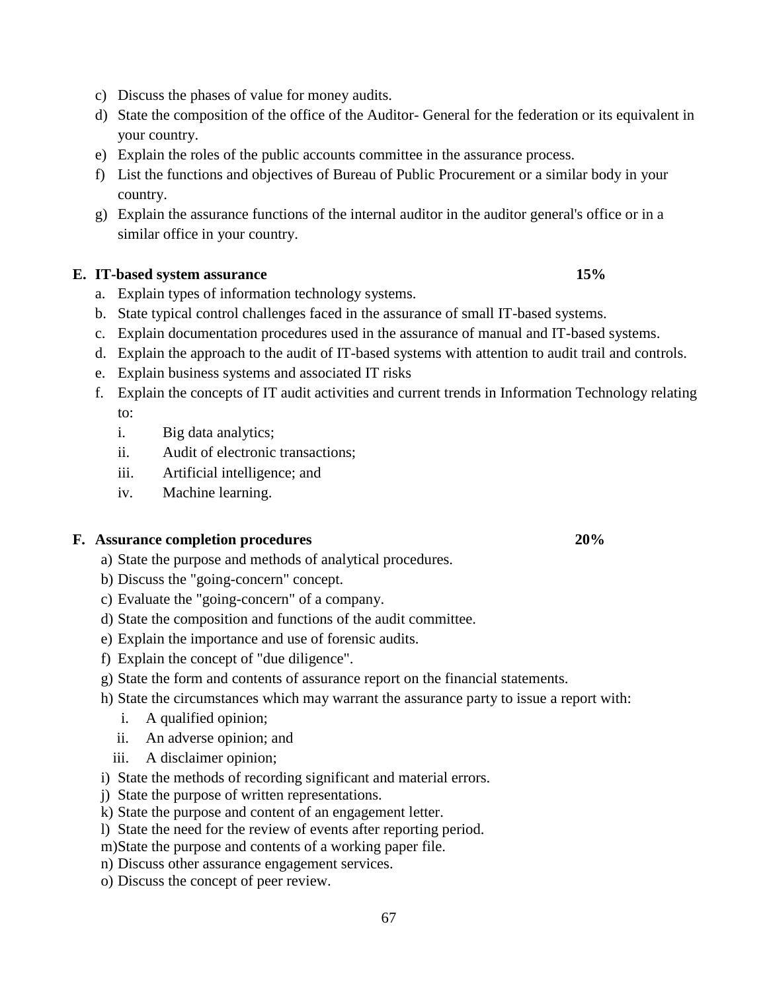- c) Discuss the phases of value for money audits.
- d) State the composition of the office of the Auditor- General for the federation or its equivalent in your country.
- e) Explain the roles of the public accounts committee in the assurance process.
- f) List the functions and objectives of Bureau of Public Procurement or a similar body in your country.
- g) Explain the assurance functions of the internal auditor in the auditor general's office or in a similar office in your country.

## **E. IT-based system assurance 15%**

- a. Explain types of information technology systems.
- b. State typical control challenges faced in the assurance of small IT-based systems.
- c. Explain documentation procedures used in the assurance of manual and IT-based systems.
- d. Explain the approach to the audit of IT-based systems with attention to audit trail and controls.
- e. Explain business systems and associated IT risks
- f. Explain the concepts of IT audit activities and current trends in Information Technology relating to:
	- i. Big data analytics;
	- ii. Audit of electronic transactions;
	- iii. Artificial intelligence; and
	- iv. Machine learning.

## **F. Assurance completion procedures 20%**

- a) State the purpose and methods of analytical procedures.
- b) Discuss the "going-concern" concept.
- c) Evaluate the "going-concern" of a company.
- d) State the composition and functions of the audit committee.
- e) Explain the importance and use of forensic audits.
- f) Explain the concept of "due diligence".
- g) State the form and contents of assurance report on the financial statements.
- h) State the circumstances which may warrant the assurance party to issue a report with:
	- i. A qualified opinion;
	- ii. An adverse opinion; and
	- iii. A disclaimer opinion;
- i) State the methods of recording significant and material errors.
- j) State the purpose of written representations.
- k) State the purpose and content of an engagement letter.
- l) State the need for the review of events after reporting period.
- m)State the purpose and contents of a working paper file.
- n) Discuss other assurance engagement services.
- o) Discuss the concept of peer review.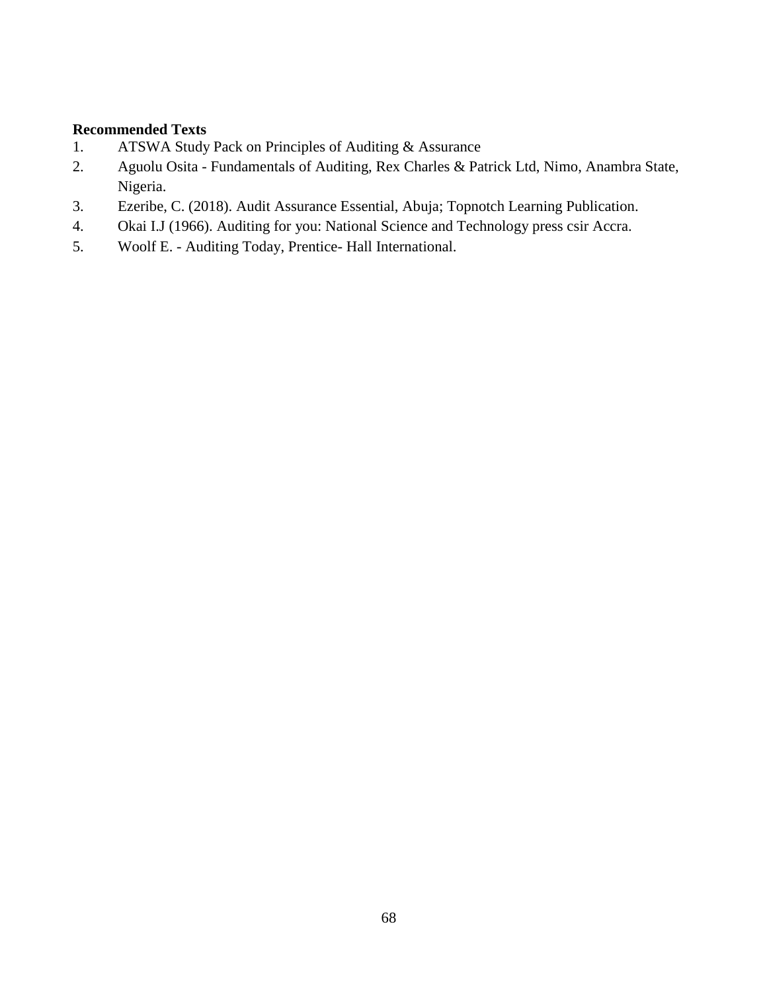## **Recommended Texts**

- 1. ATSWA Study Pack on Principles of Auditing & Assurance
- 2. Aguolu Osita Fundamentals of Auditing, Rex Charles & Patrick Ltd, Nimo, Anambra State, Nigeria.
- 3. Ezeribe, C. (2018). Audit Assurance Essential, Abuja; Topnotch Learning Publication.
- 4. Okai I.J (1966). Auditing for you: National Science and Technology press csir Accra.
- 5. Woolf E. Auditing Today, Prentice- Hall International.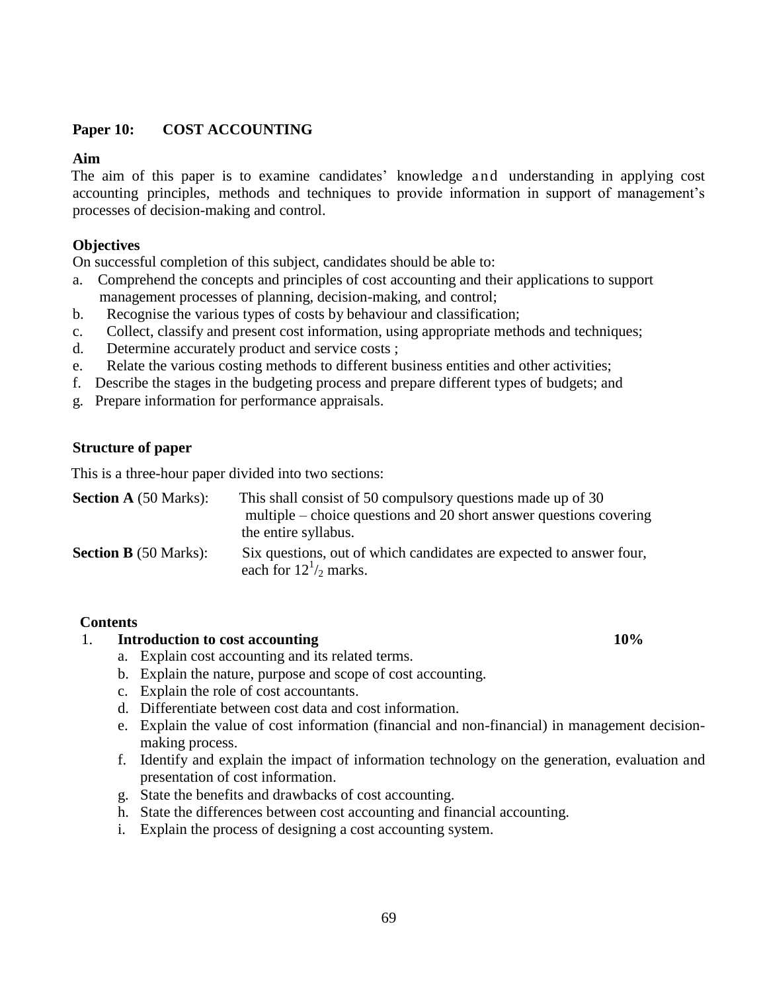## **Paper 10: COST ACCOUNTING**

#### **Aim**

The aim of this paper is to examine candidates' knowledge and understanding in applying cost accounting principles, methods and techniques to provide information in support of management's processes of decision-making and control.

## **Objectives**

On successful completion of this subject, candidates should be able to:

- a. Comprehend the concepts and principles of cost accounting and their applications to support management processes of planning, decision-making, and control;
- b. Recognise the various types of costs by behaviour and classification;
- c. Collect, classify and present cost information, using appropriate methods and techniques;
- d. Determine accurately product and service costs ;
- e. Relate the various costing methods to different business entities and other activities;
- f. Describe the stages in the budgeting process and prepare different types of budgets; and
- g. Prepare information for performance appraisals.

## **Structure of paper**

This is a three-hour paper divided into two sections:

| <b>Section A</b> (50 Marks): | This shall consist of 50 compulsory questions made up of 30                                       |
|------------------------------|---------------------------------------------------------------------------------------------------|
|                              | multiple – choice questions and 20 short answer questions covering                                |
|                              | the entire syllabus.                                                                              |
| <b>Section B</b> (50 Marks): | Six questions, out of which candidates are expected to answer four,<br>each for $12^{1/2}$ marks. |

#### **Contents**

## 1. **Introduction to cost accounting 10%**

- a. Explain cost accounting and its related terms.
- b. Explain the nature, purpose and scope of cost accounting.
- c. Explain the role of cost accountants.
- d. Differentiate between cost data and cost information.
- e. Explain the value of cost information (financial and non-financial) in management decisionmaking process.
- f. Identify and explain the impact of information technology on the generation, evaluation and presentation of cost information.
- g. State the benefits and drawbacks of cost accounting.
- h. State the differences between cost accounting and financial accounting.
- i. Explain the process of designing a cost accounting system.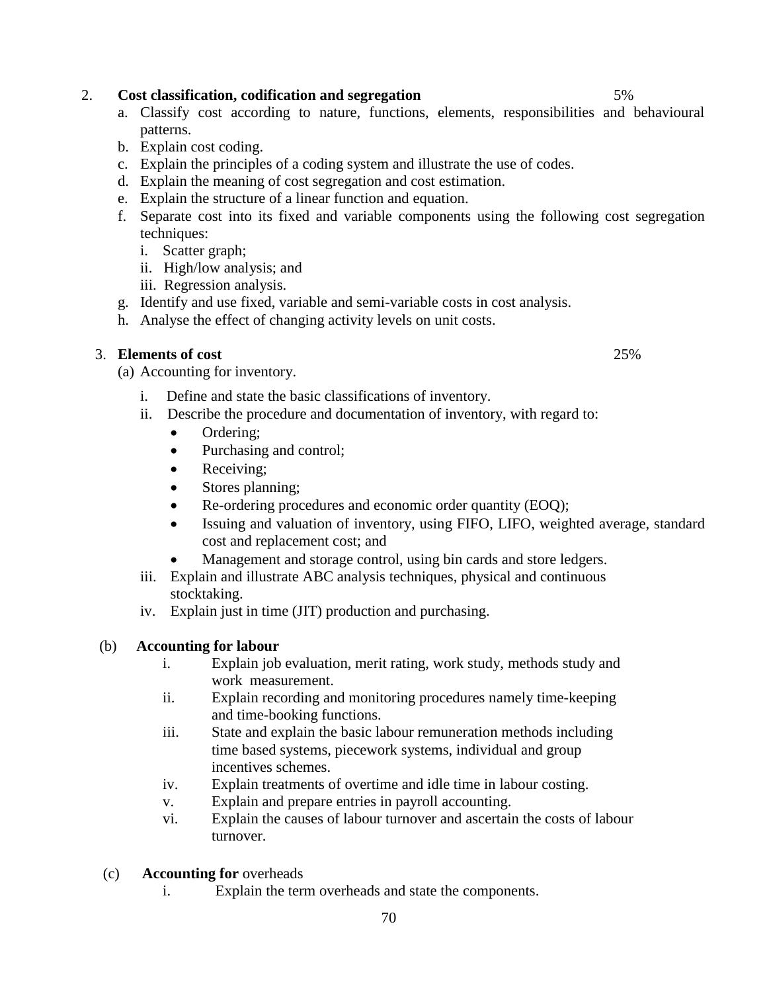- g. Identify and use fixed, variable and semi-variable costs in cost analysis.
- 

#### 3. **Elements of cost** 25%

(a) Accounting for inventory.

- i. Define and state the basic classifications of inventory.
- ii. Describe the procedure and documentation of inventory, with regard to:
	- Ordering:
	- Purchasing and control;
	- Receiving;
	- Stores planning;
	- Re-ordering procedures and economic order quantity (EOO);
	- Issuing and valuation of inventory, using FIFO, LIFO, weighted average, standard cost and replacement cost; and
	- Management and storage control, using bin cards and store ledgers.
- iii. Explain and illustrate ABC analysis techniques, physical and continuous stocktaking.
- iv. Explain just in time (JIT) production and purchasing.

#### (b) **Accounting for labour**

- i. Explain job evaluation, merit rating, work study, methods study and work measurement.
- ii. Explain recording and monitoring procedures namely time-keeping and time-booking functions.
- iii. State and explain the basic labour remuneration methods including time based systems, piecework systems, individual and group incentives schemes.
- iv. Explain treatments of overtime and idle time in labour costing.
- v. Explain and prepare entries in payroll accounting.
- vi. Explain the causes of labour turnover and ascertain the costs of labour turnover.
- (c) **Accounting for** overheads
	- i. Explain the term overheads and state the components.

## 2. **Cost classification, codification and segregation** 5%

- a. Classify cost according to nature, functions, elements, responsibilities and behavioural patterns.
- b. Explain cost coding.
- c. Explain the principles of a coding system and illustrate the use of codes.
- d. Explain the meaning of cost segregation and cost estimation.
- e. Explain the structure of a linear function and equation.
- f. Separate cost into its fixed and variable components using the following cost segregation techniques:
	- i. Scatter graph;
	- ii. High/low analysis; and
	- iii. Regression analysis.
- 
- h. Analyse the effect of changing activity levels on unit costs.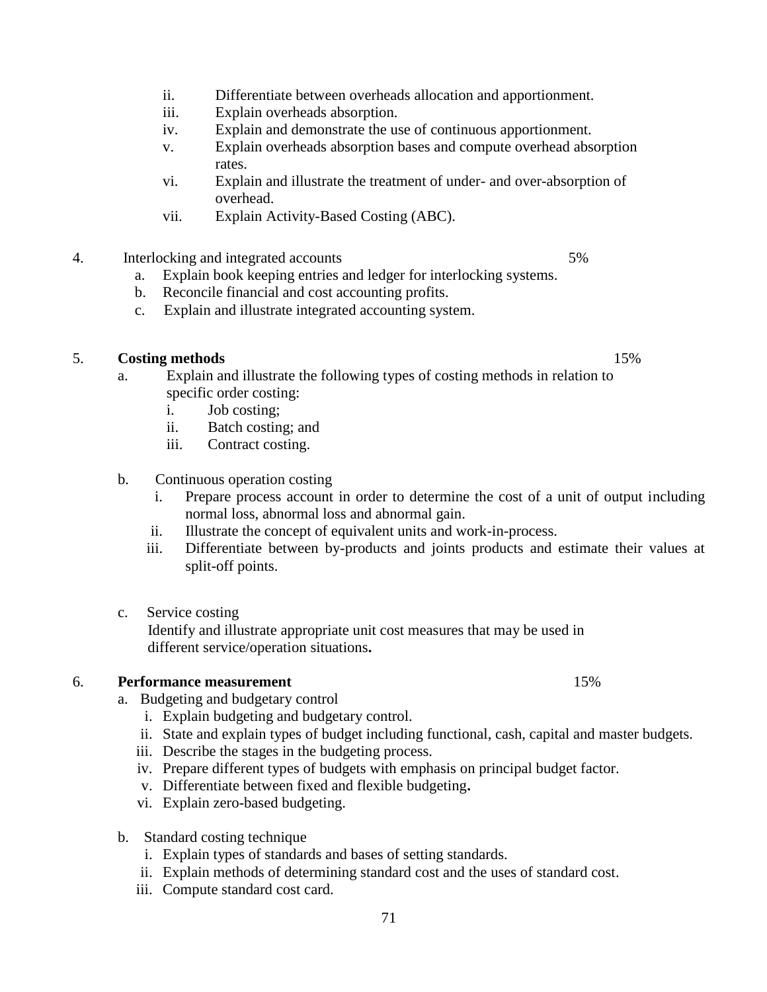- 71
- 
- ii. Differentiate between overheads allocation and apportionment.
	- iii. Explain overheads absorption.
	- iv. Explain and demonstrate the use of continuous apportionment.
	- v. Explain overheads absorption bases and compute overhead absorption rates.
	- vi. Explain and illustrate the treatment of under- and over-absorption of overhead.
	- vii. Explain Activity-Based Costing (ABC).

## 4. Interlocking and integrated accounts 5%

- a. Explain book keeping entries and ledger for interlocking systems.
- b. Reconcile financial and cost accounting profits.
- c. Explain and illustrate integrated accounting system.

## 5. **Costing methods** 15%

- a. Explain and illustrate the following types of costing methods in relation to specific order costing:
	- i. Job costing;
	- ii. Batch costing; and
	- iii. Contract costing.
- b. Continuous operation costing
	- i. Prepare process account in order to determine the cost of a unit of output including normal loss, abnormal loss and abnormal gain.
	- ii. Illustrate the concept of equivalent units and work-in-process.
	- iii. Differentiate between by-products and joints products and estimate their values at split-off points.
- c. Service costing

 Identify and illustrate appropriate unit cost measures that may be used in different service/operation situations**.** 

## 6. **Performance measurement** 15%

- a. Budgeting and budgetary control
	- i. Explain budgeting and budgetary control.
	- ii. State and explain types of budget including functional, cash, capital and master budgets.
	- iii. Describe the stages in the budgeting process.
	- iv. Prepare different types of budgets with emphasis on principal budget factor.
	- v. Differentiate between fixed and flexible budgeting**.**
	- vi. Explain zero-based budgeting.
- b. Standard costing technique
	- i. Explain types of standards and bases of setting standards.
	- ii. Explain methods of determining standard cost and the uses of standard cost.
	- iii. Compute standard cost card.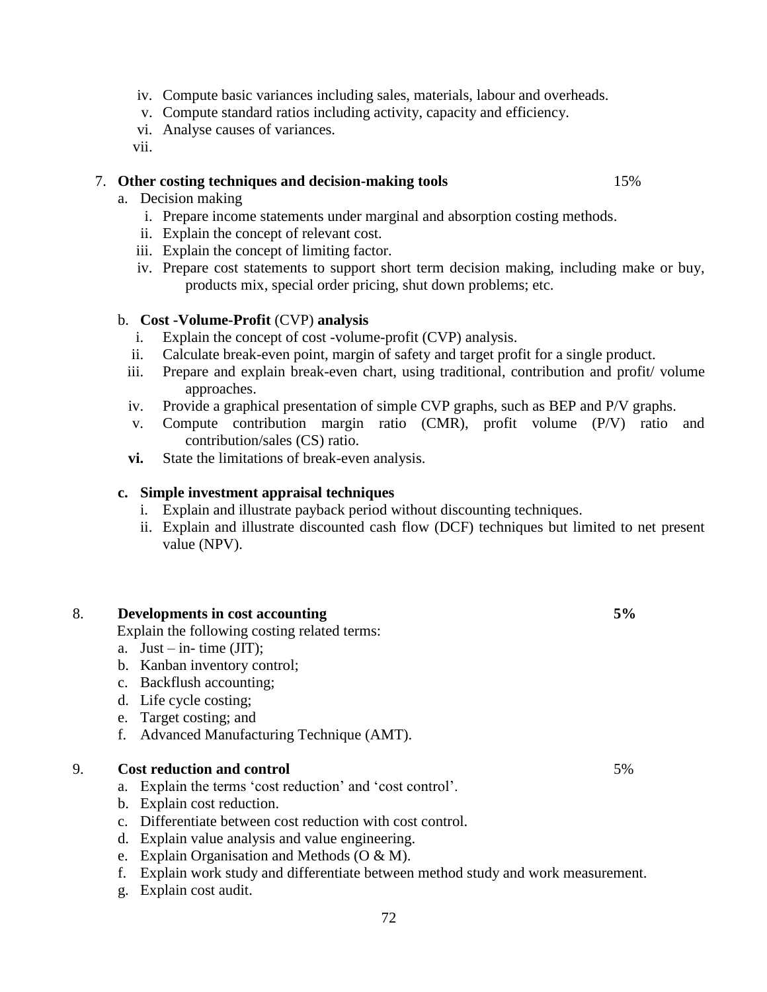- iv. Compute basic variances including sales, materials, labour and overheads.
- v. Compute standard ratios including activity, capacity and efficiency.
- vi. Analyse causes of variances.
- vii.

### 7. **Other costing techniques and decision-making tools** 15%

### a. Decision making

- i. Prepare income statements under marginal and absorption costing methods.
- ii. Explain the concept of relevant cost.
- iii. Explain the concept of limiting factor.
- iv. Prepare cost statements to support short term decision making, including make or buy, products mix, special order pricing, shut down problems; etc.

### b. **Cost -Volume-Profit** (CVP) **analysis**

- i. Explain the concept of cost -volume-profit (CVP) analysis.
- ii. Calculate break-even point, margin of safety and target profit for a single product.
- iii. Prepare and explain break-even chart, using traditional, contribution and profit/ volume approaches.
- iv. Provide a graphical presentation of simple CVP graphs, such as BEP and P/V graphs.
- v. Compute contribution margin ratio (CMR), profit volume (P/V) ratio and contribution/sales (CS) ratio.
- **vi.** State the limitations of break-even analysis.

### **c. Simple investment appraisal techniques**

- i. Explain and illustrate payback period without discounting techniques.
- ii. Explain and illustrate discounted cash flow (DCF) techniques but limited to net present value (NPV).

## 8. **Developments in cost accounting 5%**

Explain the following costing related terms:

- a. Just in- time  $(JIT)$ ;
- b. Kanban inventory control;
- c. Backflush accounting;
- d. Life cycle costing;
- e. Target costing; and
- f. Advanced Manufacturing Technique (AMT).

### 9. **Cost reduction and control** 5%

- a. Explain the terms 'cost reduction' and 'cost control'.
- b. Explain cost reduction.
- c. Differentiate between cost reduction with cost control.
- d. Explain value analysis and value engineering.
- e. Explain Organisation and Methods (O & M).
- f. Explain work study and differentiate between method study and work measurement.
- g. Explain cost audit.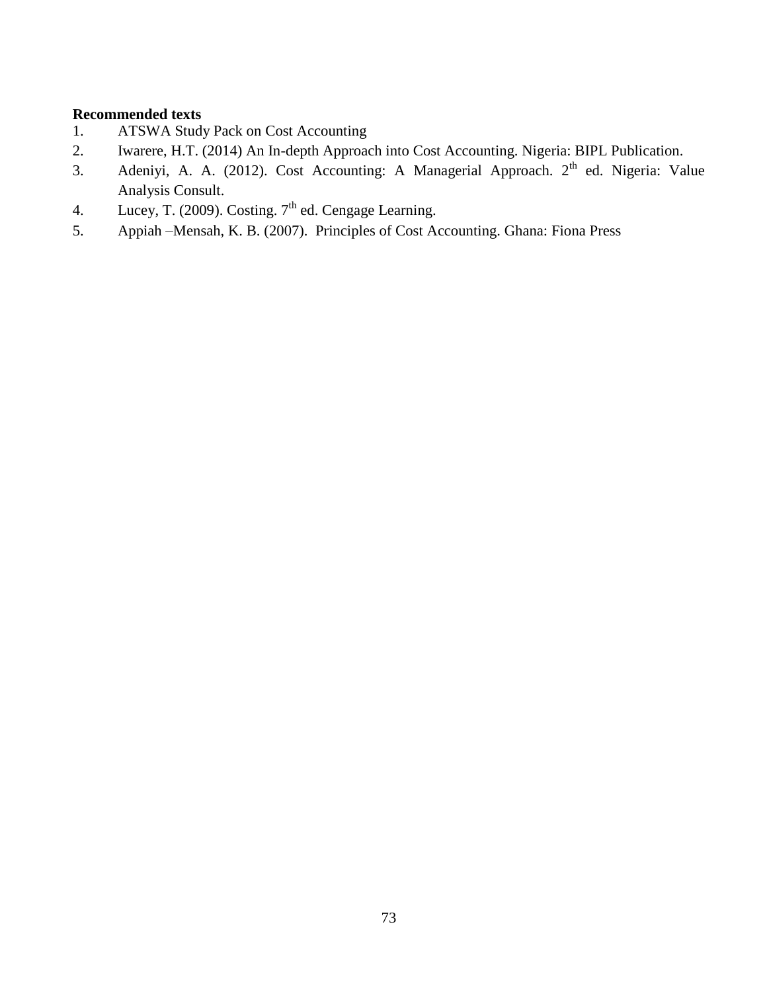## **Recommended texts**

- 1. ATSWA Study Pack on Cost Accounting
- 2. Iwarere, H.T. (2014) An In-depth Approach into Cost Accounting. Nigeria: BIPL Publication.
- 3. Adeniyi, A. A. (2012). Cost Accounting: A Managerial Approach. 2<sup>th</sup> ed. Nigeria: Value Analysis Consult.
- 4. Lucey, T. (2009). Costing.  $7<sup>th</sup>$  ed. Cengage Learning.
- 5. Appiah –Mensah, K. B. (2007). Principles of Cost Accounting. Ghana: Fiona Press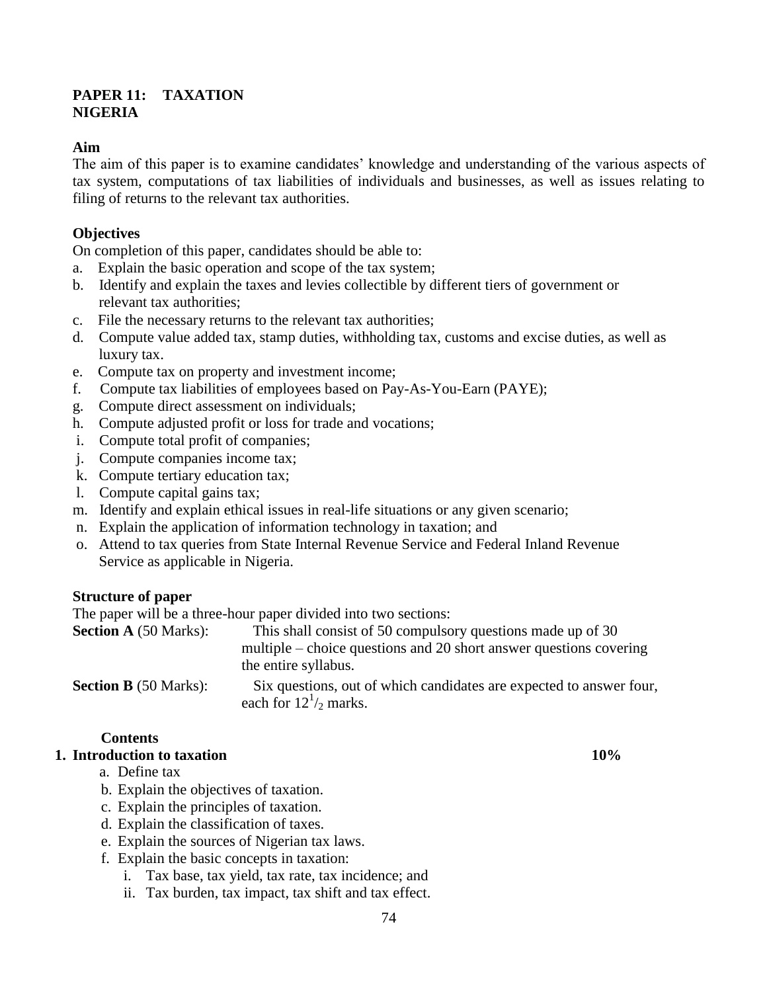### **PAPER 11: TAXATION NIGERIA**

### **Aim**

The aim of this paper is to examine candidates' knowledge and understanding of the various aspects of tax system, computations of tax liabilities of individuals and businesses, as well as issues relating to filing of returns to the relevant tax authorities.

### **Objectives**

On completion of this paper, candidates should be able to:

- a. Explain the basic operation and scope of the tax system;
- b. Identify and explain the taxes and levies collectible by different tiers of government or relevant tax authorities;
- c. File the necessary returns to the relevant tax authorities;
- d. Compute value added tax, stamp duties, withholding tax, customs and excise duties, as well as luxury tax.
- e. Compute tax on property and investment income;
- f. Compute tax liabilities of employees based on Pay-As-You-Earn (PAYE);
- g. Compute direct assessment on individuals;
- h. Compute adjusted profit or loss for trade and vocations;
- i. Compute total profit of companies;
- j. Compute companies income tax;
- k. Compute tertiary education tax;
- l. Compute capital gains tax;
- m. Identify and explain ethical issues in real-life situations or any given scenario;
- n. Explain the application of information technology in taxation; and
- o. Attend to tax queries from State Internal Revenue Service and Federal Inland Revenue Service as applicable in Nigeria.

### **Structure of paper**

The paper will be a three-hour paper divided into two sections:

| <b>Section A</b> (50 Marks): | This shall consist of 50 compulsory questions made up of 30                                       |
|------------------------------|---------------------------------------------------------------------------------------------------|
|                              | multiple – choice questions and 20 short answer questions covering<br>the entire syllabus.        |
| <b>Section B</b> (50 Marks): | Six questions, out of which candidates are expected to answer four,<br>each for $12^{1/2}$ marks. |

### **Contents**

### **1. Introduction to taxation 10%**

- a. Define tax
- b. Explain the objectives of taxation.
- c. Explain the principles of taxation.
- d. Explain the classification of taxes.
- e. Explain the sources of Nigerian tax laws.
- f. Explain the basic concepts in taxation:
	- i. Tax base, tax yield, tax rate, tax incidence; and
	- ii. Tax burden, tax impact, tax shift and tax effect.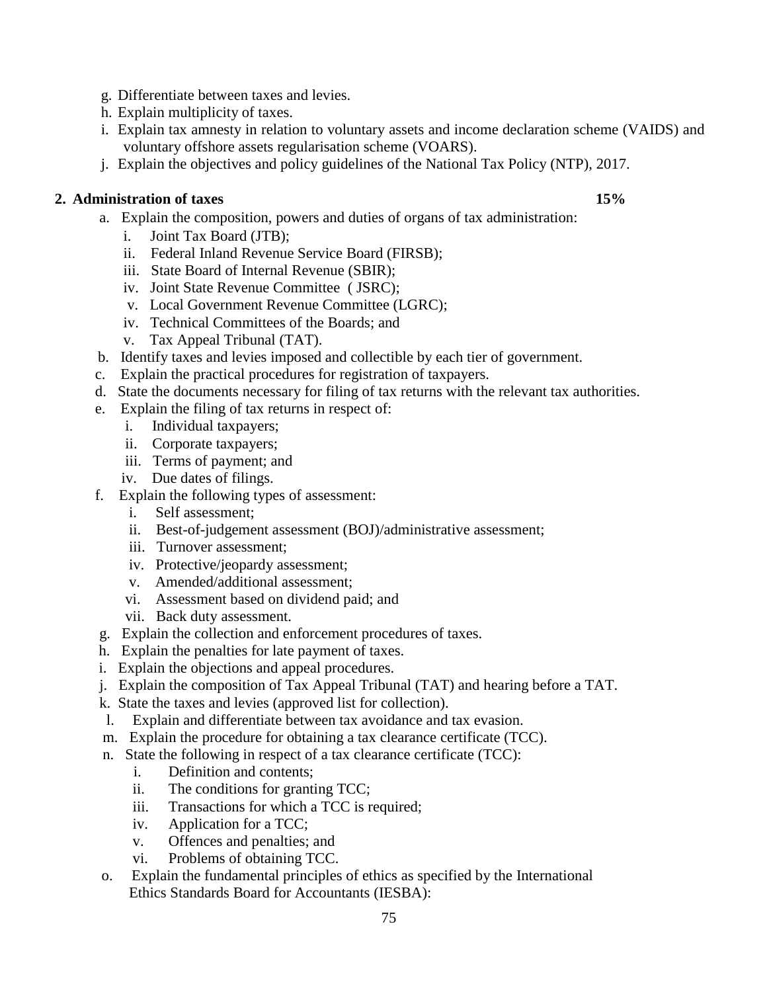- g. Differentiate between taxes and levies.
- h. Explain multiplicity of taxes.
- i. Explain tax amnesty in relation to voluntary assets and income declaration scheme (VAIDS) and voluntary offshore assets regularisation scheme (VOARS).
- j. Explain the objectives and policy guidelines of the National Tax Policy (NTP), 2017.

## **2. Administration of taxes 15%**

- a. Explain the composition, powers and duties of organs of tax administration:
	- i. Joint Tax Board (JTB);
	- ii. Federal Inland Revenue Service Board (FIRSB);
	- iii. State Board of Internal Revenue (SBIR);
	- iv. Joint State Revenue Committee ( JSRC);
	- v. Local Government Revenue Committee (LGRC);
	- iv. Technical Committees of the Boards; and
	- v. Tax Appeal Tribunal (TAT).
- b. Identify taxes and levies imposed and collectible by each tier of government.
- c. Explain the practical procedures for registration of taxpayers.
- d. State the documents necessary for filing of tax returns with the relevant tax authorities.
- e. Explain the filing of tax returns in respect of:
	- i. Individual taxpayers;
	- ii. Corporate taxpayers;
	- iii. Terms of payment; and
	- iv. Due dates of filings.
- f. Explain the following types of assessment:
	- i. Self assessment;
	- ii. Best-of-judgement assessment (BOJ)/administrative assessment;
	- iii. Turnover assessment;
	- iv. Protective/jeopardy assessment;
	- v. Amended/additional assessment;
	- vi. Assessment based on dividend paid; and
	- vii. Back duty assessment.
- g. Explain the collection and enforcement procedures of taxes.
- h. Explain the penalties for late payment of taxes.
- i. Explain the objections and appeal procedures.
- j. Explain the composition of Tax Appeal Tribunal (TAT) and hearing before a TAT.
- k. State the taxes and levies (approved list for collection).
- l. Explain and differentiate between tax avoidance and tax evasion.
- m. Explain the procedure for obtaining a tax clearance certificate (TCC).
- n. State the following in respect of a tax clearance certificate (TCC):
	- i. Definition and contents;
	- ii. The conditions for granting TCC;
	- iii. Transactions for which a TCC is required;
	- iv. Application for a TCC;
	- v. Offences and penalties; and
	- vi. Problems of obtaining TCC.
- o. Explain the fundamental principles of ethics as specified by the International Ethics Standards Board for Accountants (IESBA):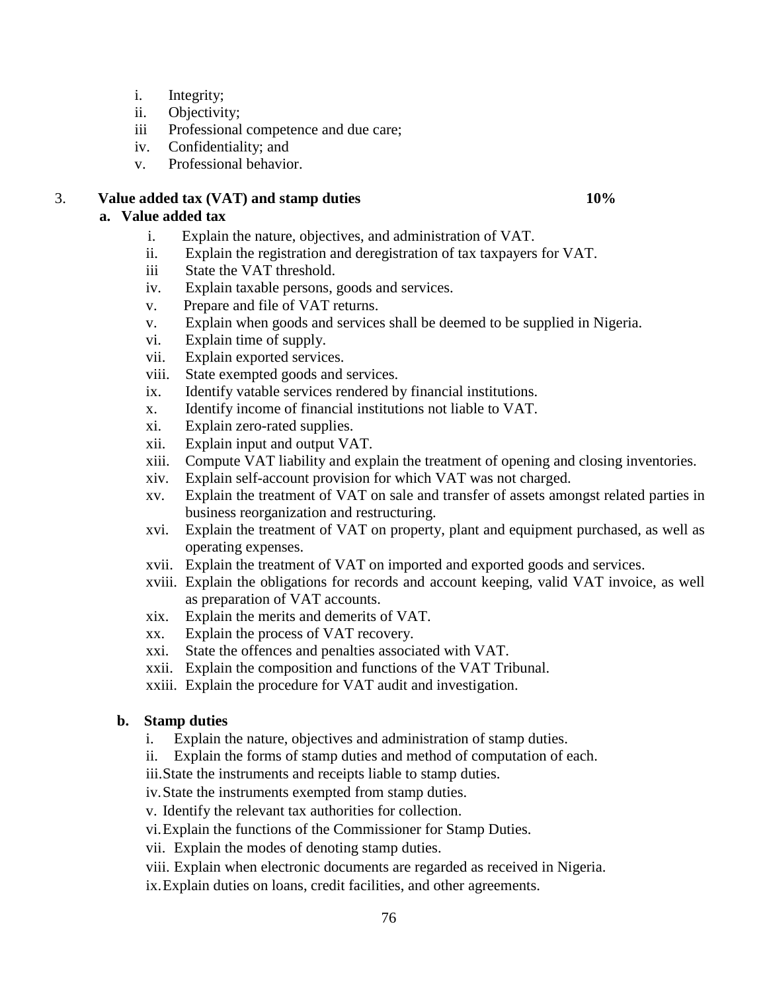- i. Integrity;
- ii. Objectivity;
- iii Professional competence and due care;
- iv. Confidentiality; and
- v. Professional behavior.

## 3. **Value added tax (VAT) and stamp duties 10%**

## **a. Value added tax**

- i. Explain the nature, objectives, and administration of VAT.
- ii. Explain the registration and deregistration of tax taxpayers for VAT.
- iii State the VAT threshold.
- iv. Explain taxable persons, goods and services.
- v. Prepare and file of VAT returns.
- v. Explain when goods and services shall be deemed to be supplied in Nigeria.
- vi. Explain time of supply.
- vii. Explain exported services.
- viii. State exempted goods and services.
- ix. Identify vatable services rendered by financial institutions.
- x. Identify income of financial institutions not liable to VAT.
- xi. Explain zero-rated supplies.
- xii. Explain input and output VAT.
- xiii. Compute VAT liability and explain the treatment of opening and closing inventories.
- xiv. Explain self-account provision for which VAT was not charged.
- xv. Explain the treatment of VAT on sale and transfer of assets amongst related parties in business reorganization and restructuring.
- xvi. Explain the treatment of VAT on property, plant and equipment purchased, as well as operating expenses.
- xvii. Explain the treatment of VAT on imported and exported goods and services.
- xviii. Explain the obligations for records and account keeping, valid VAT invoice, as well as preparation of VAT accounts.
- xix. Explain the merits and demerits of VAT.
- xx. Explain the process of VAT recovery.
- xxi. State the offences and penalties associated with VAT.
- xxii. Explain the composition and functions of the VAT Tribunal.
- xxiii. Explain the procedure for VAT audit and investigation.

### **b. Stamp duties**

- i. Explain the nature, objectives and administration of stamp duties.
- ii. Explain the forms of stamp duties and method of computation of each.
- iii.State the instruments and receipts liable to stamp duties.
- iv.State the instruments exempted from stamp duties.
- v. Identify the relevant tax authorities for collection.
- vi.Explain the functions of the Commissioner for Stamp Duties.
- vii. Explain the modes of denoting stamp duties.
- viii. Explain when electronic documents are regarded as received in Nigeria.

ix.Explain duties on loans, credit facilities, and other agreements.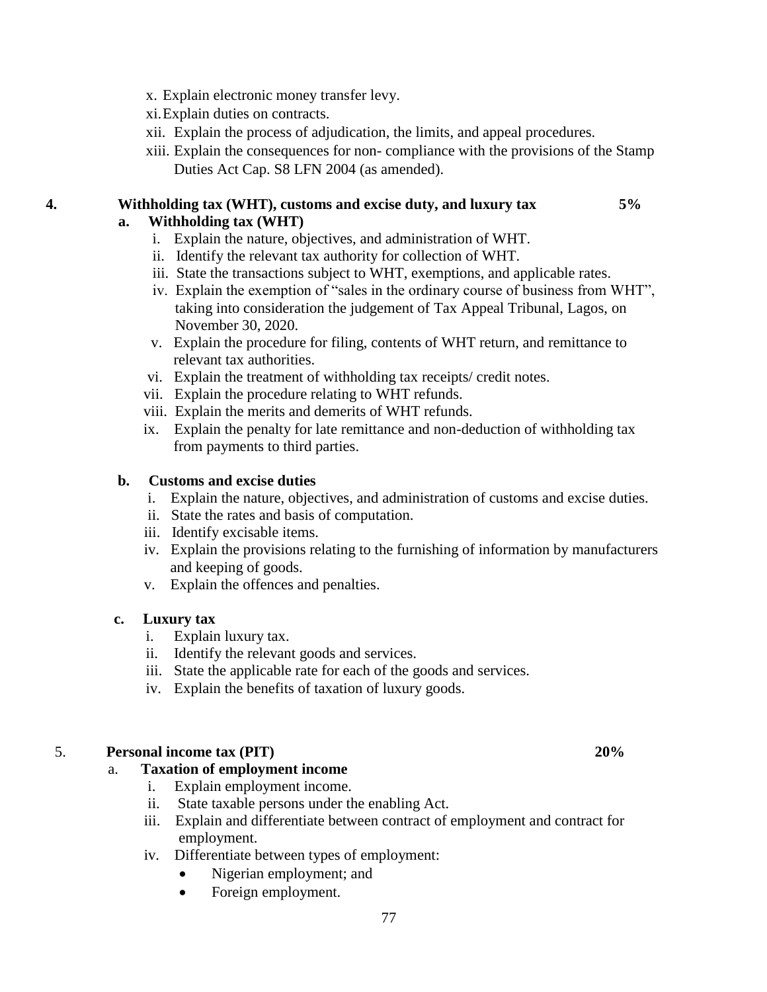- x. Explain electronic money transfer levy.
- xi.Explain duties on contracts.
- xii. Explain the process of adjudication, the limits, and appeal procedures.
- xiii. Explain the consequences for non- compliance with the provisions of the Stamp Duties Act Cap. S8 LFN 2004 (as amended).

### **4. Withholding tax (WHT), customs and excise duty, and luxury tax 5% a. Withholding tax (WHT)**

- i. Explain the nature, objectives, and administration of WHT.
- ii. Identify the relevant tax authority for collection of WHT.
- iii. State the transactions subject to WHT, exemptions, and applicable rates.
- iv. Explain the exemption of "sales in the ordinary course of business from WHT", taking into consideration the judgement of Tax Appeal Tribunal, Lagos, on November 30, 2020.
- v. Explain the procedure for filing, contents of WHT return, and remittance to relevant tax authorities.
- vi. Explain the treatment of withholding tax receipts/ credit notes.
- vii. Explain the procedure relating to WHT refunds.
- viii. Explain the merits and demerits of WHT refunds.
- ix. Explain the penalty for late remittance and non-deduction of withholding tax from payments to third parties.

### **b. Customs and excise duties**

- i. Explain the nature, objectives, and administration of customs and excise duties.
- ii. State the rates and basis of computation.
- iii. Identify excisable items.
- iv. Explain the provisions relating to the furnishing of information by manufacturers and keeping of goods.
- v. Explain the offences and penalties.

### **c. Luxury tax**

- i. Explain luxury tax.
- ii. Identify the relevant goods and services.
- iii. State the applicable rate for each of the goods and services.
- iv. Explain the benefits of taxation of luxury goods.

### 5. **Personal income tax (PIT) 20%**

### a. **Taxation of employment income**

- i. Explain employment income.
- ii. State taxable persons under the enabling Act.
- iii. Explain and differentiate between contract of employment and contract for employment.
- iv. Differentiate between types of employment:
	- Nigerian employment; and
	- Foreign employment.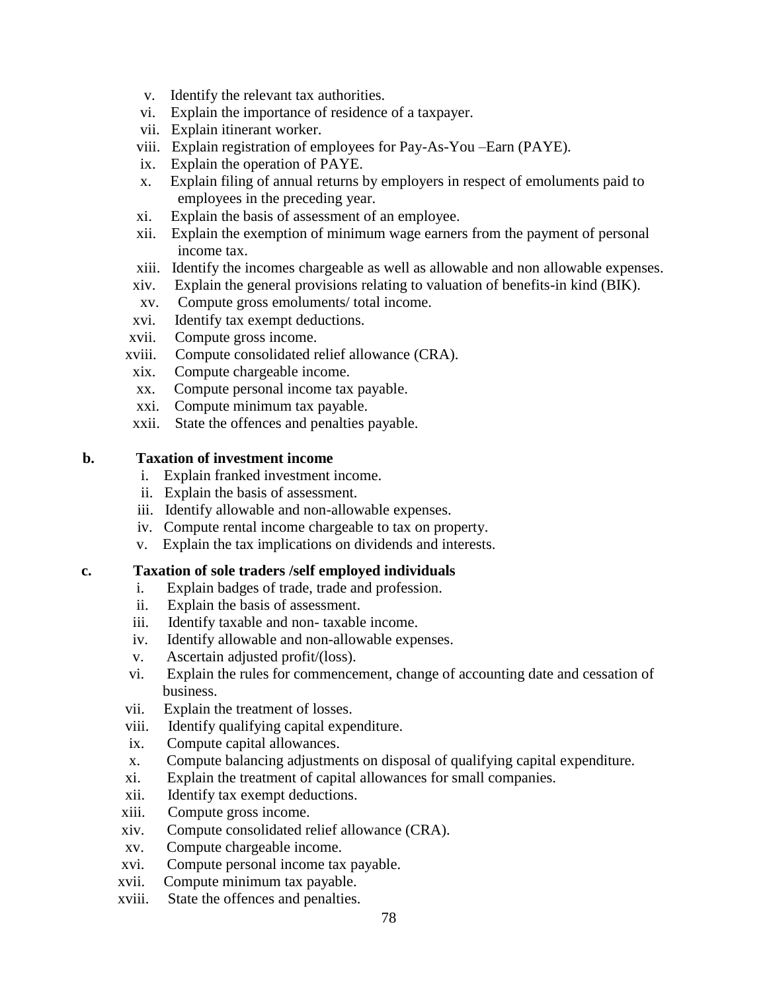- v. Identify the relevant tax authorities.
- vi. Explain the importance of residence of a taxpayer.
- vii. Explain itinerant worker.
- viii. Explain registration of employees for Pay-As-You –Earn (PAYE).
- ix. Explain the operation of PAYE.
- x. Explain filing of annual returns by employers in respect of emoluments paid to employees in the preceding year.
- xi. Explain the basis of assessment of an employee.
- xii. Explain the exemption of minimum wage earners from the payment of personal income tax.
- xiii. Identify the incomes chargeable as well as allowable and non allowable expenses.
- xiv. Explain the general provisions relating to valuation of benefits-in kind (BIK).
- xv. Compute gross emoluments/ total income.
- xvi. Identify tax exempt deductions.
- xvii. Compute gross income.
- xviii. Compute consolidated relief allowance (CRA).
- xix. Compute chargeable income.
- xx. Compute personal income tax payable.
- xxi. Compute minimum tax payable.
- xxii. State the offences and penalties payable.

## **b. Taxation of investment income**

- i. Explain franked investment income.
- ii. Explain the basis of assessment.
- iii. Identify allowable and non-allowable expenses.
- iv. Compute rental income chargeable to tax on property.
- v. Explain the tax implications on dividends and interests.

### **c. Taxation of sole traders /self employed individuals**

- i. Explain badges of trade, trade and profession.
- ii. Explain the basis of assessment.
- iii. Identify taxable and non- taxable income.
- iv. Identify allowable and non-allowable expenses.
- v. Ascertain adjusted profit/(loss).
- vi. Explain the rules for commencement, change of accounting date and cessation of business.
- vii. Explain the treatment of losses.
- viii. Identify qualifying capital expenditure.
- ix. Compute capital allowances.
- x. Compute balancing adjustments on disposal of qualifying capital expenditure.
- xi. Explain the treatment of capital allowances for small companies.
- xii. Identify tax exempt deductions.
- xiii. Compute gross income.
- xiv. Compute consolidated relief allowance (CRA).
- xv. Compute chargeable income.
- xvi. Compute personal income tax payable.
- xvii. Compute minimum tax payable.
- xviii. State the offences and penalties.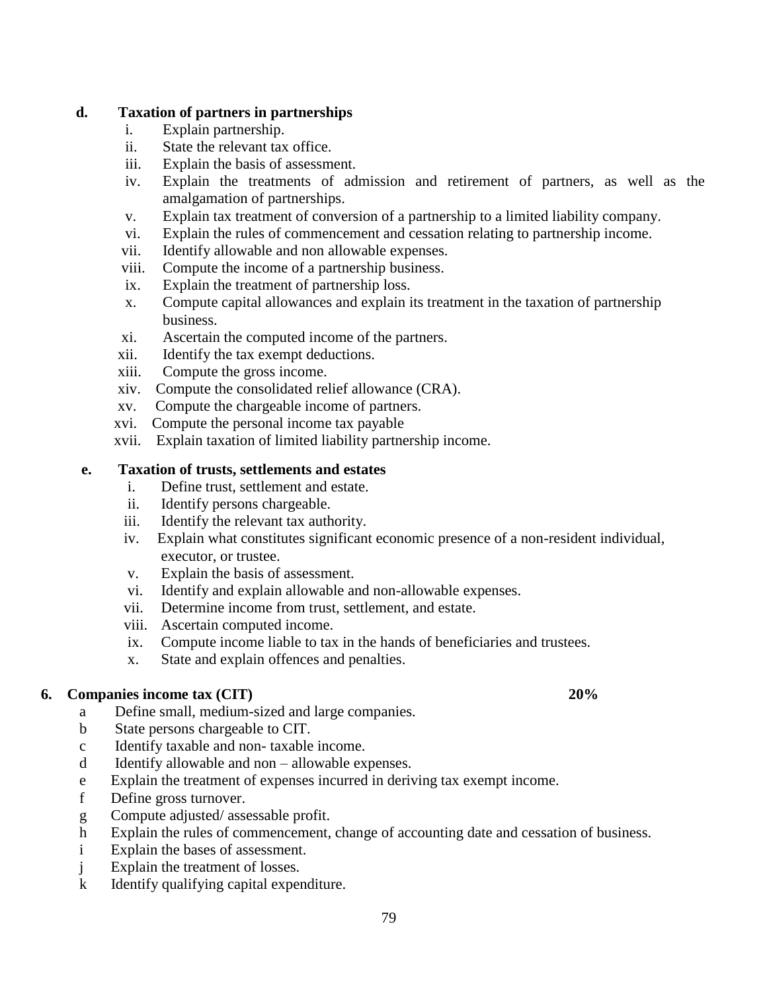### **d. Taxation of partners in partnerships**

- i. Explain partnership.
- ii. State the relevant tax office.
- iii. Explain the basis of assessment.
- iv. Explain the treatments of admission and retirement of partners, as well as the amalgamation of partnerships.
- v. Explain tax treatment of conversion of a partnership to a limited liability company.
- vi. Explain the rules of commencement and cessation relating to partnership income.
- vii. Identify allowable and non allowable expenses.
- viii. Compute the income of a partnership business.
- ix. Explain the treatment of partnership loss.
- x. Compute capital allowances and explain its treatment in the taxation of partnership business.
- xi. Ascertain the computed income of the partners.
- xii. Identify the tax exempt deductions.
- xiii. Compute the gross income.
- xiv. Compute the consolidated relief allowance (CRA).
- xv. Compute the chargeable income of partners.
- xvi. Compute the personal income tax payable
- xvii. Explain taxation of limited liability partnership income.

### **e. Taxation of trusts, settlements and estates**

- i. Define trust, settlement and estate.
- ii. Identify persons chargeable.
- iii. Identify the relevant tax authority.
- iv. Explain what constitutes significant economic presence of a non-resident individual, executor, or trustee.
- v. Explain the basis of assessment.
- vi. Identify and explain allowable and non-allowable expenses.
- vii. Determine income from trust, settlement, and estate.
- viii. Ascertain computed income.
- ix. Compute income liable to tax in the hands of beneficiaries and trustees.
- x. State and explain offences and penalties.

### **6. Companies income tax (CIT) 20%**

- a Define small, medium-sized and large companies.
- b State persons chargeable to CIT.
- c Identify taxable and non- taxable income.
- d Identify allowable and non allowable expenses.
- e Explain the treatment of expenses incurred in deriving tax exempt income.
- f Define gross turnover.
- g Compute adjusted/ assessable profit.
- h Explain the rules of commencement, change of accounting date and cessation of business.
- i Explain the bases of assessment.
- j Explain the treatment of losses.
- k Identify qualifying capital expenditure.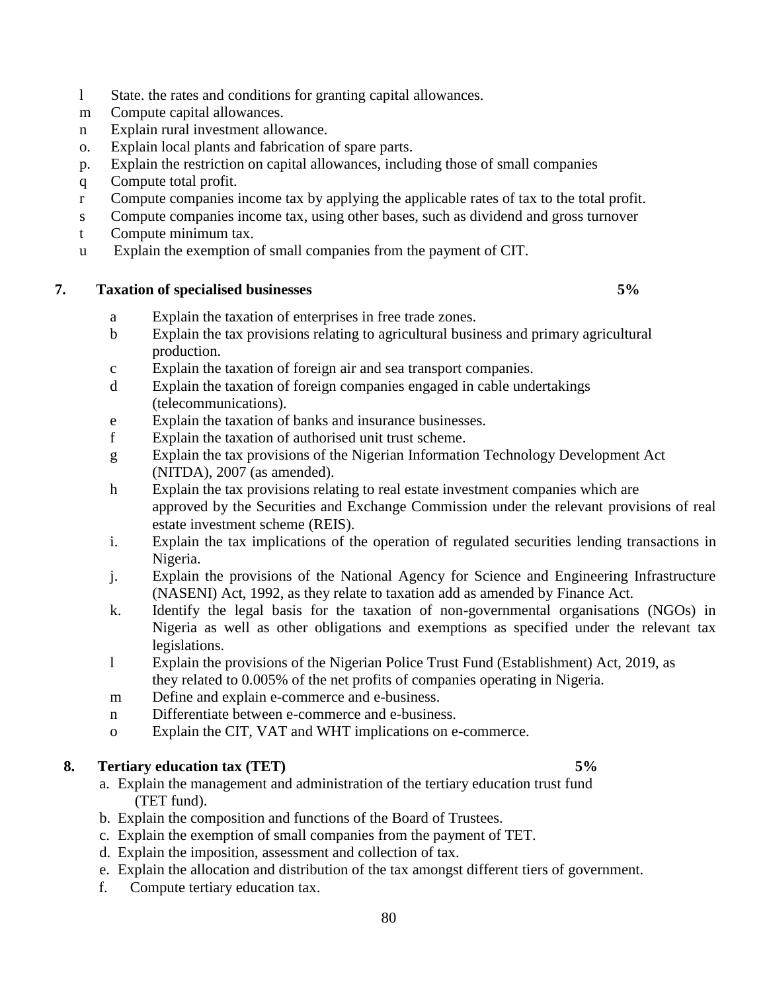- l State. the rates and conditions for granting capital allowances.
- m Compute capital allowances.
- n Explain rural investment allowance.
- o. Explain local plants and fabrication of spare parts.
- p. Explain the restriction on capital allowances, including those of small companies
- q Compute total profit.
- r Compute companies income tax by applying the applicable rates of tax to the total profit.
- s Compute companies income tax, using other bases, such as dividend and gross turnover
- t Compute minimum tax.
- u Explain the exemption of small companies from the payment of CIT.

### **7. Taxation of specialised businesses 5%**

- a Explain the taxation of enterprises in free trade zones.
- b Explain the tax provisions relating to agricultural business and primary agricultural production.
- c Explain the taxation of foreign air and sea transport companies.
- d Explain the taxation of foreign companies engaged in cable undertakings (telecommunications).
- e Explain the taxation of banks and insurance businesses.
- f Explain the taxation of authorised unit trust scheme.
- g Explain the tax provisions of the Nigerian Information Technology Development Act (NITDA), 2007 (as amended).
- h Explain the tax provisions relating to real estate investment companies which are approved by the Securities and Exchange Commission under the relevant provisions of real estate investment scheme (REIS).
- i. Explain the tax implications of the operation of regulated securities lending transactions in Nigeria.
- j. Explain the provisions of the National Agency for Science and Engineering Infrastructure (NASENI) Act, 1992, as they relate to taxation add as amended by Finance Act.
- k. Identify the legal basis for the taxation of non-governmental organisations (NGOs) in Nigeria as well as other obligations and exemptions as specified under the relevant tax legislations.
- l Explain the provisions of the Nigerian Police Trust Fund (Establishment) Act, 2019, as they related to 0.005% of the net profits of companies operating in Nigeria.
- m Define and explain e-commerce and e-business.
- n Differentiate between e-commerce and e-business.
- o Explain the CIT, VAT and WHT implications on e-commerce.

## **8. Tertiary education tax (TET) 5%**

- a. Explain the management and administration of the tertiary education trust fund (TET fund).
- b. Explain the composition and functions of the Board of Trustees.
- c. Explain the exemption of small companies from the payment of TET.
- d. Explain the imposition, assessment and collection of tax.
- e. Explain the allocation and distribution of the tax amongst different tiers of government.
- f. Compute tertiary education tax.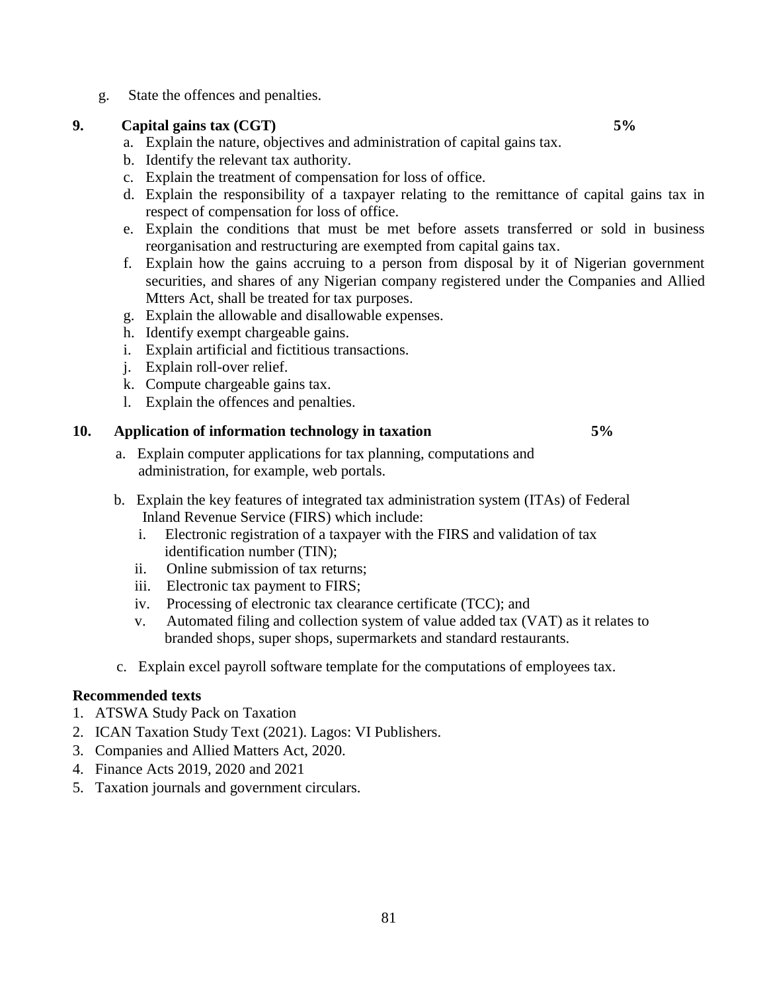g. State the offences and penalties.

### **9. Capital gains tax (CGT) 5%**

- a. Explain the nature, objectives and administration of capital gains tax.
- b. Identify the relevant tax authority.
- c. Explain the treatment of compensation for loss of office.
- d. Explain the responsibility of a taxpayer relating to the remittance of capital gains tax in respect of compensation for loss of office.
- e. Explain the conditions that must be met before assets transferred or sold in business reorganisation and restructuring are exempted from capital gains tax.
- f. Explain how the gains accruing to a person from disposal by it of Nigerian government securities, and shares of any Nigerian company registered under the Companies and Allied Mtters Act, shall be treated for tax purposes.
- g. Explain the allowable and disallowable expenses.
- h. Identify exempt chargeable gains.
- i. Explain artificial and fictitious transactions.
- j. Explain roll-over relief.
- k. Compute chargeable gains tax.
- l. Explain the offences and penalties.

## **10. Application of information technology in taxation 5%**

- a. Explain computer applications for tax planning, computations and administration, for example, web portals.
- b. Explain the key features of integrated tax administration system (ITAs) of Federal Inland Revenue Service (FIRS) which include:
	- i. Electronic registration of a taxpayer with the FIRS and validation of tax identification number (TIN);
	- ii. Online submission of tax returns;
	- iii. Electronic tax payment to FIRS;
	- iv. Processing of electronic tax clearance certificate (TCC); and
	- v. Automated filing and collection system of value added tax (VAT) as it relates to branded shops, super shops, supermarkets and standard restaurants.
- c. Explain excel payroll software template for the computations of employees tax.

## **Recommended texts**

- 1. ATSWA Study Pack on Taxation
- 2. ICAN Taxation Study Text (2021). Lagos: VI Publishers.
- 3. Companies and Allied Matters Act, 2020.
- 4. Finance Acts 2019, 2020 and 2021
- 5. Taxation journals and government circulars.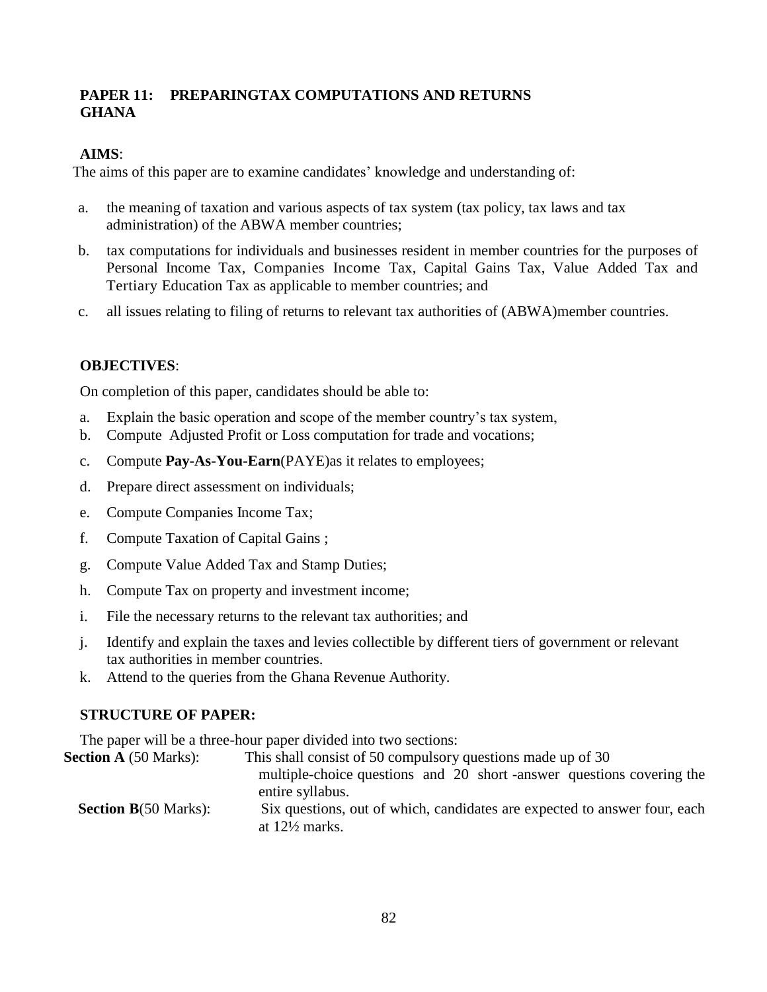## **PAPER 11: PREPARINGTAX COMPUTATIONS AND RETURNS GHANA**

## **AIMS**:

The aims of this paper are to examine candidates' knowledge and understanding of:

- a. the meaning of taxation and various aspects of tax system (tax policy, tax laws and tax administration) of the ABWA member countries;
- b. tax computations for individuals and businesses resident in member countries for the purposes of Personal Income Tax, Companies Income Tax, Capital Gains Tax, Value Added Tax and Tertiary Education Tax as applicable to member countries; and
- c. all issues relating to filing of returns to relevant tax authorities of (ABWA)member countries.

## **OBJECTIVES**:

On completion of this paper, candidates should be able to:

- a. Explain the basic operation and scope of the member country"s tax system,
- b. Compute Adjusted Profit or Loss computation for trade and vocations;
- c. Compute **Pay-As-You-Earn**(PAYE)as it relates to employees;
- d. Prepare direct assessment on individuals;
- e. Compute Companies Income Tax;
- f. Compute Taxation of Capital Gains ;
- g. Compute Value Added Tax and Stamp Duties;
- h. Compute Tax on property and investment income;
- i. File the necessary returns to the relevant tax authorities; and
- j. Identify and explain the taxes and levies collectible by different tiers of government or relevant tax authorities in member countries.
- k. Attend to the queries from the Ghana Revenue Authority.

### **STRUCTURE OF PAPER:**

The paper will be a three-hour paper divided into two sections:

**Section A** (50 Marks): This shall consist of 50 compulsory questions made up of 30

multiple-choice questions and 20 short -answer questions covering the entire syllabus.

**Section B**(50 Marks): Six questions, out of which, candidates are expected to answer four, each at 12½ marks.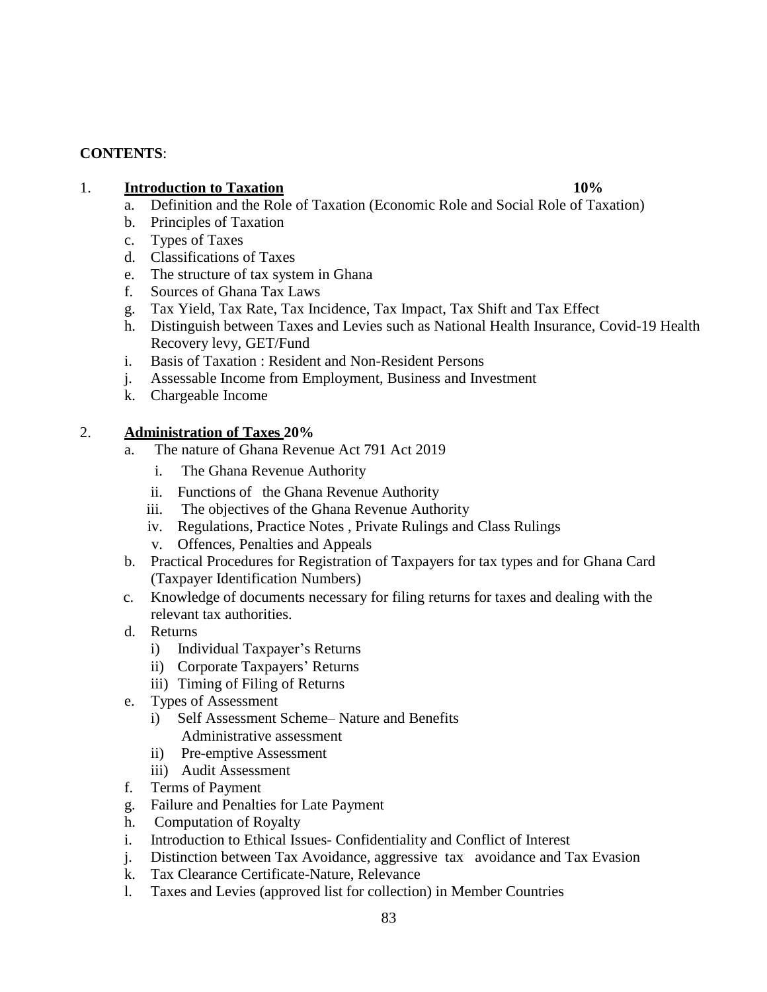## **CONTENTS**:

## 1. **Introduction to Taxation** 10%

- a. Definition and the Role of Taxation (Economic Role and Social Role of Taxation)
- b. Principles of Taxation
- c. Types of Taxes
- d. Classifications of Taxes
- e. The structure of tax system in Ghana
- f. Sources of Ghana Tax Laws
- g. Tax Yield, Tax Rate, Tax Incidence, Tax Impact, Tax Shift and Tax Effect
- h. Distinguish between Taxes and Levies such as National Health Insurance, Covid-19 Health Recovery levy, GET/Fund
- i. Basis of Taxation : Resident and Non-Resident Persons
- j. Assessable Income from Employment, Business and Investment
- k. Chargeable Income

## 2. **Administration of Taxes 20%**

- a. The nature of Ghana Revenue Act 791 Act 2019
	- i. The Ghana Revenue Authority
	- ii. Functions of the Ghana Revenue Authority
	- iii. The objectives of the Ghana Revenue Authority
	- iv. Regulations, Practice Notes , Private Rulings and Class Rulings
	- v. Offences, Penalties and Appeals
- b. Practical Procedures for Registration of Taxpayers for tax types and for Ghana Card (Taxpayer Identification Numbers)
- c. Knowledge of documents necessary for filing returns for taxes and dealing with the relevant tax authorities.
- d. Returns
	- i) Individual Taxpayer's Returns
	- ii) Corporate Taxpayers' Returns
	- iii) Timing of Filing of Returns
- e. Types of Assessment
	- i) Self Assessment Scheme– Nature and Benefits Administrative assessment
	- ii) Pre-emptive Assessment
	- iii) Audit Assessment
- f. Terms of Payment
- g. Failure and Penalties for Late Payment
- h. Computation of Royalty
- i. Introduction to Ethical Issues- Confidentiality and Conflict of Interest
- j. Distinction between Tax Avoidance, aggressive tax avoidance and Tax Evasion
- k. Tax Clearance Certificate-Nature, Relevance
- l. Taxes and Levies (approved list for collection) in Member Countries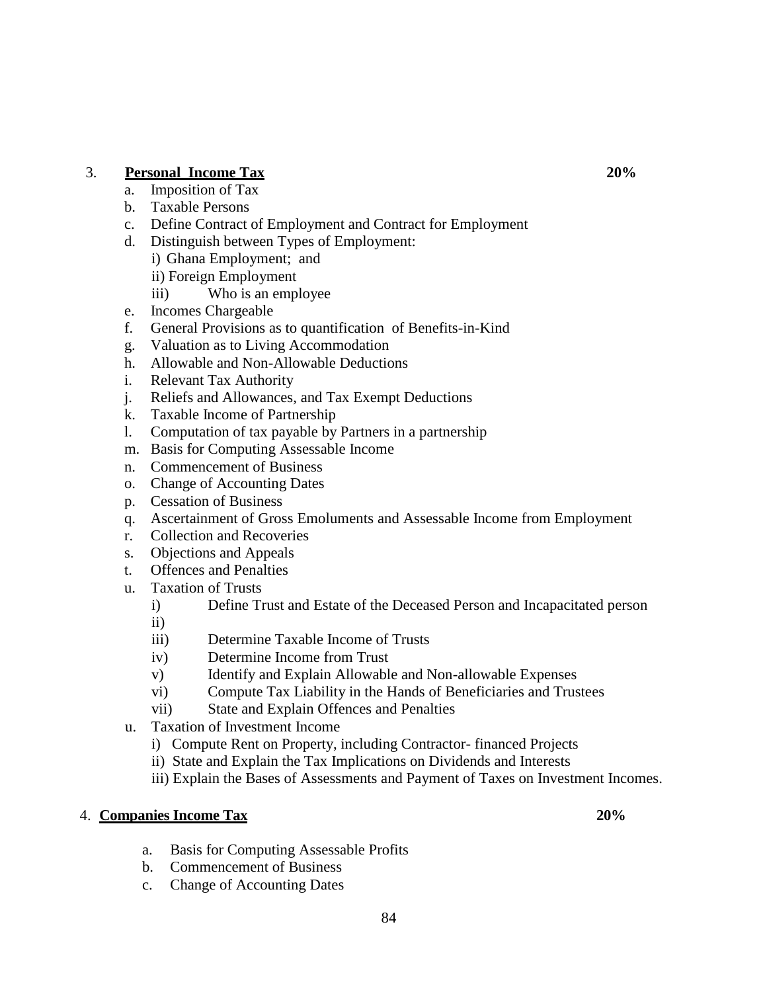## 3. **Personal Income Tax 20%**

- a. Imposition of Tax
- b. Taxable Persons
- c. Define Contract of Employment and Contract for Employment
- d. Distinguish between Types of Employment:
	- i) Ghana Employment; and
	- ii) Foreign Employment
	- iii) Who is an employee
- e. Incomes Chargeable
- f. General Provisions as to quantification of Benefits-in-Kind
- g. Valuation as to Living Accommodation
- h. Allowable and Non-Allowable Deductions
- i. Relevant Tax Authority
- j. Reliefs and Allowances, and Tax Exempt Deductions
- k. Taxable Income of Partnership
- l. Computation of tax payable by Partners in a partnership
- m. Basis for Computing Assessable Income
- n. Commencement of Business
- o. Change of Accounting Dates
- p. Cessation of Business
- q. Ascertainment of Gross Emoluments and Assessable Income from Employment
- r. Collection and Recoveries
- s. Objections and Appeals
- t. Offences and Penalties
- u. Taxation of Trusts
	- i) Define Trust and Estate of the Deceased Person and Incapacitated person ii)
	- iii) Determine Taxable Income of Trusts
	- iv) Determine Income from Trust
	- v) Identify and Explain Allowable and Non-allowable Expenses
	- vi) Compute Tax Liability in the Hands of Beneficiaries and Trustees
	- vii) State and Explain Offences and Penalties
- u. Taxation of Investment Income
	- i) Compute Rent on Property, including Contractor- financed Projects
	- ii) State and Explain the Tax Implications on Dividends and Interests
	- iii) Explain the Bases of Assessments and Payment of Taxes on Investment Incomes.

## 4. **Companies Income Tax 20%**

- a. Basis for Computing Assessable Profits
- b. Commencement of Business
- c. Change of Accounting Dates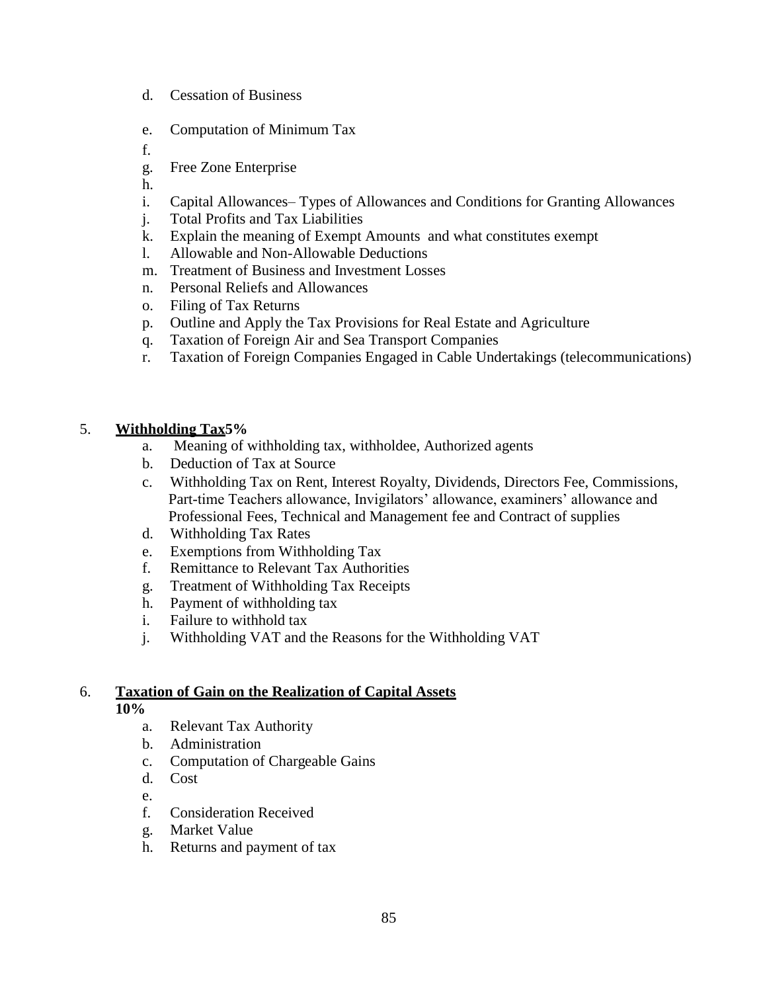- d. Cessation of Business
- e. Computation of Minimum Tax
- f.
- g. Free Zone Enterprise
- h.
- i. Capital Allowances– Types of Allowances and Conditions for Granting Allowances
- j. Total Profits and Tax Liabilities
- k. Explain the meaning of Exempt Amounts and what constitutes exempt
- l. Allowable and Non-Allowable Deductions
- m. Treatment of Business and Investment Losses
- n. Personal Reliefs and Allowances
- o. Filing of Tax Returns
- p. Outline and Apply the Tax Provisions for Real Estate and Agriculture
- q. Taxation of Foreign Air and Sea Transport Companies
- r. Taxation of Foreign Companies Engaged in Cable Undertakings (telecommunications)

## 5. **Withholding Tax5%**

- a. Meaning of withholding tax, withholdee, Authorized agents
- b. Deduction of Tax at Source
- c. Withholding Tax on Rent, Interest Royalty, Dividends, Directors Fee, Commissions, Part-time Teachers allowance, Invigilators' allowance, examiners' allowance and Professional Fees, Technical and Management fee and Contract of supplies
- d. Withholding Tax Rates
- e. Exemptions from Withholding Tax
- f. Remittance to Relevant Tax Authorities
- g. Treatment of Withholding Tax Receipts
- h. Payment of withholding tax
- i. Failure to withhold tax
- j. Withholding VAT and the Reasons for the Withholding VAT

## 6. **Taxation of Gain on the Realization of Capital Assets 10%**

- a. Relevant Tax Authority
- b. Administration
- c. Computation of Chargeable Gains
- d. Cost
- e.
- f. Consideration Received
- g. Market Value
- h. Returns and payment of tax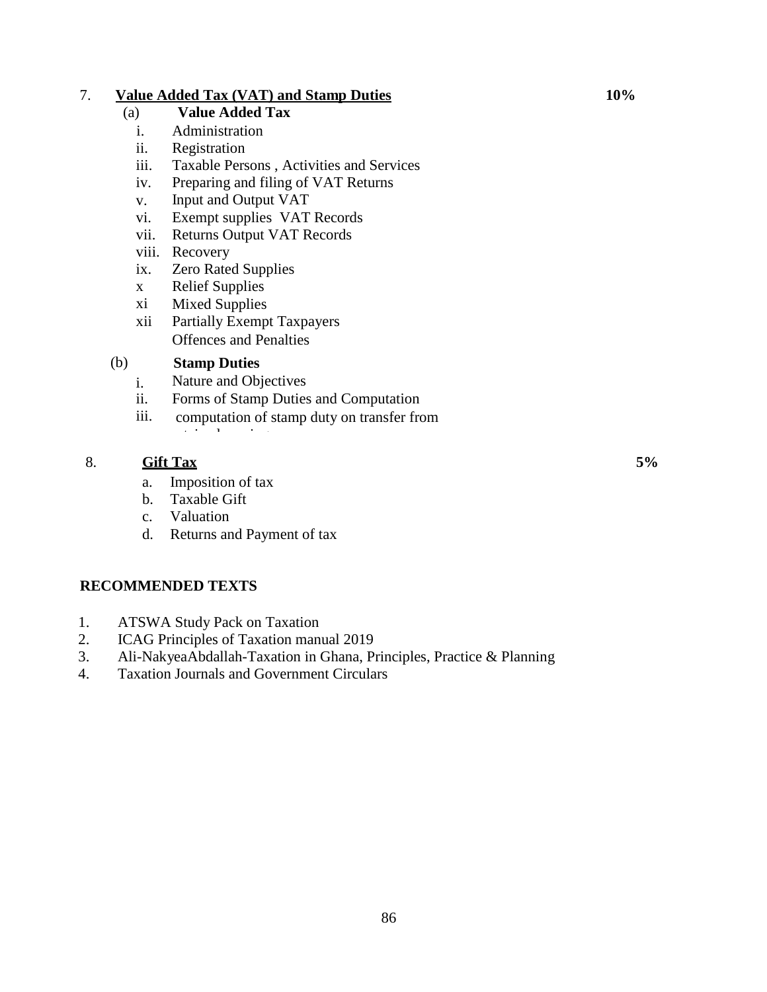## 7. **Value Added Tax (VAT) and Stamp Duties 10%**

- (a) **Value Added Tax**
	- i. Administration
	- ii. Registration
	- iii. Taxable Persons , Activities and Services
	- iv. Preparing and filing of VAT Returns
	- v. Input and Output VAT
	- vi. Exempt supplies VAT Records
	- vii. Returns Output VAT Records
	- viii. Recovery
	- ix. Zero Rated Supplies
	- x Relief Supplies
	- xi Mixed Supplies
	- xii Partially Exempt Taxpayers Offences and Penalties

# (b) **Stamp Duties**

- i. Nature and Objectives
- ii. Forms of Stamp Duties and Computation
- iii. computation of stamp duty on transfer from retained earnings

### 8. **Gift Tax 5%**

- a. Imposition of tax
- b. Taxable Gift
- c. Valuation
- d. Returns and Payment of tax

## **RECOMMENDED TEXTS**

- 1. ATSWA Study Pack on Taxation
- 2. ICAG Principles of Taxation manual 2019
- 3. Ali-NakyeaAbdallah-Taxation in Ghana, Principles, Practice & Planning
- 4. Taxation Journals and Government Circulars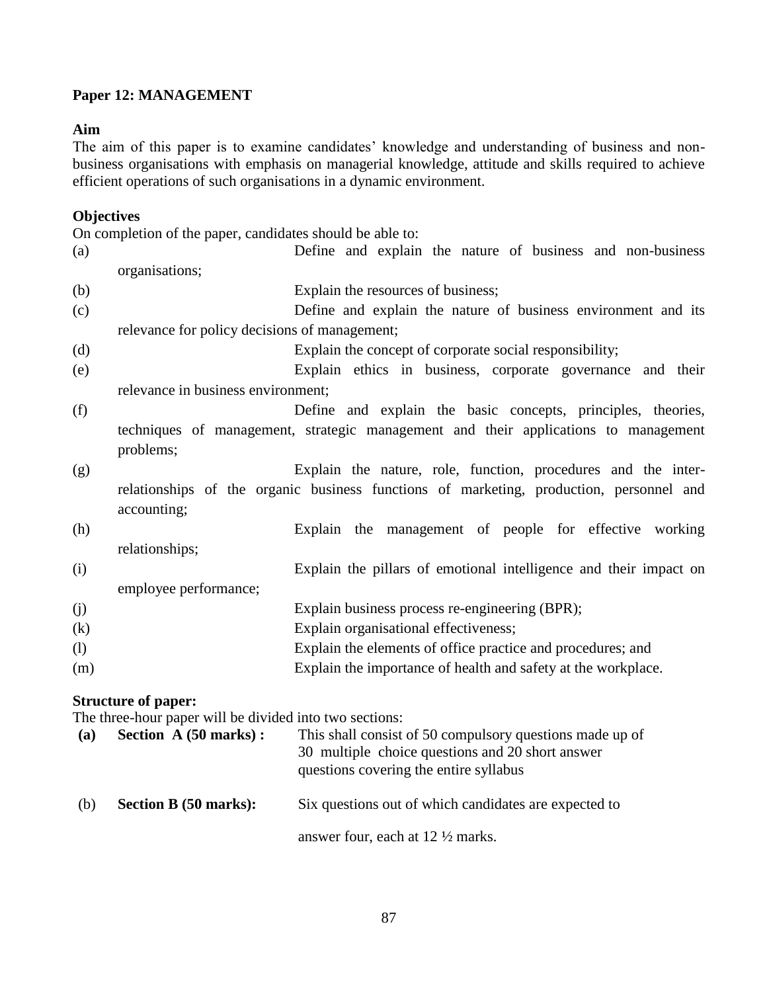## **Paper 12: MANAGEMENT**

### **Aim**

The aim of this paper is to examine candidates' knowledge and understanding of business and nonbusiness organisations with emphasis on managerial knowledge, attitude and skills required to achieve efficient operations of such organisations in a dynamic environment.

### **Objectives**

On completion of the paper, candidates should be able to:

- (a) Define and explain the nature of business and non-business organisations;
- (b) Explain the resources of business;
- (c) Define and explain the nature of business environment and its relevance for policy decisions of management;
- (d) Explain the concept of corporate social responsibility;
- (e) Explain ethics in business, corporate governance and their relevance in business environment;
- (f) Define and explain the basic concepts, principles, theories, techniques of management, strategic management and their applications to management problems;
- (g) Explain the nature, role, function, procedures and the interrelationships of the organic business functions of marketing, production, personnel and accounting;
- (h) Explain the management of people for effective working relationships;
- (i) Explain the pillars of emotional intelligence and their impact on employee performance;
- (j) Explain business process re-engineering (BPR);
- (k) Explain organisational effectiveness;
- (l) Explain the elements of office practice and procedures; and
- (m) Explain the importance of health and safety at the workplace.

### **Structure of paper:**

The three-hour paper will be divided into two sections:

**(a) Section A (50 marks) :** This shall consist of 50 compulsory questions made up of 30 multiple choice questions and 20 short answer questions covering the entire syllabus (b) **Section B (50 marks):** Six questions out of which candidates are expected to answer four, each at 12 ½ marks.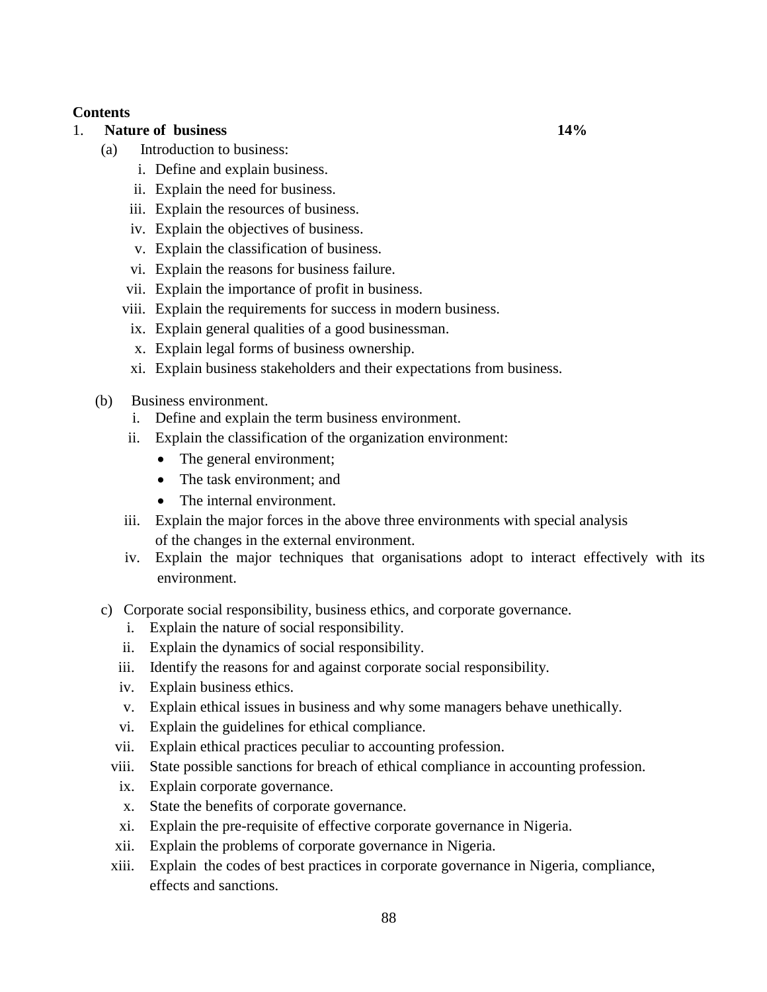### **Contents**

- 1. **Nature of business 14%**
	- (a) Introduction to business:
		- i. Define and explain business.
		- ii. Explain the need for business.
		- iii. Explain the resources of business.
		- iv. Explain the objectives of business.
		- v. Explain the classification of business.
		- vi. Explain the reasons for business failure.
		- vii. Explain the importance of profit in business.
		- viii. Explain the requirements for success in modern business.
			- ix. Explain general qualities of a good businessman.
			- x. Explain legal forms of business ownership.
			- xi. Explain business stakeholders and their expectations from business.
	- (b) Business environment.
		- i. Define and explain the term business environment.
		- ii. Explain the classification of the organization environment:
			- The general environment;
			- The task environment: and
			- The internal environment.
		- iii. Explain the major forces in the above three environments with special analysis of the changes in the external environment.
		- iv. Explain the major techniques that organisations adopt to interact effectively with its environment.
	- c) Corporate social responsibility, business ethics, and corporate governance.
		- i. Explain the nature of social responsibility.
		- ii. Explain the dynamics of social responsibility.
		- iii. Identify the reasons for and against corporate social responsibility.
		- iv. Explain business ethics.
		- v. Explain ethical issues in business and why some managers behave unethically.
		- vi. Explain the guidelines for ethical compliance.
		- vii. Explain ethical practices peculiar to accounting profession.
		- viii. State possible sanctions for breach of ethical compliance in accounting profession.
			- ix. Explain corporate governance.
			- x. State the benefits of corporate governance.
		- xi. Explain the pre-requisite of effective corporate governance in Nigeria.
		- xii. Explain the problems of corporate governance in Nigeria.
		- xiii. Explain the codes of best practices in corporate governance in Nigeria, compliance, effects and sanctions.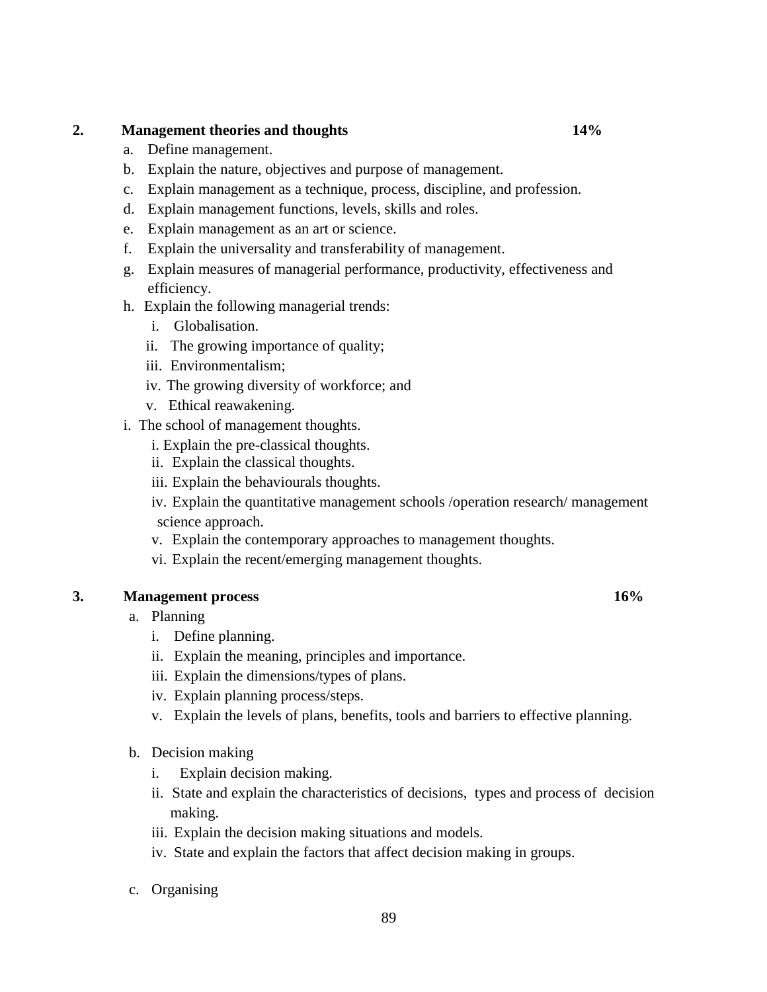### **2. Management theories and thoughts 14%**

- a. Define management.
- b. Explain the nature, objectives and purpose of management.
- c. Explain management as a technique, process, discipline, and profession.
- d. Explain management functions, levels, skills and roles.
- e. Explain management as an art or science.
- f. Explain the universality and transferability of management.
- g. Explain measures of managerial performance, productivity, effectiveness and efficiency.
- h. Explain the following managerial trends:
	- i. Globalisation.
	- ii. The growing importance of quality;
	- iii. Environmentalism;
	- iv. The growing diversity of workforce; and
	- v. Ethical reawakening.
- i. The school of management thoughts.
	- i. Explain the pre-classical thoughts.
	- ii. Explain the classical thoughts.
	- iii. Explain the behaviourals thoughts.
	- iv. Explain the quantitative management schools /operation research/ management science approach.
	- v. Explain the contemporary approaches to management thoughts.
	- vi. Explain the recent/emerging management thoughts.

### **3. Management process 16%**

- a. Planning
	- i. Define planning.
	- ii. Explain the meaning, principles and importance.
	- iii. Explain the dimensions/types of plans.
	- iv. Explain planning process/steps.
	- v. Explain the levels of plans, benefits, tools and barriers to effective planning.
- b. Decision making
	- i. Explain decision making.
	- ii. State and explain the characteristics of decisions, types and process of decision making.
	- iii. Explain the decision making situations and models.
	- iv. State and explain the factors that affect decision making in groups.
- c. Organising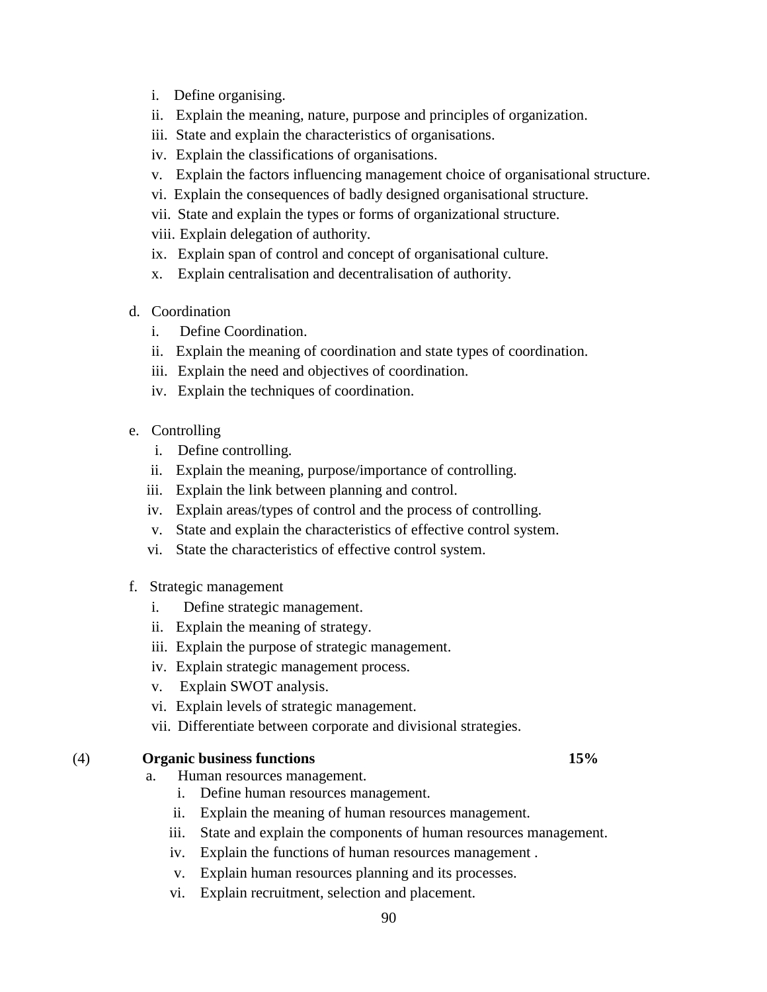- i. Define organising.
- ii. Explain the meaning, nature, purpose and principles of organization.
- iii. State and explain the characteristics of organisations.
- iv. Explain the classifications of organisations.
- v. Explain the factors influencing management choice of organisational structure.
- vi. Explain the consequences of badly designed organisational structure.
- vii. State and explain the types or forms of organizational structure.
- viii. Explain delegation of authority.
- ix. Explain span of control and concept of organisational culture.
- x. Explain centralisation and decentralisation of authority.
- d. Coordination
	- i. Define Coordination.
	- ii. Explain the meaning of coordination and state types of coordination.
	- iii. Explain the need and objectives of coordination.
	- iv. Explain the techniques of coordination.
- e. Controlling
	- i. Define controlling.
	- ii. Explain the meaning, purpose/importance of controlling.
	- iii. Explain the link between planning and control.
	- iv. Explain areas/types of control and the process of controlling.
	- v. State and explain the characteristics of effective control system.
	- vi. State the characteristics of effective control system.
- f. Strategic management
	- i. Define strategic management.
	- ii. Explain the meaning of strategy.
	- iii. Explain the purpose of strategic management.
	- iv. Explain strategic management process.
	- v. Explain SWOT analysis.
	- vi. Explain levels of strategic management.
	- vii. Differentiate between corporate and divisional strategies.

### (4) **Organic business functions 15%**

- a. Human resources management.
	- i. Define human resources management.
	- ii. Explain the meaning of human resources management.
	- iii. State and explain the components of human resources management.
	- iv. Explain the functions of human resources management .
	- v. Explain human resources planning and its processes.
	- vi. Explain recruitment, selection and placement.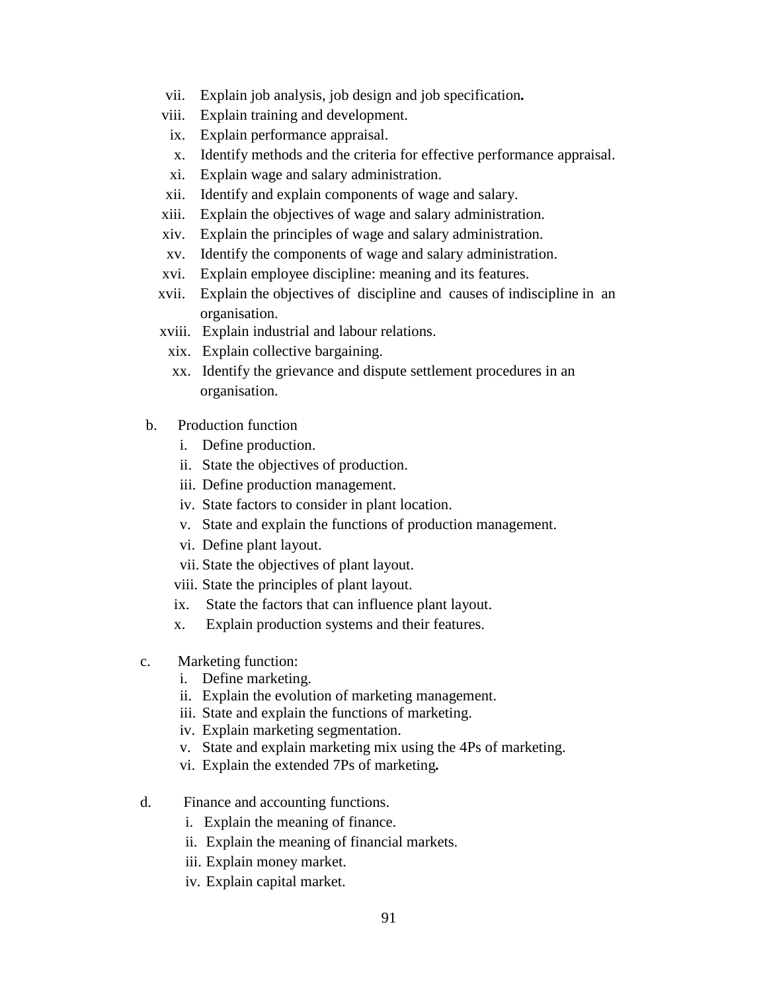- vii. Explain job analysis, job design and job specification*.*
- viii.Explain training and development.
- ix. Explain performance appraisal.
- x. Identify methods and the criteria for effective performance appraisal.
- xi. Explain wage and salary administration.
- xii. Identify and explain components of wage and salary.
- xiii. Explain the objectives of wage and salary administration.
- xiv. Explain the principles of wage and salary administration.
- xv. Identify the components of wage and salary administration.
- xvi.Explain employee discipline: meaning and its features.
- xvii. Explain the objectives of discipline and causes of indiscipline in an organisation.
- xviii. Explain industrial and labour relations.
	- xix. Explain collective bargaining.
	- xx. Identify the grievance and dispute settlement procedures in an organisation.
- b. Production function
	- i. Define production.
	- ii. State the objectives of production.
	- iii. Define production management.
	- iv. State factors to consider in plant location.
	- v. State and explain the functions of production management.
	- vi. Define plant layout.
	- vii. State the objectives of plant layout.
	- viii. State the principles of plant layout.
	- ix. State the factors that can influence plant layout.
	- x. Explain production systems and their features.
- c. Marketing function:
	- i. Define marketing.
	- ii. Explain the evolution of marketing management.
	- iii. State and explain the functions of marketing.
	- iv. Explain marketing segmentation.
	- v. State and explain marketing mix using the 4Ps of marketing.
	- vi. Explain the extended 7Ps of marketing*.*
- d. Finance and accounting functions.
	- i.Explain the meaning of finance.
	- ii. Explain the meaning of financial markets.
	- iii. Explain money market.
	- iv. Explain capital market.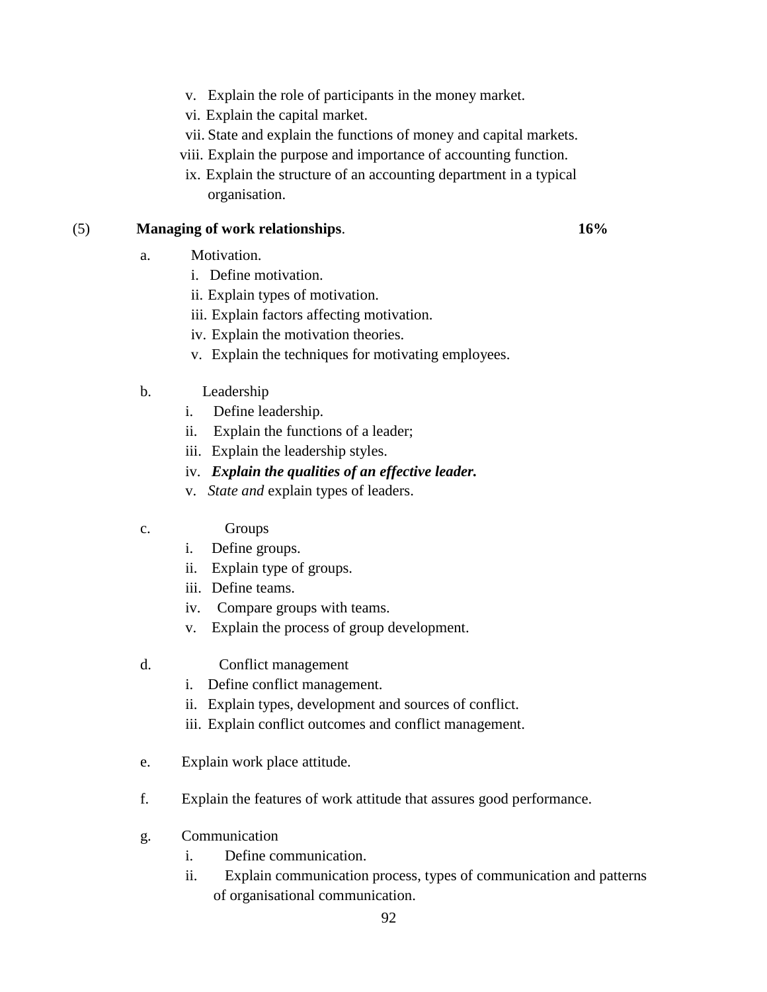- v. Explain the role of participants in the money market.
- vi. Explain the capital market.
- vii. State and explain the functions of money and capital markets.
- viii. Explain the purpose and importance of accounting function.
- ix. Explain the structure of an accounting department in a typical organisation.

### (5) **Managing of work relationships**. **16%**

- a. Motivation.
	- i. Define motivation.
	- ii. Explain types of motivation.
	- iii. Explain factors affecting motivation.
	- iv. Explain the motivation theories.
	- v. Explain the techniques for motivating employees.
- b. Leadership
	- i. Define leadership.
	- ii. Explain the functions of a leader;
	- iii. Explain the leadership styles.
	- iv. *Explain the qualities of an effective leader.*
	- v. *State and* explain types of leaders.
- c. Groups
	- i. Define groups.
	- ii. Explain type of groups.
	- iii. Define teams.
	- iv. Compare groups with teams.
	- v. Explain the process of group development.
- d. Conflict management
	- i. Define conflict management.
	- ii. Explain types, development and sources of conflict.
	- iii. Explain conflict outcomes and conflict management.
- e. Explain work place attitude.
- f. Explain the features of work attitude that assures good performance.
- g. Communication
	- i. Define communication.
	- ii. Explain communication process, types of communication and patterns of organisational communication.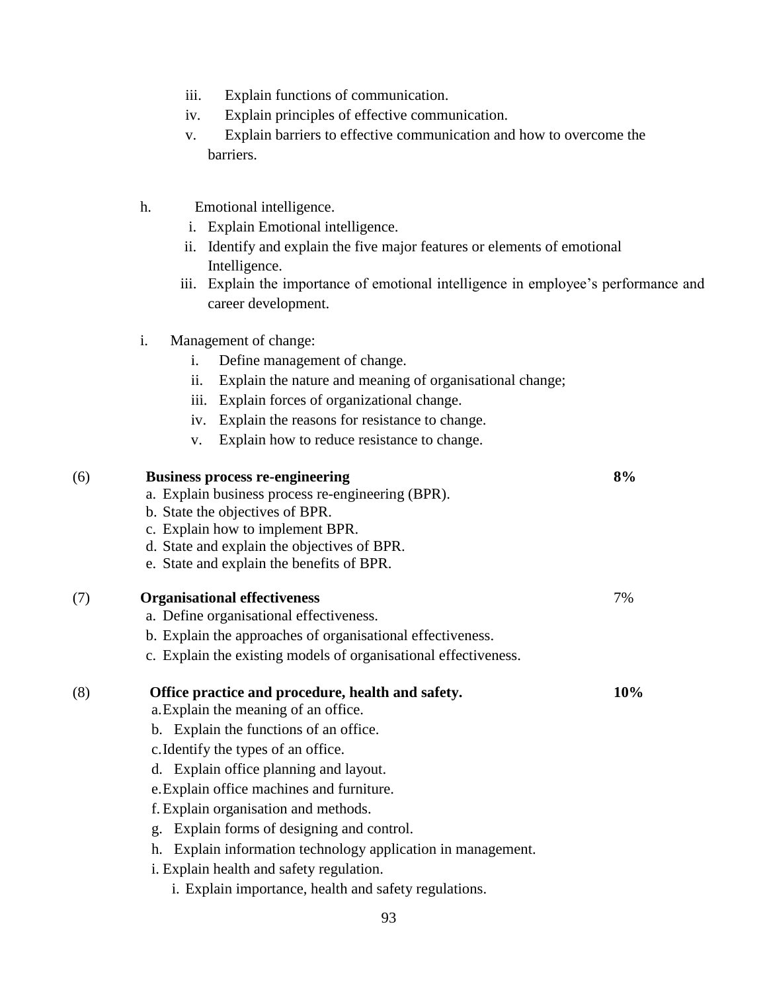- iii. Explain functions of communication.
- iv. Explain principles of effective communication.
- v. Explain barriers to effective communication and how to overcome the barriers.
- h. Emotional intelligence.
	- i. Explain Emotional intelligence.
	- ii. Identify and explain the five major features or elements of emotional Intelligence.
	- iii. Explain the importance of emotional intelligence in employee's performance and career development.
- i. Management of change:
	- i. Define management of change.
	- ii. Explain the nature and meaning of organisational change;
	- iii. Explain forces of organizational change.
	- iv. Explain the reasons for resistance to change.
	- v. Explain how to reduce resistance to change.

| (6) | <b>Business process re-engineering</b>                          | 8%  |
|-----|-----------------------------------------------------------------|-----|
|     | a. Explain business process re-engineering (BPR).               |     |
|     | b. State the objectives of BPR.                                 |     |
|     | c. Explain how to implement BPR.                                |     |
|     | d. State and explain the objectives of BPR.                     |     |
|     | e. State and explain the benefits of BPR.                       |     |
| (7) | <b>Organisational effectiveness</b>                             | 7%  |
|     | a. Define organisational effectiveness.                         |     |
|     | b. Explain the approaches of organisational effectiveness.      |     |
|     | c. Explain the existing models of organisational effectiveness. |     |
| (8) | Office practice and procedure, health and safety.               | 10% |
|     | a. Explain the meaning of an office.                            |     |
|     | b. Explain the functions of an office.                          |     |
|     | c. Identify the types of an office.                             |     |
|     | d. Explain office planning and layout.                          |     |
|     | e. Explain office machines and furniture.                       |     |
|     | f. Explain organisation and methods.                            |     |
|     | Explain forms of designing and control.<br>g.                   |     |
|     | Explain information technology application in management.<br>h. |     |
|     | i. Explain health and safety regulation.                        |     |
|     | i. Explain importance, health and safety regulations.           |     |
|     |                                                                 |     |